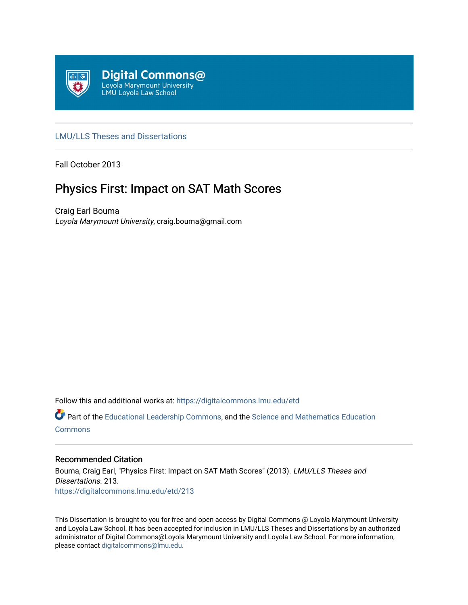

## [LMU/LLS Theses and Dissertations](https://digitalcommons.lmu.edu/etd)

Fall October 2013

# Physics First: Impact on SAT Math Scores

Craig Earl Bouma Loyola Marymount University, craig.bouma@gmail.com

Follow this and additional works at: [https://digitalcommons.lmu.edu/etd](https://digitalcommons.lmu.edu/etd?utm_source=digitalcommons.lmu.edu%2Fetd%2F213&utm_medium=PDF&utm_campaign=PDFCoverPages) 

Part of the [Educational Leadership Commons,](http://network.bepress.com/hgg/discipline/1230?utm_source=digitalcommons.lmu.edu%2Fetd%2F213&utm_medium=PDF&utm_campaign=PDFCoverPages) and the [Science and Mathematics Education](http://network.bepress.com/hgg/discipline/800?utm_source=digitalcommons.lmu.edu%2Fetd%2F213&utm_medium=PDF&utm_campaign=PDFCoverPages)  **[Commons](http://network.bepress.com/hgg/discipline/800?utm_source=digitalcommons.lmu.edu%2Fetd%2F213&utm_medium=PDF&utm_campaign=PDFCoverPages)** 

## Recommended Citation

Bouma, Craig Earl, "Physics First: Impact on SAT Math Scores" (2013). LMU/LLS Theses and Dissertations. 213. [https://digitalcommons.lmu.edu/etd/213](https://digitalcommons.lmu.edu/etd/213?utm_source=digitalcommons.lmu.edu%2Fetd%2F213&utm_medium=PDF&utm_campaign=PDFCoverPages)

This Dissertation is brought to you for free and open access by Digital Commons @ Loyola Marymount University and Loyola Law School. It has been accepted for inclusion in LMU/LLS Theses and Dissertations by an authorized administrator of Digital Commons@Loyola Marymount University and Loyola Law School. For more information, please contact [digitalcommons@lmu.edu](mailto:digitalcommons@lmu.edu).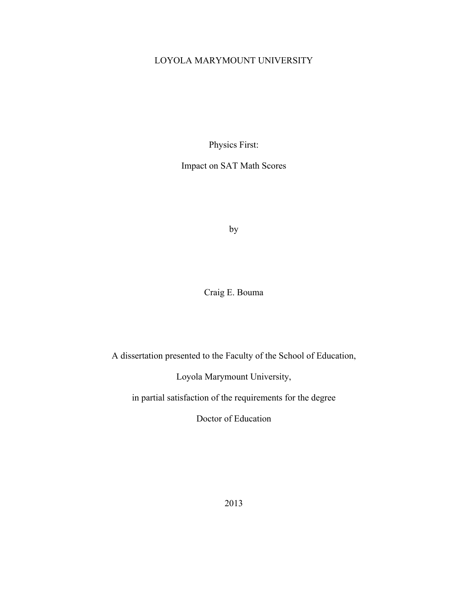## LOYOLA MARYMOUNT UNIVERSITY

Physics First:

Impact on SAT Math Scores

by

Craig E. Bouma

A dissertation presented to the Faculty of the School of Education,

Loyola Marymount University,

in partial satisfaction of the requirements for the degree

Doctor of Education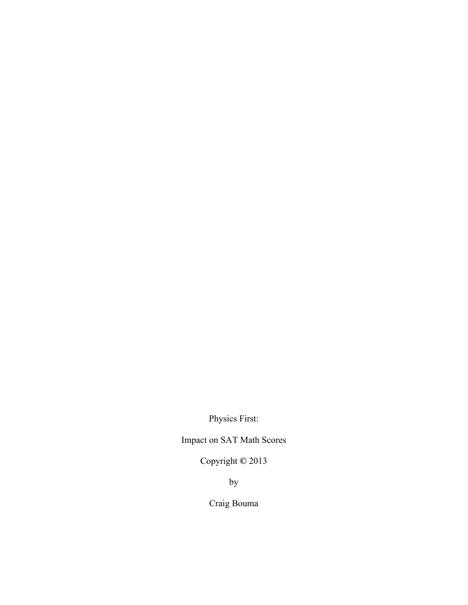Physics First:

Impact on SAT Math Scores

Copyright **©** 2013

by

Craig Bouma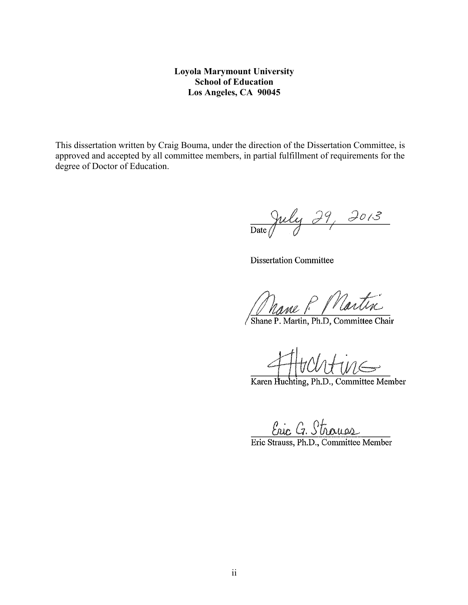## **Loyola Marymount University School of Education Los Angeles, CA 90045**

This dissertation written by Craig Bouma, under the direction of the Dissertation Committee, is approved and accepted by all committee members, in partial fulfillment of requirements for the degree of Doctor of Education.

Date July 29, 2013

**Dissertation Committee** 

Nane P Martin

Shane P. Martin, Ph.D, Committee Chair

Karen Huchting, Ph.D., Committee Member

<u>Eric G. Strauss</u><br>Eric Strauss, Ph.D., Committee Member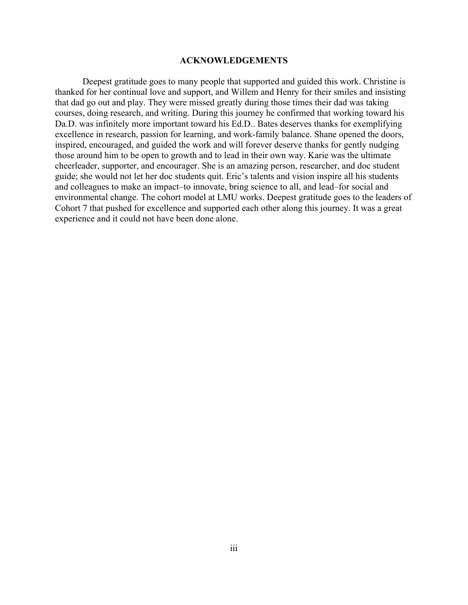#### **ACKNOWLEDGEMENTS**

Deepest gratitude goes to many people that supported and guided this work. Christine is thanked for her continual love and support, and Willem and Henry for their smiles and insisting that dad go out and play. They were missed greatly during those times their dad was taking courses, doing research, and writing. During this journey he confirmed that working toward his Da.D. was infinitely more important toward his Ed.D.. Bates deserves thanks for exemplifying excellence in research, passion for learning, and work-family balance. Shane opened the doors, inspired, encouraged, and guided the work and will forever deserve thanks for gently nudging those around him to be open to growth and to lead in their own way. Karie was the ultimate cheerleader, supporter, and encourager. She is an amazing person, researcher, and doc student guide; she would not let her doc students quit. Eric's talents and vision inspire all his students and colleagues to make an impact–to innovate, bring science to all, and lead–for social and environmental change. The cohort model at LMU works. Deepest gratitude goes to the leaders of Cohort 7 that pushed for excellence and supported each other along this journey. It was a great experience and it could not have been done alone.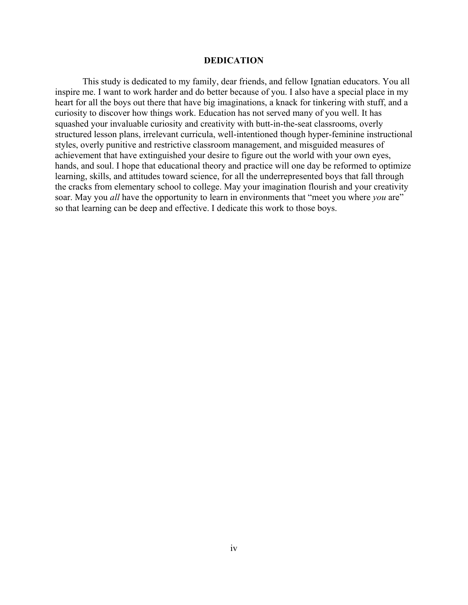#### **DEDICATION**

This study is dedicated to my family, dear friends, and fellow Ignatian educators. You all inspire me. I want to work harder and do better because of you. I also have a special place in my heart for all the boys out there that have big imaginations, a knack for tinkering with stuff, and a curiosity to discover how things work. Education has not served many of you well. It has squashed your invaluable curiosity and creativity with butt-in-the-seat classrooms, overly structured lesson plans, irrelevant curricula, well-intentioned though hyper-feminine instructional styles, overly punitive and restrictive classroom management, and misguided measures of achievement that have extinguished your desire to figure out the world with your own eyes, hands, and soul. I hope that educational theory and practice will one day be reformed to optimize learning, skills, and attitudes toward science, for all the underrepresented boys that fall through the cracks from elementary school to college. May your imagination flourish and your creativity soar. May you *all* have the opportunity to learn in environments that "meet you where *you* are" so that learning can be deep and effective. I dedicate this work to those boys.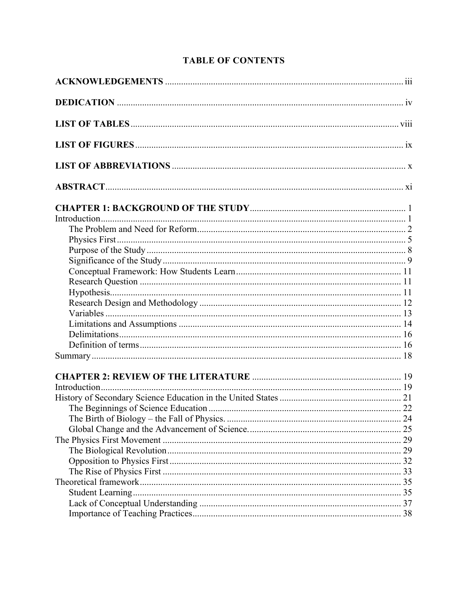## **TABLE OF CONTENTS**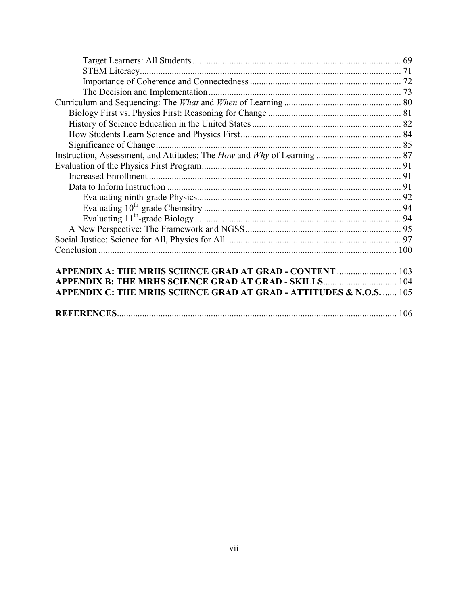| APPENDIX B: THE MRHS SCIENCE GRAD AT GRAD - SKILLS 104              |  |
|---------------------------------------------------------------------|--|
| APPENDIX C: THE MRHS SCIENCE GRAD AT GRAD - ATTITUDES & N.O.S.  105 |  |
|                                                                     |  |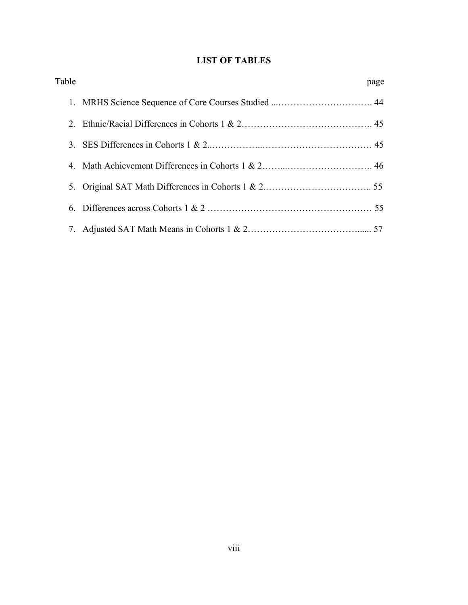## **LIST OF TABLES**

| Table | page |
|-------|------|
|       |      |
|       |      |
|       |      |
|       |      |
|       |      |
|       |      |
|       |      |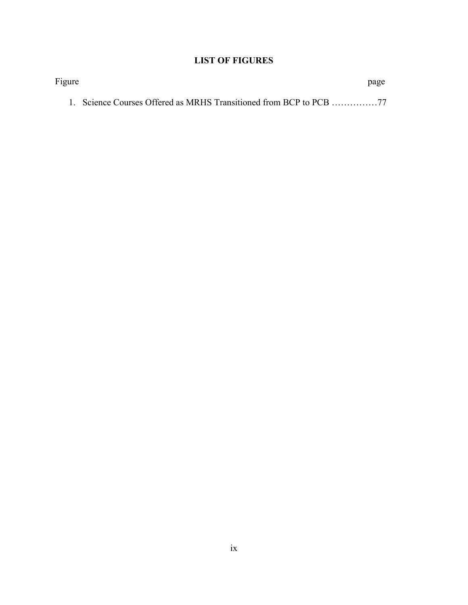## **LIST OF FIGURES**

| Figure |                                                                    | page |
|--------|--------------------------------------------------------------------|------|
|        | 1. Science Courses Offered as MRHS Transitioned from BCP to PCB 77 |      |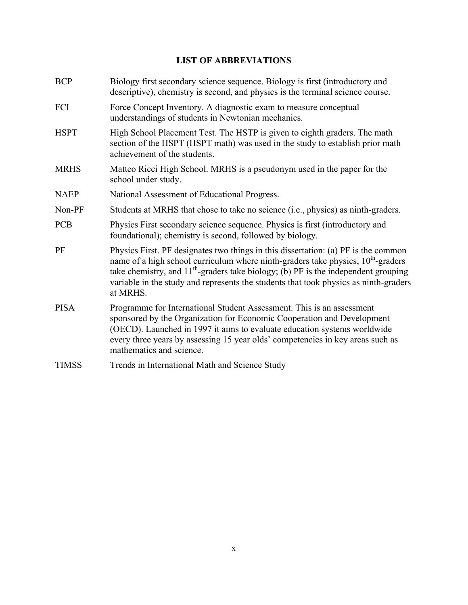## **LIST OF ABBREVIATIONS**

| <b>BCP</b>   | Biology first secondary science sequence. Biology is first (introductory and<br>descriptive), chemistry is second, and physics is the terminal science course.                                                                                                                                                                                                          |
|--------------|-------------------------------------------------------------------------------------------------------------------------------------------------------------------------------------------------------------------------------------------------------------------------------------------------------------------------------------------------------------------------|
| FCI          | Force Concept Inventory. A diagnostic exam to measure conceptual<br>understandings of students in Newtonian mechanics.                                                                                                                                                                                                                                                  |
| <b>HSPT</b>  | High School Placement Test. The HSTP is given to eighth graders. The math<br>section of the HSPT (HSPT math) was used in the study to establish prior math<br>achievement of the students.                                                                                                                                                                              |
| <b>MRHS</b>  | Matteo Ricci High School. MRHS is a pseudonym used in the paper for the<br>school under study.                                                                                                                                                                                                                                                                          |
| <b>NAEP</b>  | National Assessment of Educational Progress.                                                                                                                                                                                                                                                                                                                            |
| Non-PF       | Students at MRHS that chose to take no science (i.e., physics) as ninth-graders.                                                                                                                                                                                                                                                                                        |
| <b>PCB</b>   | Physics First secondary science sequence. Physics is first (introductory and<br>foundational); chemistry is second, followed by biology.                                                                                                                                                                                                                                |
| PF           | Physics First. PF designates two things in this dissertation: (a) PF is the common<br>name of a high school curriculum where ninth-graders take physics, $10th$ -graders<br>take chemistry, and $11^{th}$ -graders take biology; (b) PF is the independent grouping<br>variable in the study and represents the students that took physics as ninth-graders<br>at MRHS. |
| <b>PISA</b>  | Programme for International Student Assessment. This is an assessment<br>sponsored by the Organization for Economic Cooperation and Development<br>(OECD). Launched in 1997 it aims to evaluate education systems worldwide<br>every three years by assessing 15 year olds' competencies in key areas such as<br>mathematics and science.                               |
| <b>TIMSS</b> | Trends in International Math and Science Study                                                                                                                                                                                                                                                                                                                          |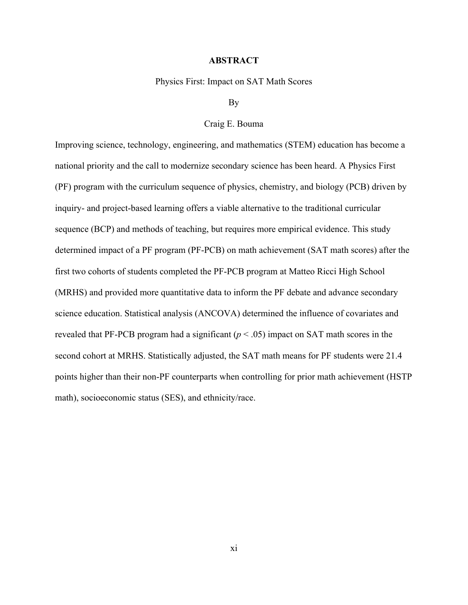#### **ABSTRACT**

Physics First: Impact on SAT Math Scores

## By

#### Craig E. Bouma

Improving science, technology, engineering, and mathematics (STEM) education has become a national priority and the call to modernize secondary science has been heard. A Physics First (PF) program with the curriculum sequence of physics, chemistry, and biology (PCB) driven by inquiry- and project-based learning offers a viable alternative to the traditional curricular sequence (BCP) and methods of teaching, but requires more empirical evidence. This study determined impact of a PF program (PF-PCB) on math achievement (SAT math scores) after the first two cohorts of students completed the PF-PCB program at Matteo Ricci High School (MRHS) and provided more quantitative data to inform the PF debate and advance secondary science education. Statistical analysis (ANCOVA) determined the influence of covariates and revealed that PF-PCB program had a significant  $(p < .05)$  impact on SAT math scores in the second cohort at MRHS. Statistically adjusted, the SAT math means for PF students were 21.4 points higher than their non-PF counterparts when controlling for prior math achievement (HSTP math), socioeconomic status (SES), and ethnicity/race.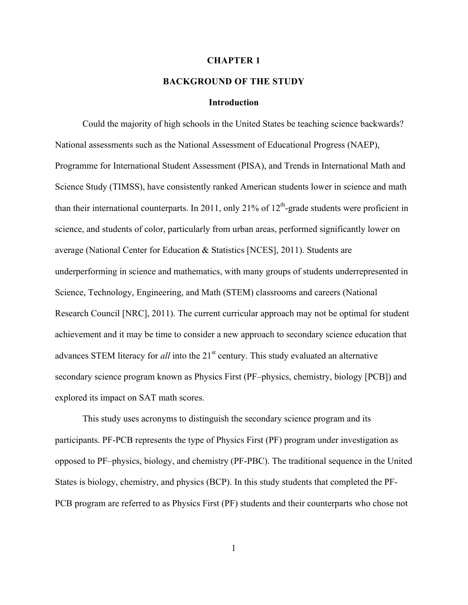#### **CHAPTER 1**

### **BACKGROUND OF THE STUDY**

#### **Introduction**

Could the majority of high schools in the United States be teaching science backwards? National assessments such as the National Assessment of Educational Progress (NAEP), Programme for International Student Assessment (PISA), and Trends in International Math and Science Study (TIMSS), have consistently ranked American students lower in science and math than their international counterparts. In 2011, only 21% of  $12<sup>th</sup>$ -grade students were proficient in science, and students of color, particularly from urban areas, performed significantly lower on average (National Center for Education & Statistics [NCES], 2011). Students are underperforming in science and mathematics, with many groups of students underrepresented in Science, Technology, Engineering, and Math (STEM) classrooms and careers (National Research Council [NRC], 2011). The current curricular approach may not be optimal for student achievement and it may be time to consider a new approach to secondary science education that advances STEM literacy for *all* into the 21<sup>st</sup> century. This study evaluated an alternative secondary science program known as Physics First (PF–physics, chemistry, biology [PCB]) and explored its impact on SAT math scores.

This study uses acronyms to distinguish the secondary science program and its participants. PF-PCB represents the type of Physics First (PF) program under investigation as opposed to PF–physics, biology, and chemistry (PF-PBC). The traditional sequence in the United States is biology, chemistry, and physics (BCP). In this study students that completed the PF-PCB program are referred to as Physics First (PF) students and their counterparts who chose not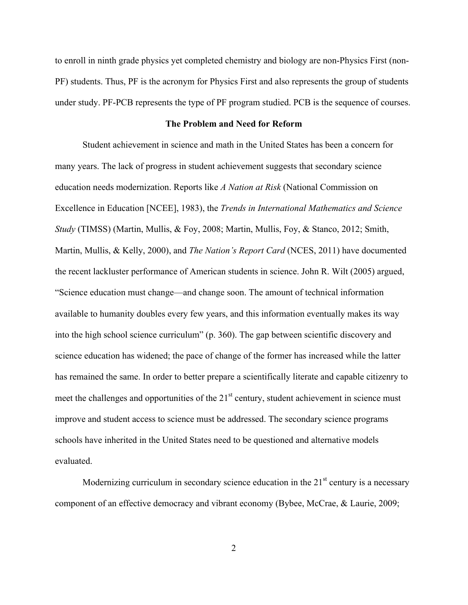to enroll in ninth grade physics yet completed chemistry and biology are non-Physics First (non-PF) students. Thus, PF is the acronym for Physics First and also represents the group of students under study. PF-PCB represents the type of PF program studied. PCB is the sequence of courses.

#### **The Problem and Need for Reform**

Student achievement in science and math in the United States has been a concern for many years. The lack of progress in student achievement suggests that secondary science education needs modernization. Reports like *A Nation at Risk* (National Commission on Excellence in Education [NCEE], 1983), the *Trends in International Mathematics and Science Study* (TIMSS) (Martin, Mullis, & Foy, 2008; Martin, Mullis, Foy, & Stanco, 2012; Smith, Martin, Mullis, & Kelly, 2000), and *The Nation's Report Card* (NCES, 2011) have documented the recent lackluster performance of American students in science. John R. Wilt (2005) argued, "Science education must change—and change soon. The amount of technical information available to humanity doubles every few years, and this information eventually makes its way into the high school science curriculum" (p. 360). The gap between scientific discovery and science education has widened; the pace of change of the former has increased while the latter has remained the same. In order to better prepare a scientifically literate and capable citizenry to meet the challenges and opportunities of the  $21<sup>st</sup>$  century, student achievement in science must improve and student access to science must be addressed. The secondary science programs schools have inherited in the United States need to be questioned and alternative models evaluated.

Modernizing curriculum in secondary science education in the  $21<sup>st</sup>$  century is a necessary component of an effective democracy and vibrant economy (Bybee, McCrae, & Laurie, 2009;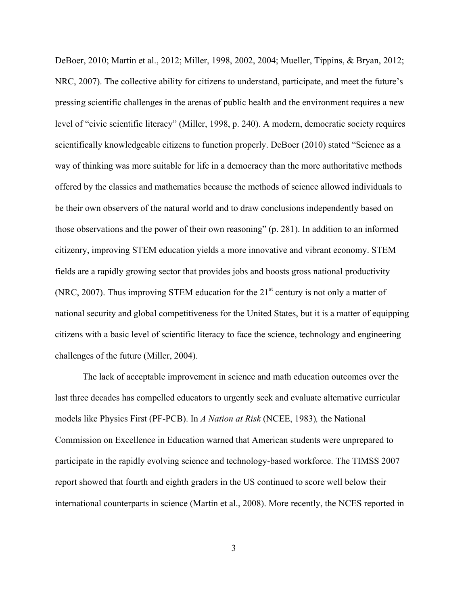DeBoer, 2010; Martin et al., 2012; Miller, 1998, 2002, 2004; Mueller, Tippins, & Bryan, 2012; NRC, 2007). The collective ability for citizens to understand, participate, and meet the future's pressing scientific challenges in the arenas of public health and the environment requires a new level of "civic scientific literacy" (Miller, 1998, p. 240). A modern, democratic society requires scientifically knowledgeable citizens to function properly. DeBoer (2010) stated "Science as a way of thinking was more suitable for life in a democracy than the more authoritative methods offered by the classics and mathematics because the methods of science allowed individuals to be their own observers of the natural world and to draw conclusions independently based on those observations and the power of their own reasoning" (p. 281). In addition to an informed citizenry, improving STEM education yields a more innovative and vibrant economy. STEM fields are a rapidly growing sector that provides jobs and boosts gross national productivity (NRC, 2007). Thus improving STEM education for the  $21<sup>st</sup>$  century is not only a matter of national security and global competitiveness for the United States, but it is a matter of equipping citizens with a basic level of scientific literacy to face the science, technology and engineering challenges of the future (Miller, 2004).

The lack of acceptable improvement in science and math education outcomes over the last three decades has compelled educators to urgently seek and evaluate alternative curricular models like Physics First (PF-PCB). In *A Nation at Risk* (NCEE, 1983)*,* the National Commission on Excellence in Education warned that American students were unprepared to participate in the rapidly evolving science and technology-based workforce. The TIMSS 2007 report showed that fourth and eighth graders in the US continued to score well below their international counterparts in science (Martin et al., 2008). More recently, the NCES reported in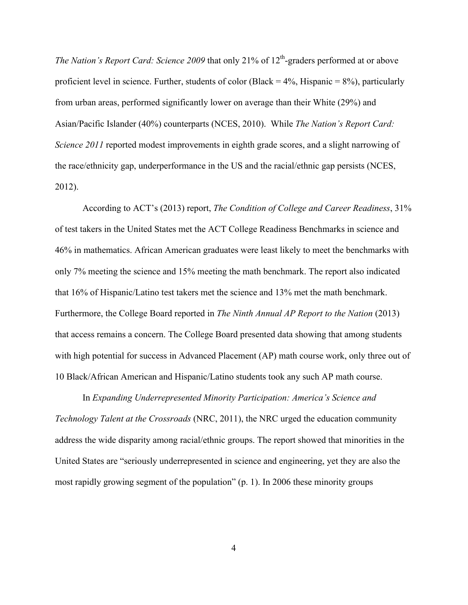*The Nation's Report Card: Science 2009* that only 21% of 12<sup>th</sup>-graders performed at or above proficient level in science. Further, students of color (Black =  $4\%$ , Hispanic =  $8\%$ ), particularly from urban areas, performed significantly lower on average than their White (29%) and Asian/Pacific Islander (40%) counterparts (NCES, 2010). While *The Nation's Report Card: Science 2011* reported modest improvements in eighth grade scores, and a slight narrowing of the race/ethnicity gap, underperformance in the US and the racial/ethnic gap persists (NCES, 2012).

According to ACT's (2013) report, *The Condition of College and Career Readiness*, 31% of test takers in the United States met the ACT College Readiness Benchmarks in science and 46% in mathematics. African American graduates were least likely to meet the benchmarks with only 7% meeting the science and 15% meeting the math benchmark. The report also indicated that 16% of Hispanic/Latino test takers met the science and 13% met the math benchmark. Furthermore, the College Board reported in *The Ninth Annual AP Report to the Nation* (2013) that access remains a concern. The College Board presented data showing that among students with high potential for success in Advanced Placement (AP) math course work, only three out of 10 Black/African American and Hispanic/Latino students took any such AP math course.

In *Expanding Underrepresented Minority Participation: America's Science and Technology Talent at the Crossroads* (NRC, 2011), the NRC urged the education community address the wide disparity among racial/ethnic groups. The report showed that minorities in the United States are "seriously underrepresented in science and engineering, yet they are also the most rapidly growing segment of the population" (p. 1). In 2006 these minority groups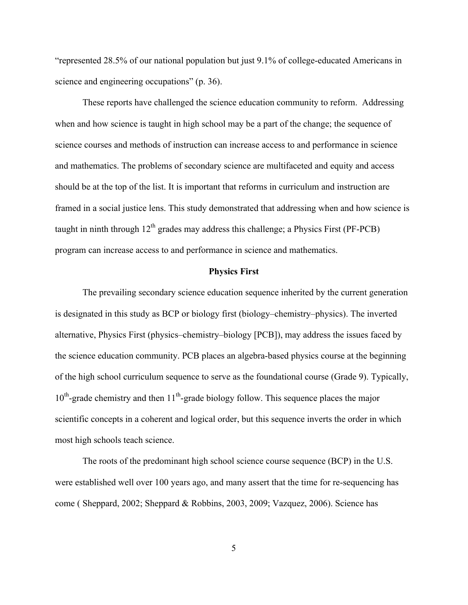"represented 28.5% of our national population but just 9.1% of college-educated Americans in science and engineering occupations" (p. 36).

These reports have challenged the science education community to reform. Addressing when and how science is taught in high school may be a part of the change; the sequence of science courses and methods of instruction can increase access to and performance in science and mathematics. The problems of secondary science are multifaceted and equity and access should be at the top of the list. It is important that reforms in curriculum and instruction are framed in a social justice lens. This study demonstrated that addressing when and how science is taught in ninth through  $12<sup>th</sup>$  grades may address this challenge; a Physics First (PF-PCB) program can increase access to and performance in science and mathematics.

#### **Physics First**

The prevailing secondary science education sequence inherited by the current generation is designated in this study as BCP or biology first (biology–chemistry–physics). The inverted alternative, Physics First (physics–chemistry–biology [PCB]), may address the issues faced by the science education community. PCB places an algebra-based physics course at the beginning of the high school curriculum sequence to serve as the foundational course (Grade 9). Typically,  $10<sup>th</sup>$ -grade chemistry and then  $11<sup>th</sup>$ -grade biology follow. This sequence places the major scientific concepts in a coherent and logical order, but this sequence inverts the order in which most high schools teach science.

The roots of the predominant high school science course sequence (BCP) in the U.S. were established well over 100 years ago, and many assert that the time for re-sequencing has come ( Sheppard, 2002; Sheppard & Robbins, 2003, 2009; Vazquez, 2006). Science has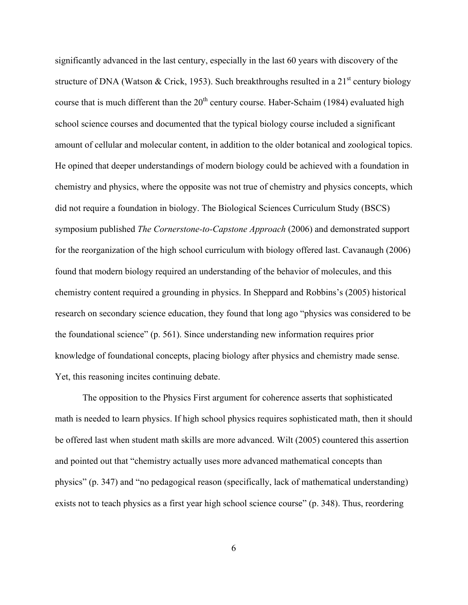significantly advanced in the last century, especially in the last 60 years with discovery of the structure of DNA (Watson & Crick, 1953). Such breakthroughs resulted in a  $21<sup>st</sup>$  century biology course that is much different than the  $20<sup>th</sup>$  century course. Haber-Schaim (1984) evaluated high school science courses and documented that the typical biology course included a significant amount of cellular and molecular content, in addition to the older botanical and zoological topics. He opined that deeper understandings of modern biology could be achieved with a foundation in chemistry and physics, where the opposite was not true of chemistry and physics concepts, which did not require a foundation in biology. The Biological Sciences Curriculum Study (BSCS) symposium published *The Cornerstone-to-Capstone Approach* (2006) and demonstrated support for the reorganization of the high school curriculum with biology offered last. Cavanaugh (2006) found that modern biology required an understanding of the behavior of molecules, and this chemistry content required a grounding in physics. In Sheppard and Robbins's (2005) historical research on secondary science education, they found that long ago "physics was considered to be the foundational science" (p. 561). Since understanding new information requires prior knowledge of foundational concepts, placing biology after physics and chemistry made sense. Yet, this reasoning incites continuing debate.

The opposition to the Physics First argument for coherence asserts that sophisticated math is needed to learn physics. If high school physics requires sophisticated math, then it should be offered last when student math skills are more advanced. Wilt (2005) countered this assertion and pointed out that "chemistry actually uses more advanced mathematical concepts than physics" (p. 347) and "no pedagogical reason (specifically, lack of mathematical understanding) exists not to teach physics as a first year high school science course" (p. 348). Thus, reordering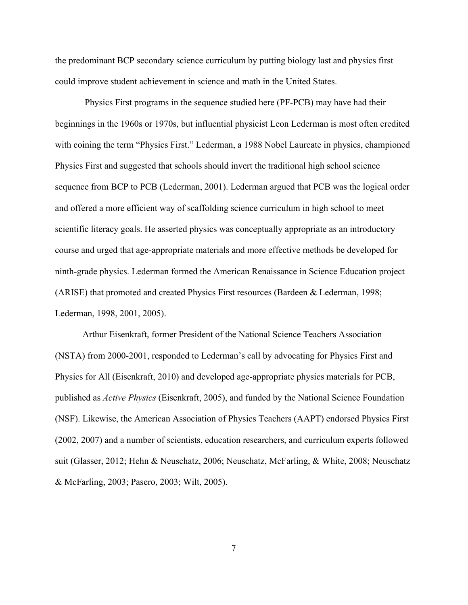the predominant BCP secondary science curriculum by putting biology last and physics first could improve student achievement in science and math in the United States.

Physics First programs in the sequence studied here (PF-PCB) may have had their beginnings in the 1960s or 1970s, but influential physicist Leon Lederman is most often credited with coining the term "Physics First." Lederman, a 1988 Nobel Laureate in physics, championed Physics First and suggested that schools should invert the traditional high school science sequence from BCP to PCB (Lederman, 2001). Lederman argued that PCB was the logical order and offered a more efficient way of scaffolding science curriculum in high school to meet scientific literacy goals. He asserted physics was conceptually appropriate as an introductory course and urged that age-appropriate materials and more effective methods be developed for ninth-grade physics. Lederman formed the American Renaissance in Science Education project (ARISE) that promoted and created Physics First resources (Bardeen & Lederman, 1998; Lederman, 1998, 2001, 2005).

Arthur Eisenkraft, former President of the National Science Teachers Association (NSTA) from 2000-2001, responded to Lederman's call by advocating for Physics First and Physics for All (Eisenkraft, 2010) and developed age-appropriate physics materials for PCB, published as *Active Physics* (Eisenkraft, 2005), and funded by the National Science Foundation (NSF). Likewise, the American Association of Physics Teachers (AAPT) endorsed Physics First (2002, 2007) and a number of scientists, education researchers, and curriculum experts followed suit (Glasser, 2012; Hehn & Neuschatz, 2006; Neuschatz, McFarling, & White, 2008; Neuschatz & McFarling, 2003; Pasero, 2003; Wilt, 2005).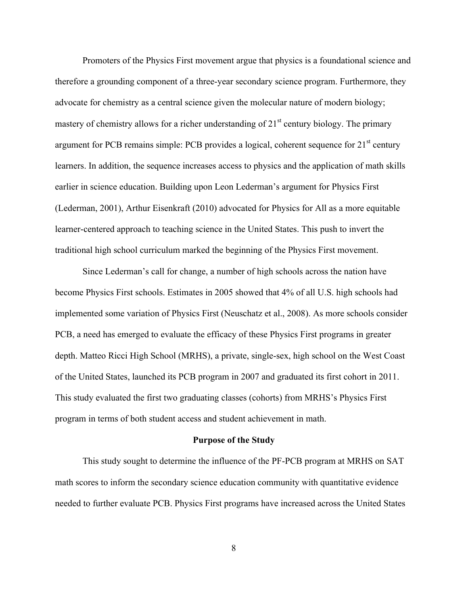Promoters of the Physics First movement argue that physics is a foundational science and therefore a grounding component of a three-year secondary science program. Furthermore, they advocate for chemistry as a central science given the molecular nature of modern biology; mastery of chemistry allows for a richer understanding of  $21<sup>st</sup>$  century biology. The primary argument for PCB remains simple: PCB provides a logical, coherent sequence for  $21<sup>st</sup>$  century learners. In addition, the sequence increases access to physics and the application of math skills earlier in science education. Building upon Leon Lederman's argument for Physics First (Lederman, 2001), Arthur Eisenkraft (2010) advocated for Physics for All as a more equitable learner-centered approach to teaching science in the United States. This push to invert the traditional high school curriculum marked the beginning of the Physics First movement.

Since Lederman's call for change, a number of high schools across the nation have become Physics First schools. Estimates in 2005 showed that 4% of all U.S. high schools had implemented some variation of Physics First (Neuschatz et al., 2008). As more schools consider PCB, a need has emerged to evaluate the efficacy of these Physics First programs in greater depth. Matteo Ricci High School (MRHS), a private, single-sex, high school on the West Coast of the United States, launched its PCB program in 2007 and graduated its first cohort in 2011. This study evaluated the first two graduating classes (cohorts) from MRHS's Physics First program in terms of both student access and student achievement in math.

#### **Purpose of the Study**

This study sought to determine the influence of the PF-PCB program at MRHS on SAT math scores to inform the secondary science education community with quantitative evidence needed to further evaluate PCB. Physics First programs have increased across the United States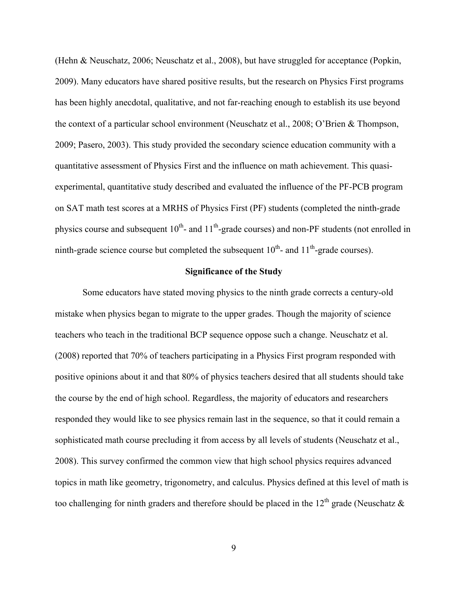(Hehn & Neuschatz, 2006; Neuschatz et al., 2008), but have struggled for acceptance (Popkin, 2009). Many educators have shared positive results, but the research on Physics First programs has been highly anecdotal, qualitative, and not far-reaching enough to establish its use beyond the context of a particular school environment (Neuschatz et al., 2008; O'Brien & Thompson, 2009; Pasero, 2003). This study provided the secondary science education community with a quantitative assessment of Physics First and the influence on math achievement. This quasiexperimental, quantitative study described and evaluated the influence of the PF-PCB program on SAT math test scores at a MRHS of Physics First (PF) students (completed the ninth-grade physics course and subsequent  $10^{th}$ - and  $11^{th}$ -grade courses) and non-PF students (not enrolled in ninth-grade science course but completed the subsequent  $10^{th}$ - and  $11^{th}$ -grade courses).

#### **Significance of the Study**

Some educators have stated moving physics to the ninth grade corrects a century-old mistake when physics began to migrate to the upper grades. Though the majority of science teachers who teach in the traditional BCP sequence oppose such a change. Neuschatz et al. (2008) reported that 70% of teachers participating in a Physics First program responded with positive opinions about it and that 80% of physics teachers desired that all students should take the course by the end of high school. Regardless, the majority of educators and researchers responded they would like to see physics remain last in the sequence, so that it could remain a sophisticated math course precluding it from access by all levels of students (Neuschatz et al., 2008). This survey confirmed the common view that high school physics requires advanced topics in math like geometry, trigonometry, and calculus. Physics defined at this level of math is too challenging for ninth graders and therefore should be placed in the 12<sup>th</sup> grade (Neuschatz  $\&$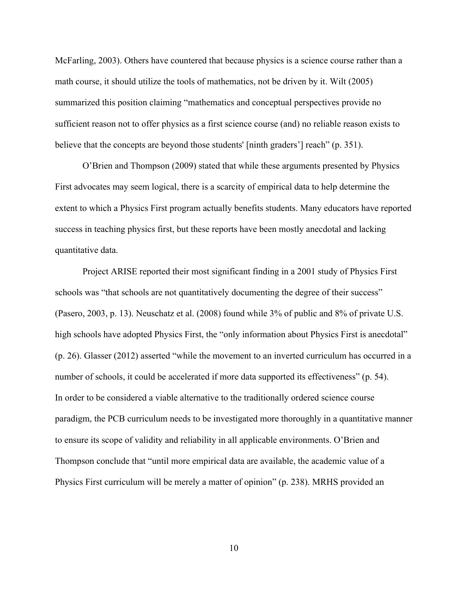McFarling, 2003). Others have countered that because physics is a science course rather than a math course, it should utilize the tools of mathematics, not be driven by it. Wilt (2005) summarized this position claiming "mathematics and conceptual perspectives provide no sufficient reason not to offer physics as a first science course (and) no reliable reason exists to believe that the concepts are beyond those students' [ninth graders'] reach" (p. 351).

O'Brien and Thompson (2009) stated that while these arguments presented by Physics First advocates may seem logical, there is a scarcity of empirical data to help determine the extent to which a Physics First program actually benefits students. Many educators have reported success in teaching physics first, but these reports have been mostly anecdotal and lacking quantitative data.

Project ARISE reported their most significant finding in a 2001 study of Physics First schools was "that schools are not quantitatively documenting the degree of their success" (Pasero, 2003, p. 13). Neuschatz et al. (2008) found while 3% of public and 8% of private U.S. high schools have adopted Physics First, the "only information about Physics First is anecdotal" (p. 26). Glasser (2012) asserted "while the movement to an inverted curriculum has occurred in a number of schools, it could be accelerated if more data supported its effectiveness" (p. 54). In order to be considered a viable alternative to the traditionally ordered science course paradigm, the PCB curriculum needs to be investigated more thoroughly in a quantitative manner to ensure its scope of validity and reliability in all applicable environments. O'Brien and Thompson conclude that "until more empirical data are available, the academic value of a Physics First curriculum will be merely a matter of opinion" (p. 238). MRHS provided an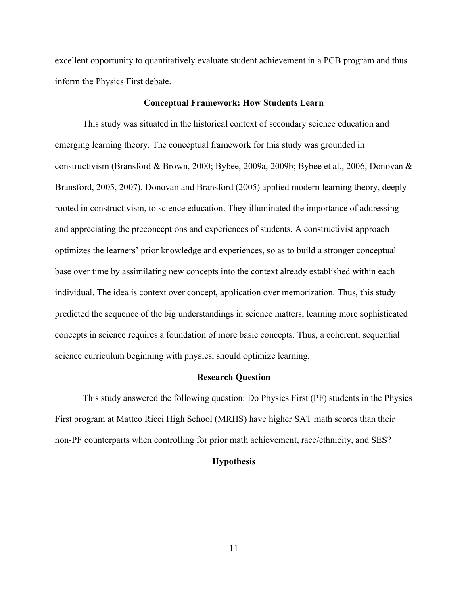excellent opportunity to quantitatively evaluate student achievement in a PCB program and thus inform the Physics First debate.

#### **Conceptual Framework: How Students Learn**

This study was situated in the historical context of secondary science education and emerging learning theory. The conceptual framework for this study was grounded in constructivism (Bransford & Brown, 2000; Bybee, 2009a, 2009b; Bybee et al., 2006; Donovan & Bransford, 2005, 2007). Donovan and Bransford (2005) applied modern learning theory, deeply rooted in constructivism, to science education. They illuminated the importance of addressing and appreciating the preconceptions and experiences of students. A constructivist approach optimizes the learners' prior knowledge and experiences, so as to build a stronger conceptual base over time by assimilating new concepts into the context already established within each individual. The idea is context over concept, application over memorization. Thus, this study predicted the sequence of the big understandings in science matters; learning more sophisticated concepts in science requires a foundation of more basic concepts. Thus, a coherent, sequential science curriculum beginning with physics, should optimize learning.

#### **Research Question**

This study answered the following question: Do Physics First (PF) students in the Physics First program at Matteo Ricci High School (MRHS) have higher SAT math scores than their non-PF counterparts when controlling for prior math achievement, race/ethnicity, and SES?

## **Hypothesis**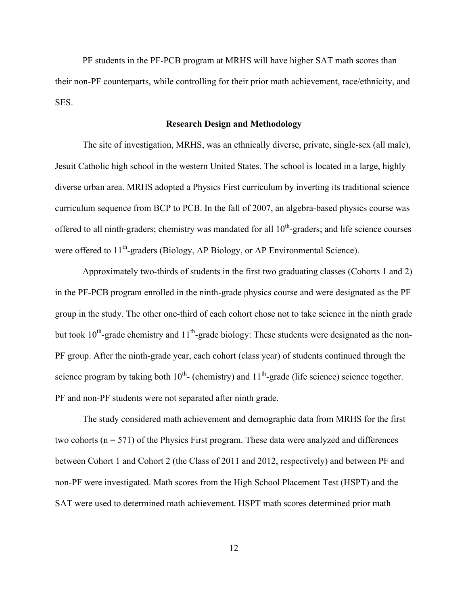PF students in the PF-PCB program at MRHS will have higher SAT math scores than their non-PF counterparts, while controlling for their prior math achievement, race/ethnicity, and SES.

### **Research Design and Methodology**

The site of investigation, MRHS, was an ethnically diverse, private, single-sex (all male), Jesuit Catholic high school in the western United States. The school is located in a large, highly diverse urban area. MRHS adopted a Physics First curriculum by inverting its traditional science curriculum sequence from BCP to PCB. In the fall of 2007, an algebra-based physics course was offered to all ninth-graders; chemistry was mandated for all  $10<sup>th</sup>$ -graders; and life science courses were offered to 11<sup>th</sup>-graders (Biology, AP Biology, or AP Environmental Science).

Approximately two-thirds of students in the first two graduating classes (Cohorts 1 and 2) in the PF-PCB program enrolled in the ninth-grade physics course and were designated as the PF group in the study. The other one-third of each cohort chose not to take science in the ninth grade but took  $10^{th}$ -grade chemistry and  $11^{th}$ -grade biology: These students were designated as the non-PF group. After the ninth-grade year, each cohort (class year) of students continued through the science program by taking both  $10^{th}$ - (chemistry) and  $11^{th}$ -grade (life science) science together. PF and non-PF students were not separated after ninth grade.

The study considered math achievement and demographic data from MRHS for the first two cohorts ( $n = 571$ ) of the Physics First program. These data were analyzed and differences between Cohort 1 and Cohort 2 (the Class of 2011 and 2012, respectively) and between PF and non-PF were investigated. Math scores from the High School Placement Test (HSPT) and the SAT were used to determined math achievement. HSPT math scores determined prior math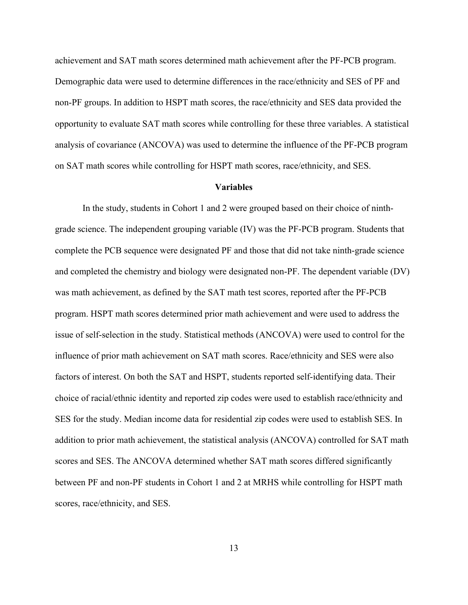achievement and SAT math scores determined math achievement after the PF-PCB program. Demographic data were used to determine differences in the race/ethnicity and SES of PF and non-PF groups. In addition to HSPT math scores, the race/ethnicity and SES data provided the opportunity to evaluate SAT math scores while controlling for these three variables. A statistical analysis of covariance (ANCOVA) was used to determine the influence of the PF-PCB program on SAT math scores while controlling for HSPT math scores, race/ethnicity, and SES.

#### **Variables**

In the study, students in Cohort 1 and 2 were grouped based on their choice of ninthgrade science. The independent grouping variable (IV) was the PF-PCB program. Students that complete the PCB sequence were designated PF and those that did not take ninth-grade science and completed the chemistry and biology were designated non-PF. The dependent variable (DV) was math achievement, as defined by the SAT math test scores, reported after the PF-PCB program. HSPT math scores determined prior math achievement and were used to address the issue of self-selection in the study. Statistical methods (ANCOVA) were used to control for the influence of prior math achievement on SAT math scores. Race/ethnicity and SES were also factors of interest. On both the SAT and HSPT, students reported self-identifying data. Their choice of racial/ethnic identity and reported zip codes were used to establish race/ethnicity and SES for the study. Median income data for residential zip codes were used to establish SES. In addition to prior math achievement, the statistical analysis (ANCOVA) controlled for SAT math scores and SES. The ANCOVA determined whether SAT math scores differed significantly between PF and non-PF students in Cohort 1 and 2 at MRHS while controlling for HSPT math scores, race/ethnicity, and SES.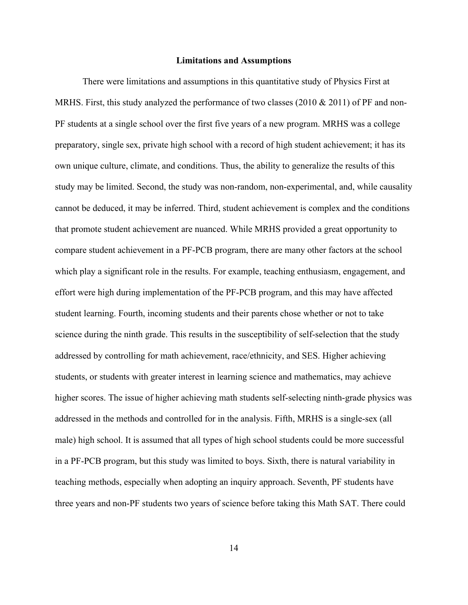#### **Limitations and Assumptions**

There were limitations and assumptions in this quantitative study of Physics First at MRHS. First, this study analyzed the performance of two classes (2010  $& 2011$ ) of PF and non-PF students at a single school over the first five years of a new program. MRHS was a college preparatory, single sex, private high school with a record of high student achievement; it has its own unique culture, climate, and conditions. Thus, the ability to generalize the results of this study may be limited. Second, the study was non-random, non-experimental, and, while causality cannot be deduced, it may be inferred. Third, student achievement is complex and the conditions that promote student achievement are nuanced. While MRHS provided a great opportunity to compare student achievement in a PF-PCB program, there are many other factors at the school which play a significant role in the results. For example, teaching enthusiasm, engagement, and effort were high during implementation of the PF-PCB program, and this may have affected student learning. Fourth, incoming students and their parents chose whether or not to take science during the ninth grade. This results in the susceptibility of self-selection that the study addressed by controlling for math achievement, race/ethnicity, and SES. Higher achieving students, or students with greater interest in learning science and mathematics, may achieve higher scores. The issue of higher achieving math students self-selecting ninth-grade physics was addressed in the methods and controlled for in the analysis. Fifth, MRHS is a single-sex (all male) high school. It is assumed that all types of high school students could be more successful in a PF-PCB program, but this study was limited to boys. Sixth, there is natural variability in teaching methods, especially when adopting an inquiry approach. Seventh, PF students have three years and non-PF students two years of science before taking this Math SAT. There could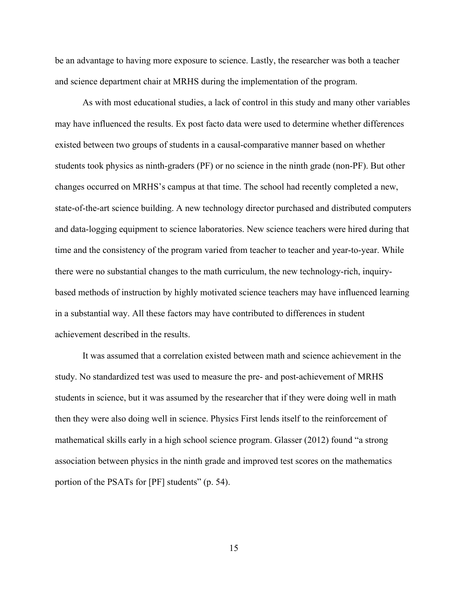be an advantage to having more exposure to science. Lastly, the researcher was both a teacher and science department chair at MRHS during the implementation of the program.

As with most educational studies, a lack of control in this study and many other variables may have influenced the results. Ex post facto data were used to determine whether differences existed between two groups of students in a causal-comparative manner based on whether students took physics as ninth-graders (PF) or no science in the ninth grade (non-PF). But other changes occurred on MRHS's campus at that time. The school had recently completed a new, state-of-the-art science building. A new technology director purchased and distributed computers and data-logging equipment to science laboratories. New science teachers were hired during that time and the consistency of the program varied from teacher to teacher and year-to-year. While there were no substantial changes to the math curriculum, the new technology-rich, inquirybased methods of instruction by highly motivated science teachers may have influenced learning in a substantial way. All these factors may have contributed to differences in student achievement described in the results.

It was assumed that a correlation existed between math and science achievement in the study. No standardized test was used to measure the pre- and post-achievement of MRHS students in science, but it was assumed by the researcher that if they were doing well in math then they were also doing well in science. Physics First lends itself to the reinforcement of mathematical skills early in a high school science program. Glasser (2012) found "a strong association between physics in the ninth grade and improved test scores on the mathematics portion of the PSATs for [PF] students" (p. 54).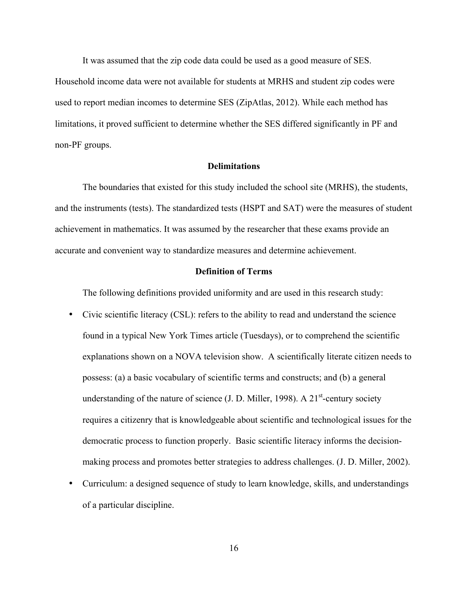It was assumed that the zip code data could be used as a good measure of SES.

Household income data were not available for students at MRHS and student zip codes were used to report median incomes to determine SES (ZipAtlas, 2012). While each method has limitations, it proved sufficient to determine whether the SES differed significantly in PF and non-PF groups.

### **Delimitations**

The boundaries that existed for this study included the school site (MRHS), the students, and the instruments (tests). The standardized tests (HSPT and SAT) were the measures of student achievement in mathematics. It was assumed by the researcher that these exams provide an accurate and convenient way to standardize measures and determine achievement.

#### **Definition of Terms**

The following definitions provided uniformity and are used in this research study:

- Civic scientific literacy (CSL): refers to the ability to read and understand the science found in a typical New York Times article (Tuesdays), or to comprehend the scientific explanations shown on a NOVA television show. A scientifically literate citizen needs to possess: (a) a basic vocabulary of scientific terms and constructs; and (b) a general understanding of the nature of science  $(I, D, Miller, 1998)$ . A 21<sup>st</sup>-century society requires a citizenry that is knowledgeable about scientific and technological issues for the democratic process to function properly. Basic scientific literacy informs the decisionmaking process and promotes better strategies to address challenges. (J. D. Miller, 2002).
- Curriculum: a designed sequence of study to learn knowledge, skills, and understandings of a particular discipline.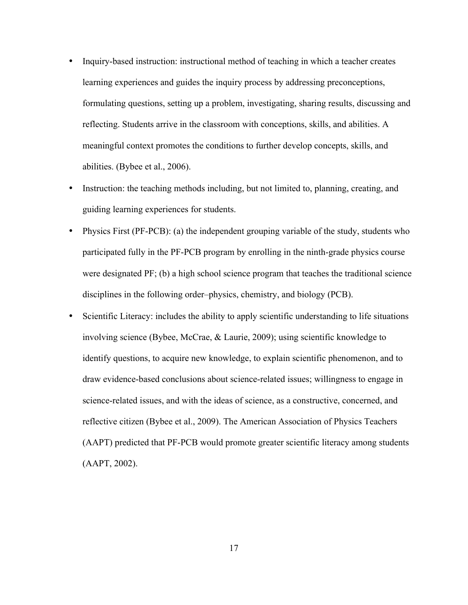- Inquiry-based instruction: instructional method of teaching in which a teacher creates learning experiences and guides the inquiry process by addressing preconceptions, formulating questions, setting up a problem, investigating, sharing results, discussing and reflecting. Students arrive in the classroom with conceptions, skills, and abilities. A meaningful context promotes the conditions to further develop concepts, skills, and abilities. (Bybee et al., 2006).
- Instruction: the teaching methods including, but not limited to, planning, creating, and guiding learning experiences for students.
- Physics First (PF-PCB): (a) the independent grouping variable of the study, students who participated fully in the PF-PCB program by enrolling in the ninth-grade physics course were designated PF; (b) a high school science program that teaches the traditional science disciplines in the following order–physics, chemistry, and biology (PCB).
- Scientific Literacy: includes the ability to apply scientific understanding to life situations involving science (Bybee, McCrae, & Laurie, 2009); using scientific knowledge to identify questions, to acquire new knowledge, to explain scientific phenomenon, and to draw evidence-based conclusions about science-related issues; willingness to engage in science-related issues, and with the ideas of science, as a constructive, concerned, and reflective citizen (Bybee et al., 2009). The American Association of Physics Teachers (AAPT) predicted that PF-PCB would promote greater scientific literacy among students (AAPT, 2002).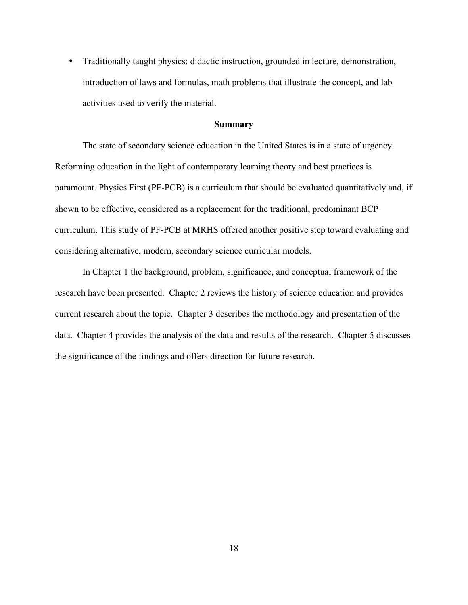• Traditionally taught physics: didactic instruction, grounded in lecture, demonstration, introduction of laws and formulas, math problems that illustrate the concept, and lab activities used to verify the material.

#### **Summary**

The state of secondary science education in the United States is in a state of urgency. Reforming education in the light of contemporary learning theory and best practices is paramount. Physics First (PF-PCB) is a curriculum that should be evaluated quantitatively and, if shown to be effective, considered as a replacement for the traditional, predominant BCP curriculum. This study of PF-PCB at MRHS offered another positive step toward evaluating and considering alternative, modern, secondary science curricular models.

In Chapter 1 the background, problem, significance, and conceptual framework of the research have been presented. Chapter 2 reviews the history of science education and provides current research about the topic. Chapter 3 describes the methodology and presentation of the data. Chapter 4 provides the analysis of the data and results of the research. Chapter 5 discusses the significance of the findings and offers direction for future research.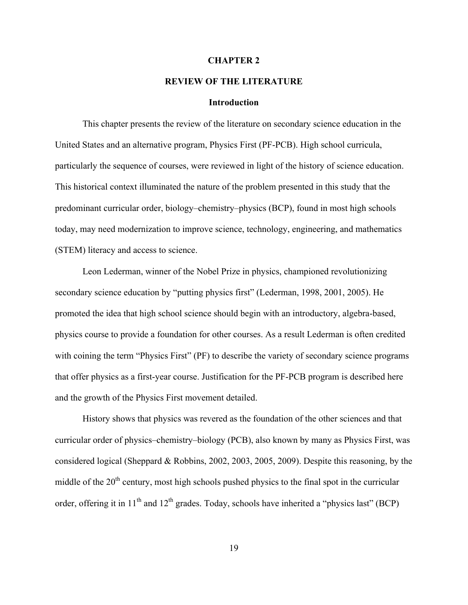#### **CHAPTER 2**

## **REVIEW OF THE LITERATURE**

#### **Introduction**

This chapter presents the review of the literature on secondary science education in the United States and an alternative program, Physics First (PF-PCB). High school curricula, particularly the sequence of courses, were reviewed in light of the history of science education. This historical context illuminated the nature of the problem presented in this study that the predominant curricular order, biology–chemistry–physics (BCP), found in most high schools today, may need modernization to improve science, technology, engineering, and mathematics (STEM) literacy and access to science.

Leon Lederman, winner of the Nobel Prize in physics, championed revolutionizing secondary science education by "putting physics first" (Lederman, 1998, 2001, 2005). He promoted the idea that high school science should begin with an introductory, algebra-based, physics course to provide a foundation for other courses. As a result Lederman is often credited with coining the term "Physics First" (PF) to describe the variety of secondary science programs that offer physics as a first-year course. Justification for the PF-PCB program is described here and the growth of the Physics First movement detailed.

History shows that physics was revered as the foundation of the other sciences and that curricular order of physics–chemistry–biology (PCB), also known by many as Physics First, was considered logical (Sheppard & Robbins, 2002, 2003, 2005, 2009). Despite this reasoning, by the middle of the  $20<sup>th</sup>$  century, most high schools pushed physics to the final spot in the curricular order, offering it in  $11<sup>th</sup>$  and  $12<sup>th</sup>$  grades. Today, schools have inherited a "physics last" (BCP)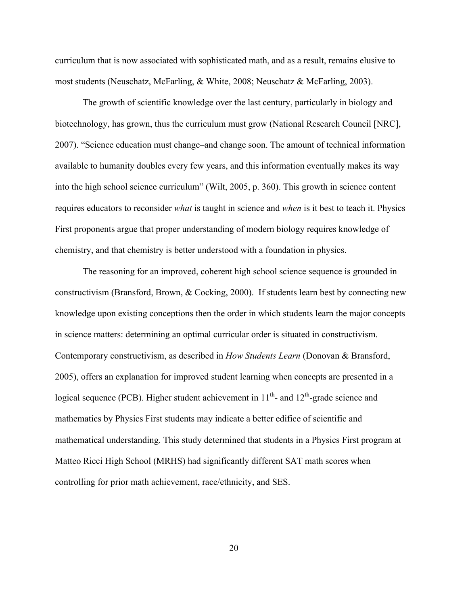curriculum that is now associated with sophisticated math, and as a result, remains elusive to most students (Neuschatz, McFarling, & White, 2008; Neuschatz & McFarling, 2003).

The growth of scientific knowledge over the last century, particularly in biology and biotechnology, has grown, thus the curriculum must grow (National Research Council [NRC], 2007). "Science education must change–and change soon. The amount of technical information available to humanity doubles every few years, and this information eventually makes its way into the high school science curriculum" (Wilt, 2005, p. 360). This growth in science content requires educators to reconsider *what* is taught in science and *when* is it best to teach it. Physics First proponents argue that proper understanding of modern biology requires knowledge of chemistry, and that chemistry is better understood with a foundation in physics.

The reasoning for an improved, coherent high school science sequence is grounded in constructivism (Bransford, Brown, & Cocking, 2000). If students learn best by connecting new knowledge upon existing conceptions then the order in which students learn the major concepts in science matters: determining an optimal curricular order is situated in constructivism. Contemporary constructivism, as described in *How Students Learn* (Donovan & Bransford, 2005), offers an explanation for improved student learning when concepts are presented in a logical sequence (PCB). Higher student achievement in  $11<sup>th</sup>$ - and  $12<sup>th</sup>$ -grade science and mathematics by Physics First students may indicate a better edifice of scientific and mathematical understanding. This study determined that students in a Physics First program at Matteo Ricci High School (MRHS) had significantly different SAT math scores when controlling for prior math achievement, race/ethnicity, and SES.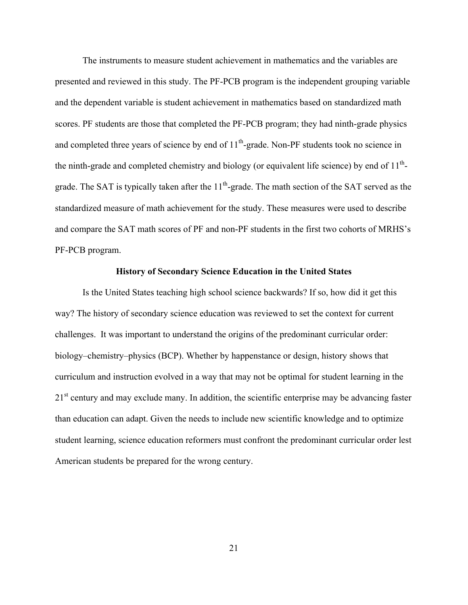The instruments to measure student achievement in mathematics and the variables are presented and reviewed in this study. The PF-PCB program is the independent grouping variable and the dependent variable is student achievement in mathematics based on standardized math scores. PF students are those that completed the PF-PCB program; they had ninth-grade physics and completed three years of science by end of 11<sup>th</sup>-grade. Non-PF students took no science in the ninth-grade and completed chemistry and biology (or equivalent life science) by end of  $11<sup>th</sup>$ grade. The SAT is typically taken after the  $11<sup>th</sup>$ -grade. The math section of the SAT served as the standardized measure of math achievement for the study. These measures were used to describe and compare the SAT math scores of PF and non-PF students in the first two cohorts of MRHS's PF-PCB program.

#### **History of Secondary Science Education in the United States**

Is the United States teaching high school science backwards? If so, how did it get this way? The history of secondary science education was reviewed to set the context for current challenges. It was important to understand the origins of the predominant curricular order: biology–chemistry–physics (BCP). Whether by happenstance or design, history shows that curriculum and instruction evolved in a way that may not be optimal for student learning in the  $21<sup>st</sup>$  century and may exclude many. In addition, the scientific enterprise may be advancing faster than education can adapt. Given the needs to include new scientific knowledge and to optimize student learning, science education reformers must confront the predominant curricular order lest American students be prepared for the wrong century.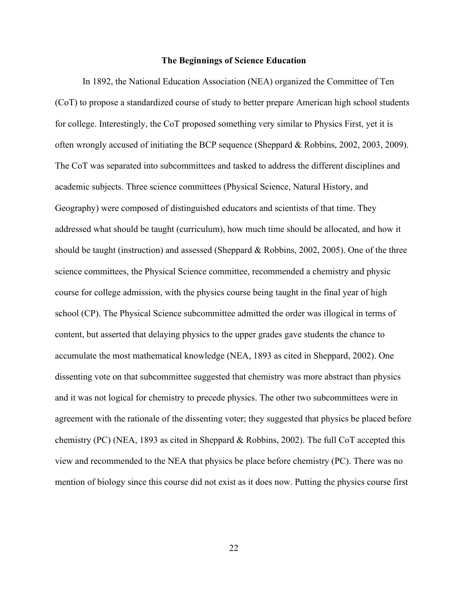#### **The Beginnings of Science Education**

In 1892, the National Education Association (NEA) organized the Committee of Ten (CoT) to propose a standardized course of study to better prepare American high school students for college. Interestingly, the CoT proposed something very similar to Physics First, yet it is often wrongly accused of initiating the BCP sequence (Sheppard & Robbins, 2002, 2003, 2009). The CoT was separated into subcommittees and tasked to address the different disciplines and academic subjects. Three science committees (Physical Science, Natural History, and Geography) were composed of distinguished educators and scientists of that time. They addressed what should be taught (curriculum), how much time should be allocated, and how it should be taught (instruction) and assessed (Sheppard & Robbins, 2002, 2005). One of the three science committees, the Physical Science committee, recommended a chemistry and physic course for college admission, with the physics course being taught in the final year of high school (CP). The Physical Science subcommittee admitted the order was illogical in terms of content, but asserted that delaying physics to the upper grades gave students the chance to accumulate the most mathematical knowledge (NEA, 1893 as cited in Sheppard, 2002). One dissenting vote on that subcommittee suggested that chemistry was more abstract than physics and it was not logical for chemistry to precede physics. The other two subcommittees were in agreement with the rationale of the dissenting voter; they suggested that physics be placed before chemistry (PC) (NEA, 1893 as cited in Sheppard & Robbins, 2002). The full CoT accepted this view and recommended to the NEA that physics be place before chemistry (PC). There was no mention of biology since this course did not exist as it does now. Putting the physics course first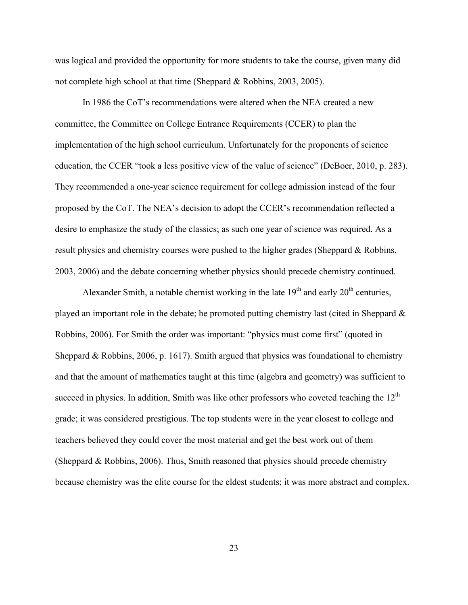was logical and provided the opportunity for more students to take the course, given many did not complete high school at that time (Sheppard & Robbins, 2003, 2005).

In 1986 the CoT's recommendations were altered when the NEA created a new committee, the Committee on College Entrance Requirements (CCER) to plan the implementation of the high school curriculum. Unfortunately for the proponents of science education, the CCER "took a less positive view of the value of science" (DeBoer, 2010, p. 283). They recommended a one-year science requirement for college admission instead of the four proposed by the CoT. The NEA's decision to adopt the CCER's recommendation reflected a desire to emphasize the study of the classics; as such one year of science was required. As a result physics and chemistry courses were pushed to the higher grades (Sheppard & Robbins, 2003, 2006) and the debate concerning whether physics should precede chemistry continued.

Alexander Smith, a notable chemist working in the late  $19<sup>th</sup>$  and early  $20<sup>th</sup>$  centuries, played an important role in the debate; he promoted putting chemistry last (cited in Sheppard & Robbins, 2006). For Smith the order was important: "physics must come first" (quoted in Sheppard & Robbins, 2006, p. 1617). Smith argued that physics was foundational to chemistry and that the amount of mathematics taught at this time (algebra and geometry) was sufficient to succeed in physics. In addition, Smith was like other professors who coveted teaching the  $12<sup>th</sup>$ grade; it was considered prestigious. The top students were in the year closest to college and teachers believed they could cover the most material and get the best work out of them (Sheppard & Robbins, 2006). Thus, Smith reasoned that physics should precede chemistry because chemistry was the elite course for the eldest students; it was more abstract and complex.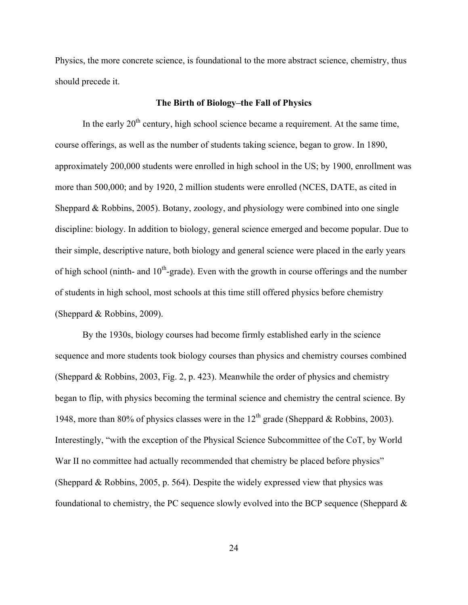Physics, the more concrete science, is foundational to the more abstract science, chemistry, thus should precede it.

## **The Birth of Biology–the Fall of Physics**

In the early  $20<sup>th</sup>$  century, high school science became a requirement. At the same time, course offerings, as well as the number of students taking science, began to grow. In 1890, approximately 200,000 students were enrolled in high school in the US; by 1900, enrollment was more than 500,000; and by 1920, 2 million students were enrolled (NCES, DATE, as cited in Sheppard & Robbins, 2005). Botany, zoology, and physiology were combined into one single discipline: biology. In addition to biology, general science emerged and become popular. Due to their simple, descriptive nature, both biology and general science were placed in the early years of high school (ninth- and  $10<sup>th</sup>$ -grade). Even with the growth in course offerings and the number of students in high school, most schools at this time still offered physics before chemistry (Sheppard & Robbins, 2009).

By the 1930s, biology courses had become firmly established early in the science sequence and more students took biology courses than physics and chemistry courses combined (Sheppard & Robbins, 2003, Fig. 2, p. 423). Meanwhile the order of physics and chemistry began to flip, with physics becoming the terminal science and chemistry the central science. By 1948, more than 80% of physics classes were in the 12<sup>th</sup> grade (Sheppard & Robbins, 2003). Interestingly, "with the exception of the Physical Science Subcommittee of the CoT, by World War II no committee had actually recommended that chemistry be placed before physics" (Sheppard & Robbins, 2005, p. 564). Despite the widely expressed view that physics was foundational to chemistry, the PC sequence slowly evolved into the BCP sequence (Sheppard &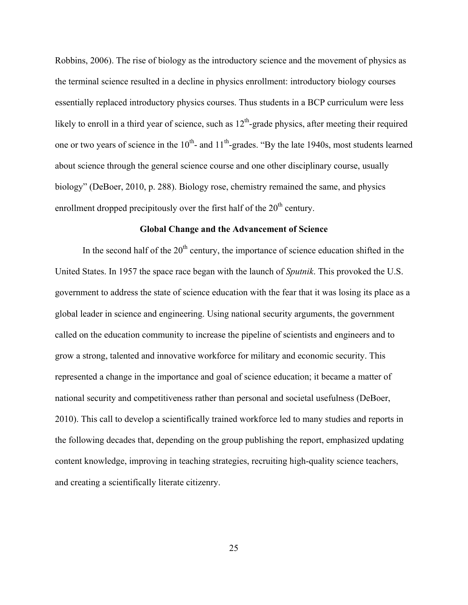Robbins, 2006). The rise of biology as the introductory science and the movement of physics as the terminal science resulted in a decline in physics enrollment: introductory biology courses essentially replaced introductory physics courses. Thus students in a BCP curriculum were less likely to enroll in a third year of science, such as  $12<sup>th</sup>$ -grade physics, after meeting their required one or two years of science in the  $10<sup>th</sup>$ - and  $11<sup>th</sup>$ -grades. "By the late 1940s, most students learned about science through the general science course and one other disciplinary course, usually biology" (DeBoer, 2010, p. 288). Biology rose, chemistry remained the same, and physics enrollment dropped precipitously over the first half of the  $20<sup>th</sup>$  century.

### **Global Change and the Advancement of Science**

In the second half of the  $20<sup>th</sup>$  century, the importance of science education shifted in the United States. In 1957 the space race began with the launch of *Sputnik*. This provoked the U.S. government to address the state of science education with the fear that it was losing its place as a global leader in science and engineering. Using national security arguments, the government called on the education community to increase the pipeline of scientists and engineers and to grow a strong, talented and innovative workforce for military and economic security. This represented a change in the importance and goal of science education; it became a matter of national security and competitiveness rather than personal and societal usefulness (DeBoer, 2010). This call to develop a scientifically trained workforce led to many studies and reports in the following decades that, depending on the group publishing the report, emphasized updating content knowledge, improving in teaching strategies, recruiting high-quality science teachers, and creating a scientifically literate citizenry.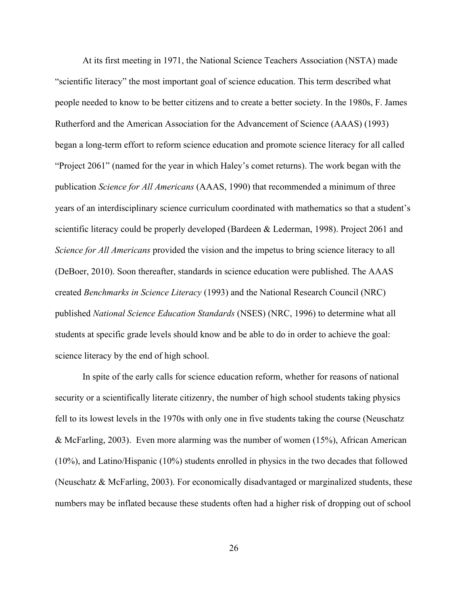At its first meeting in 1971, the National Science Teachers Association (NSTA) made "scientific literacy" the most important goal of science education. This term described what people needed to know to be better citizens and to create a better society. In the 1980s, F. James Rutherford and the American Association for the Advancement of Science (AAAS) (1993) began a long-term effort to reform science education and promote science literacy for all called "Project 2061" (named for the year in which Haley's comet returns). The work began with the publication *Science for All Americans* (AAAS, 1990) that recommended a minimum of three years of an interdisciplinary science curriculum coordinated with mathematics so that a student's scientific literacy could be properly developed (Bardeen & Lederman, 1998). Project 2061 and *Science for All Americans* provided the vision and the impetus to bring science literacy to all (DeBoer, 2010). Soon thereafter, standards in science education were published. The AAAS created *Benchmarks in Science Literacy* (1993) and the National Research Council (NRC) published *National Science Education Standards* (NSES) (NRC, 1996) to determine what all students at specific grade levels should know and be able to do in order to achieve the goal: science literacy by the end of high school.

In spite of the early calls for science education reform, whether for reasons of national security or a scientifically literate citizenry, the number of high school students taking physics fell to its lowest levels in the 1970s with only one in five students taking the course (Neuschatz & McFarling, 2003). Even more alarming was the number of women (15%), African American (10%), and Latino/Hispanic (10%) students enrolled in physics in the two decades that followed (Neuschatz & McFarling, 2003). For economically disadvantaged or marginalized students, these numbers may be inflated because these students often had a higher risk of dropping out of school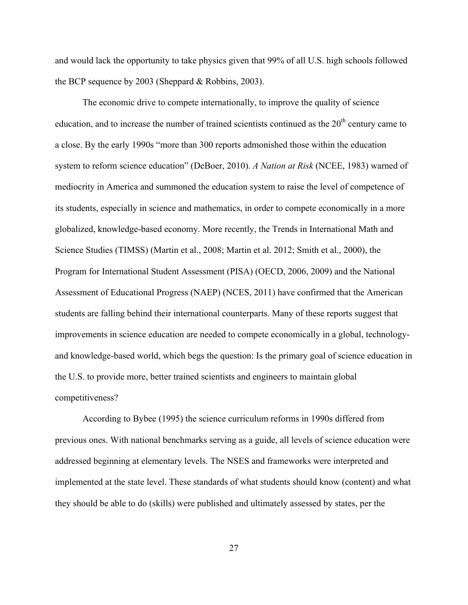and would lack the opportunity to take physics given that 99% of all U.S. high schools followed the BCP sequence by 2003 (Sheppard & Robbins, 2003).

The economic drive to compete internationally, to improve the quality of science education, and to increase the number of trained scientists continued as the  $20<sup>th</sup>$  century came to a close. By the early 1990s "more than 300 reports admonished those within the education system to reform science education" (DeBoer, 2010). *A Nation at Risk* (NCEE, 1983) warned of mediocrity in America and summoned the education system to raise the level of competence of its students, especially in science and mathematics, in order to compete economically in a more globalized, knowledge-based economy. More recently, the Trends in International Math and Science Studies (TIMSS) (Martin et al., 2008; Martin et al. 2012; Smith et al., 2000), the Program for International Student Assessment (PISA) (OECD, 2006, 2009) and the National Assessment of Educational Progress (NAEP) (NCES, 2011) have confirmed that the American students are falling behind their international counterparts. Many of these reports suggest that improvements in science education are needed to compete economically in a global, technologyand knowledge-based world, which begs the question: Is the primary goal of science education in the U.S. to provide more, better trained scientists and engineers to maintain global competitiveness?

According to Bybee (1995) the science curriculum reforms in 1990s differed from previous ones. With national benchmarks serving as a guide, all levels of science education were addressed beginning at elementary levels. The NSES and frameworks were interpreted and implemented at the state level. These standards of what students should know (content) and what they should be able to do (skills) were published and ultimately assessed by states, per the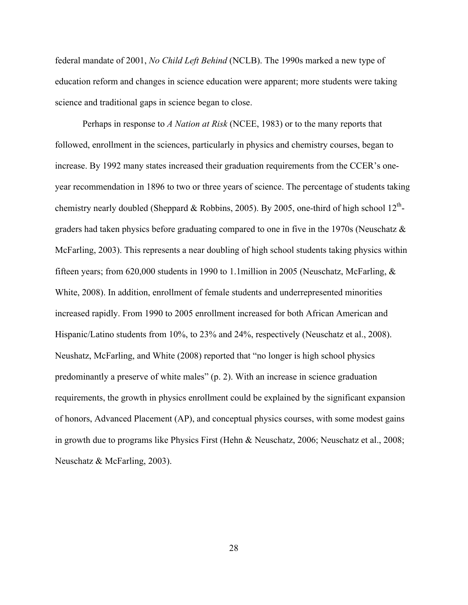federal mandate of 2001, *No Child Left Behind* (NCLB). The 1990s marked a new type of education reform and changes in science education were apparent; more students were taking science and traditional gaps in science began to close.

Perhaps in response to *A Nation at Risk* (NCEE, 1983) or to the many reports that followed, enrollment in the sciences, particularly in physics and chemistry courses, began to increase. By 1992 many states increased their graduation requirements from the CCER's oneyear recommendation in 1896 to two or three years of science. The percentage of students taking chemistry nearly doubled (Sheppard & Robbins, 2005). By 2005, one-third of high school  $12^{th}$ graders had taken physics before graduating compared to one in five in the 1970s (Neuschatz & McFarling, 2003). This represents a near doubling of high school students taking physics within fifteen years; from 620,000 students in 1990 to 1.1million in 2005 (Neuschatz, McFarling,  $\&$ White, 2008). In addition, enrollment of female students and underrepresented minorities increased rapidly. From 1990 to 2005 enrollment increased for both African American and Hispanic/Latino students from 10%, to 23% and 24%, respectively (Neuschatz et al., 2008). Neushatz, McFarling, and White (2008) reported that "no longer is high school physics predominantly a preserve of white males" (p. 2). With an increase in science graduation requirements, the growth in physics enrollment could be explained by the significant expansion of honors, Advanced Placement (AP), and conceptual physics courses, with some modest gains in growth due to programs like Physics First (Hehn & Neuschatz, 2006; Neuschatz et al., 2008; Neuschatz & McFarling, 2003).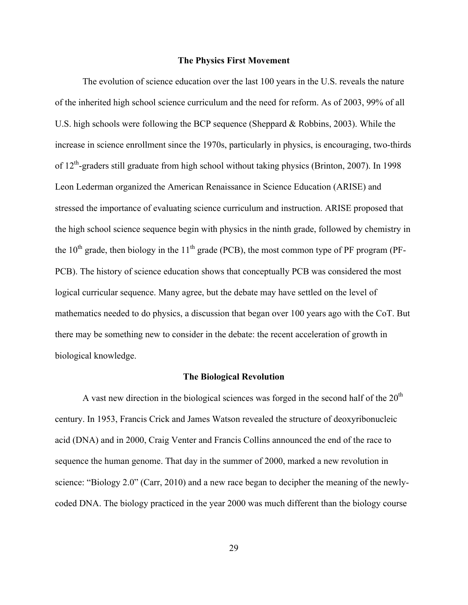# **The Physics First Movement**

The evolution of science education over the last 100 years in the U.S. reveals the nature of the inherited high school science curriculum and the need for reform. As of 2003, 99% of all U.S. high schools were following the BCP sequence (Sheppard & Robbins, 2003). While the increase in science enrollment since the 1970s, particularly in physics, is encouraging, two-thirds of 12<sup>th</sup>-graders still graduate from high school without taking physics (Brinton, 2007). In 1998 Leon Lederman organized the American Renaissance in Science Education (ARISE) and stressed the importance of evaluating science curriculum and instruction. ARISE proposed that the high school science sequence begin with physics in the ninth grade, followed by chemistry in the  $10<sup>th</sup>$  grade, then biology in the  $11<sup>th</sup>$  grade (PCB), the most common type of PF program (PF-PCB). The history of science education shows that conceptually PCB was considered the most logical curricular sequence. Many agree, but the debate may have settled on the level of mathematics needed to do physics, a discussion that began over 100 years ago with the CoT. But there may be something new to consider in the debate: the recent acceleration of growth in biological knowledge.

### **The Biological Revolution**

A vast new direction in the biological sciences was forged in the second half of the  $20<sup>th</sup>$ century. In 1953, Francis Crick and James Watson revealed the structure of deoxyribonucleic acid (DNA) and in 2000, Craig Venter and Francis Collins announced the end of the race to sequence the human genome. That day in the summer of 2000, marked a new revolution in science: "Biology 2.0" (Carr, 2010) and a new race began to decipher the meaning of the newlycoded DNA. The biology practiced in the year 2000 was much different than the biology course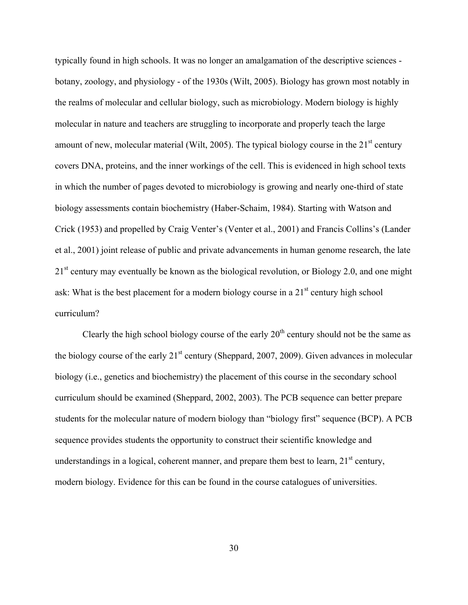typically found in high schools. It was no longer an amalgamation of the descriptive sciences botany, zoology, and physiology - of the 1930s (Wilt, 2005). Biology has grown most notably in the realms of molecular and cellular biology, such as microbiology. Modern biology is highly molecular in nature and teachers are struggling to incorporate and properly teach the large amount of new, molecular material (Wilt, 2005). The typical biology course in the  $21<sup>st</sup>$  century covers DNA, proteins, and the inner workings of the cell. This is evidenced in high school texts in which the number of pages devoted to microbiology is growing and nearly one-third of state biology assessments contain biochemistry (Haber-Schaim, 1984). Starting with Watson and Crick (1953) and propelled by Craig Venter's (Venter et al., 2001) and Francis Collins's (Lander et al., 2001) joint release of public and private advancements in human genome research, the late 21<sup>st</sup> century may eventually be known as the biological revolution, or Biology 2.0, and one might ask: What is the best placement for a modern biology course in a  $21<sup>st</sup>$  century high school curriculum?

Clearly the high school biology course of the early  $20<sup>th</sup>$  century should not be the same as the biology course of the early  $21<sup>st</sup>$  century (Sheppard, 2007, 2009). Given advances in molecular biology (i.e., genetics and biochemistry) the placement of this course in the secondary school curriculum should be examined (Sheppard, 2002, 2003). The PCB sequence can better prepare students for the molecular nature of modern biology than "biology first" sequence (BCP). A PCB sequence provides students the opportunity to construct their scientific knowledge and understandings in a logical, coherent manner, and prepare them best to learn,  $21<sup>st</sup>$  century, modern biology. Evidence for this can be found in the course catalogues of universities.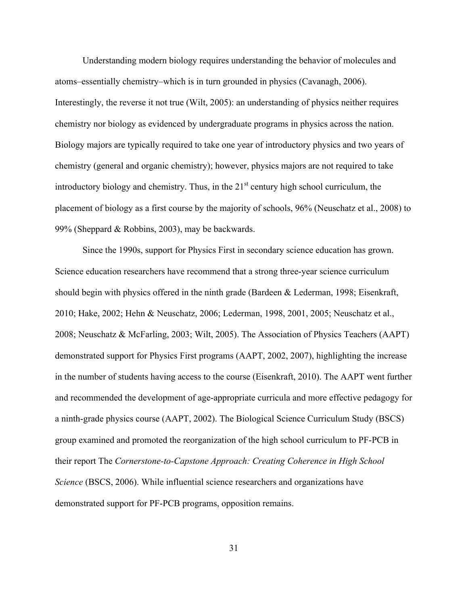Understanding modern biology requires understanding the behavior of molecules and atoms–essentially chemistry–which is in turn grounded in physics (Cavanagh, 2006). Interestingly, the reverse it not true (Wilt, 2005): an understanding of physics neither requires chemistry nor biology as evidenced by undergraduate programs in physics across the nation. Biology majors are typically required to take one year of introductory physics and two years of chemistry (general and organic chemistry); however, physics majors are not required to take introductory biology and chemistry. Thus, in the  $21<sup>st</sup>$  century high school curriculum, the placement of biology as a first course by the majority of schools, 96% (Neuschatz et al., 2008) to 99% (Sheppard & Robbins, 2003), may be backwards.

Since the 1990s, support for Physics First in secondary science education has grown. Science education researchers have recommend that a strong three-year science curriculum should begin with physics offered in the ninth grade (Bardeen & Lederman, 1998; Eisenkraft, 2010; Hake, 2002; Hehn & Neuschatz, 2006; Lederman, 1998, 2001, 2005; Neuschatz et al., 2008; Neuschatz & McFarling, 2003; Wilt, 2005). The Association of Physics Teachers (AAPT) demonstrated support for Physics First programs (AAPT, 2002, 2007), highlighting the increase in the number of students having access to the course (Eisenkraft, 2010). The AAPT went further and recommended the development of age-appropriate curricula and more effective pedagogy for a ninth-grade physics course (AAPT, 2002). The Biological Science Curriculum Study (BSCS) group examined and promoted the reorganization of the high school curriculum to PF-PCB in their report The *Cornerstone-to-Capstone Approach: Creating Coherence in High School Science* (BSCS, 2006). While influential science researchers and organizations have demonstrated support for PF-PCB programs, opposition remains.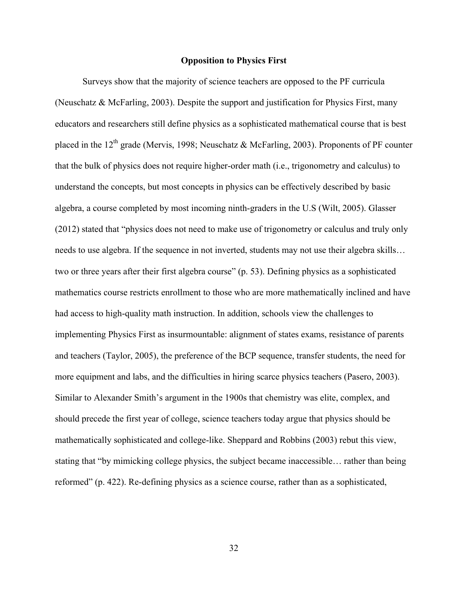## **Opposition to Physics First**

Surveys show that the majority of science teachers are opposed to the PF curricula (Neuschatz & McFarling, 2003). Despite the support and justification for Physics First, many educators and researchers still define physics as a sophisticated mathematical course that is best placed in the 12<sup>th</sup> grade (Mervis, 1998; Neuschatz & McFarling, 2003). Proponents of PF counter that the bulk of physics does not require higher-order math (i.e., trigonometry and calculus) to understand the concepts, but most concepts in physics can be effectively described by basic algebra, a course completed by most incoming ninth-graders in the U.S (Wilt, 2005). Glasser (2012) stated that "physics does not need to make use of trigonometry or calculus and truly only needs to use algebra. If the sequence in not inverted, students may not use their algebra skills… two or three years after their first algebra course" (p. 53). Defining physics as a sophisticated mathematics course restricts enrollment to those who are more mathematically inclined and have had access to high-quality math instruction. In addition, schools view the challenges to implementing Physics First as insurmountable: alignment of states exams, resistance of parents and teachers (Taylor, 2005), the preference of the BCP sequence, transfer students, the need for more equipment and labs, and the difficulties in hiring scarce physics teachers (Pasero, 2003). Similar to Alexander Smith's argument in the 1900s that chemistry was elite, complex, and should precede the first year of college, science teachers today argue that physics should be mathematically sophisticated and college-like. Sheppard and Robbins (2003) rebut this view, stating that "by mimicking college physics, the subject became inaccessible… rather than being reformed" (p. 422). Re-defining physics as a science course, rather than as a sophisticated,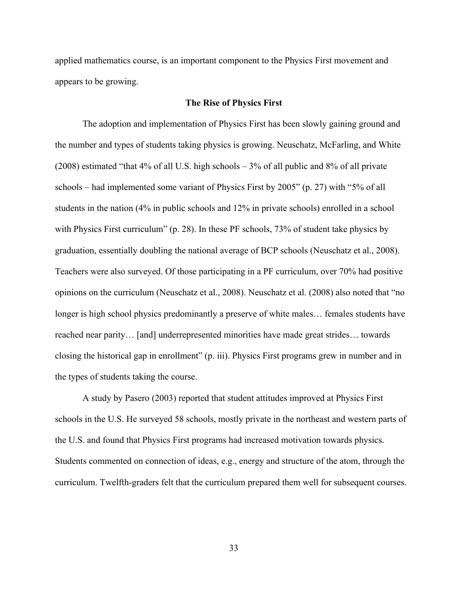applied mathematics course, is an important component to the Physics First movement and appears to be growing.

## **The Rise of Physics First**

The adoption and implementation of Physics First has been slowly gaining ground and the number and types of students taking physics is growing. Neuschatz, McFarling, and White (2008) estimated "that 4% of all U.S. high schools – 3% of all public and 8% of all private schools – had implemented some variant of Physics First by 2005" (p. 27) with "5% of all students in the nation (4% in public schools and 12% in private schools) enrolled in a school with Physics First curriculum" (p. 28). In these PF schools, 73% of student take physics by graduation, essentially doubling the national average of BCP schools (Neuschatz et al., 2008). Teachers were also surveyed. Of those participating in a PF curriculum, over 70% had positive opinions on the curriculum (Neuschatz et al., 2008). Neuschatz et al. (2008) also noted that "no longer is high school physics predominantly a preserve of white males… females students have reached near parity… [and] underrepresented minorities have made great strides… towards closing the historical gap in enrollment" (p. iii). Physics First programs grew in number and in the types of students taking the course.

A study by Pasero (2003) reported that student attitudes improved at Physics First schools in the U.S. He surveyed 58 schools, mostly private in the northeast and western parts of the U.S. and found that Physics First programs had increased motivation towards physics. Students commented on connection of ideas, e.g., energy and structure of the atom, through the curriculum. Twelfth-graders felt that the curriculum prepared them well for subsequent courses.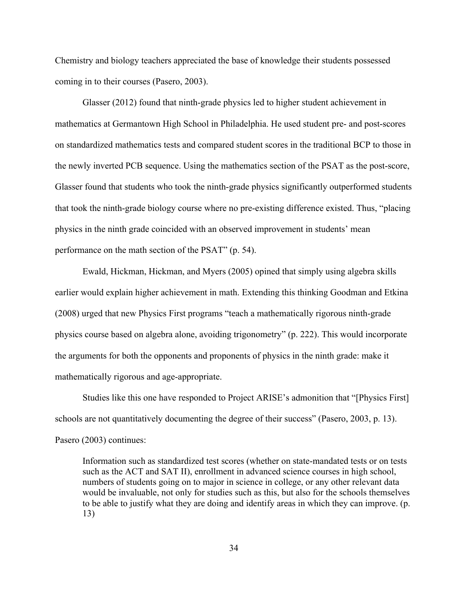Chemistry and biology teachers appreciated the base of knowledge their students possessed coming in to their courses (Pasero, 2003).

Glasser (2012) found that ninth-grade physics led to higher student achievement in mathematics at Germantown High School in Philadelphia. He used student pre- and post-scores on standardized mathematics tests and compared student scores in the traditional BCP to those in the newly inverted PCB sequence. Using the mathematics section of the PSAT as the post-score, Glasser found that students who took the ninth-grade physics significantly outperformed students that took the ninth-grade biology course where no pre-existing difference existed. Thus, "placing physics in the ninth grade coincided with an observed improvement in students' mean performance on the math section of the PSAT" (p. 54).

Ewald, Hickman, Hickman, and Myers (2005) opined that simply using algebra skills earlier would explain higher achievement in math. Extending this thinking Goodman and Etkina (2008) urged that new Physics First programs "teach a mathematically rigorous ninth-grade physics course based on algebra alone, avoiding trigonometry" (p. 222). This would incorporate the arguments for both the opponents and proponents of physics in the ninth grade: make it mathematically rigorous and age-appropriate.

Studies like this one have responded to Project ARISE's admonition that "[Physics First] schools are not quantitatively documenting the degree of their success" (Pasero, 2003, p. 13). Pasero (2003) continues:

Information such as standardized test scores (whether on state-mandated tests or on tests such as the ACT and SAT II), enrollment in advanced science courses in high school, numbers of students going on to major in science in college, or any other relevant data would be invaluable, not only for studies such as this, but also for the schools themselves to be able to justify what they are doing and identify areas in which they can improve. (p. 13)

34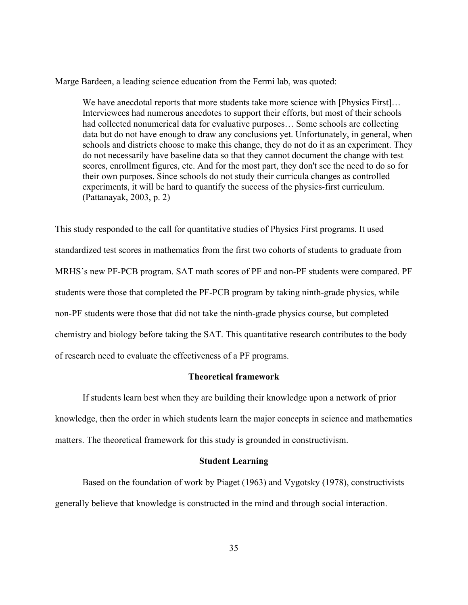Marge Bardeen, a leading science education from the Fermi lab, was quoted:

We have anecdotal reports that more students take more science with [Physics First]... Interviewees had numerous anecdotes to support their efforts, but most of their schools had collected nonumerical data for evaluative purposes… Some schools are collecting data but do not have enough to draw any conclusions yet. Unfortunately, in general, when schools and districts choose to make this change, they do not do it as an experiment. They do not necessarily have baseline data so that they cannot document the change with test scores, enrollment figures, etc. And for the most part, they don't see the need to do so for their own purposes. Since schools do not study their curricula changes as controlled experiments, it will be hard to quantify the success of the physics-first curriculum. (Pattanayak, 2003, p. 2)

This study responded to the call for quantitative studies of Physics First programs. It used standardized test scores in mathematics from the first two cohorts of students to graduate from MRHS's new PF-PCB program. SAT math scores of PF and non-PF students were compared. PF students were those that completed the PF-PCB program by taking ninth-grade physics, while non-PF students were those that did not take the ninth-grade physics course, but completed chemistry and biology before taking the SAT. This quantitative research contributes to the body of research need to evaluate the effectiveness of a PF programs.

# **Theoretical framework**

If students learn best when they are building their knowledge upon a network of prior knowledge, then the order in which students learn the major concepts in science and mathematics matters. The theoretical framework for this study is grounded in constructivism.

### **Student Learning**

Based on the foundation of work by Piaget (1963) and Vygotsky (1978), constructivists generally believe that knowledge is constructed in the mind and through social interaction.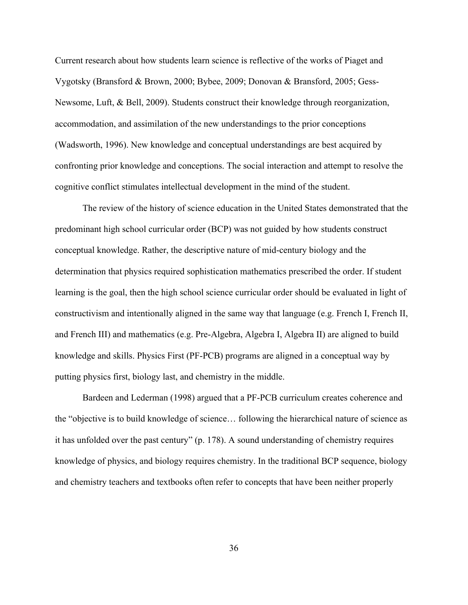Current research about how students learn science is reflective of the works of Piaget and Vygotsky (Bransford & Brown, 2000; Bybee, 2009; Donovan & Bransford, 2005; Gess-Newsome, Luft, & Bell, 2009). Students construct their knowledge through reorganization, accommodation, and assimilation of the new understandings to the prior conceptions (Wadsworth, 1996). New knowledge and conceptual understandings are best acquired by confronting prior knowledge and conceptions. The social interaction and attempt to resolve the cognitive conflict stimulates intellectual development in the mind of the student.

The review of the history of science education in the United States demonstrated that the predominant high school curricular order (BCP) was not guided by how students construct conceptual knowledge. Rather, the descriptive nature of mid-century biology and the determination that physics required sophistication mathematics prescribed the order. If student learning is the goal, then the high school science curricular order should be evaluated in light of constructivism and intentionally aligned in the same way that language (e.g. French I, French II, and French III) and mathematics (e.g. Pre-Algebra, Algebra I, Algebra II) are aligned to build knowledge and skills. Physics First (PF-PCB) programs are aligned in a conceptual way by putting physics first, biology last, and chemistry in the middle.

Bardeen and Lederman (1998) argued that a PF-PCB curriculum creates coherence and the "objective is to build knowledge of science… following the hierarchical nature of science as it has unfolded over the past century" (p. 178). A sound understanding of chemistry requires knowledge of physics, and biology requires chemistry. In the traditional BCP sequence, biology and chemistry teachers and textbooks often refer to concepts that have been neither properly

36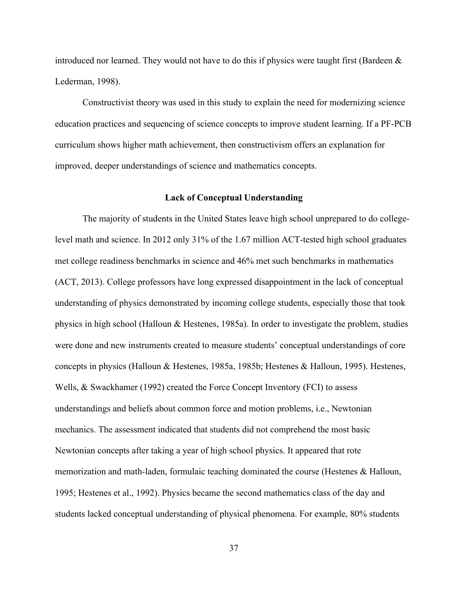introduced nor learned. They would not have to do this if physics were taught first (Bardeen  $\&$ Lederman, 1998).

Constructivist theory was used in this study to explain the need for modernizing science education practices and sequencing of science concepts to improve student learning. If a PF-PCB curriculum shows higher math achievement, then constructivism offers an explanation for improved, deeper understandings of science and mathematics concepts.

## **Lack of Conceptual Understanding**

The majority of students in the United States leave high school unprepared to do collegelevel math and science. In 2012 only 31% of the 1.67 million ACT-tested high school graduates met college readiness benchmarks in science and 46% met such benchmarks in mathematics (ACT, 2013). College professors have long expressed disappointment in the lack of conceptual understanding of physics demonstrated by incoming college students, especially those that took physics in high school (Halloun & Hestenes, 1985a). In order to investigate the problem, studies were done and new instruments created to measure students' conceptual understandings of core concepts in physics (Halloun & Hestenes, 1985a, 1985b; Hestenes & Halloun, 1995). Hestenes, Wells, & Swackhamer (1992) created the Force Concept Inventory (FCI) to assess understandings and beliefs about common force and motion problems, i.e., Newtonian mechanics. The assessment indicated that students did not comprehend the most basic Newtonian concepts after taking a year of high school physics. It appeared that rote memorization and math-laden, formulaic teaching dominated the course (Hestenes & Halloun, 1995; Hestenes et al., 1992). Physics became the second mathematics class of the day and students lacked conceptual understanding of physical phenomena. For example, 80% students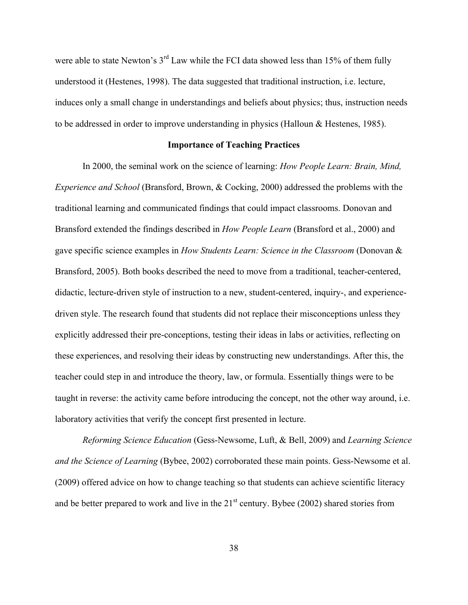were able to state Newton's 3<sup>rd</sup> Law while the FCI data showed less than 15% of them fully understood it (Hestenes, 1998). The data suggested that traditional instruction, i.e. lecture, induces only a small change in understandings and beliefs about physics; thus, instruction needs to be addressed in order to improve understanding in physics (Halloun & Hestenes, 1985).

## **Importance of Teaching Practices**

In 2000, the seminal work on the science of learning: *How People Learn: Brain, Mind, Experience and School* (Bransford, Brown, & Cocking, 2000) addressed the problems with the traditional learning and communicated findings that could impact classrooms. Donovan and Bransford extended the findings described in *How People Learn* (Bransford et al., 2000) and gave specific science examples in *How Students Learn: Science in the Classroom* (Donovan & Bransford, 2005). Both books described the need to move from a traditional, teacher-centered, didactic, lecture-driven style of instruction to a new, student-centered, inquiry-, and experiencedriven style. The research found that students did not replace their misconceptions unless they explicitly addressed their pre-conceptions, testing their ideas in labs or activities, reflecting on these experiences, and resolving their ideas by constructing new understandings. After this, the teacher could step in and introduce the theory, law, or formula. Essentially things were to be taught in reverse: the activity came before introducing the concept, not the other way around, i.e. laboratory activities that verify the concept first presented in lecture.

*Reforming Science Education* (Gess-Newsome, Luft, & Bell, 2009) and *Learning Science and the Science of Learning* (Bybee, 2002) corroborated these main points. Gess-Newsome et al. (2009) offered advice on how to change teaching so that students can achieve scientific literacy and be better prepared to work and live in the  $21<sup>st</sup>$  century. Bybee (2002) shared stories from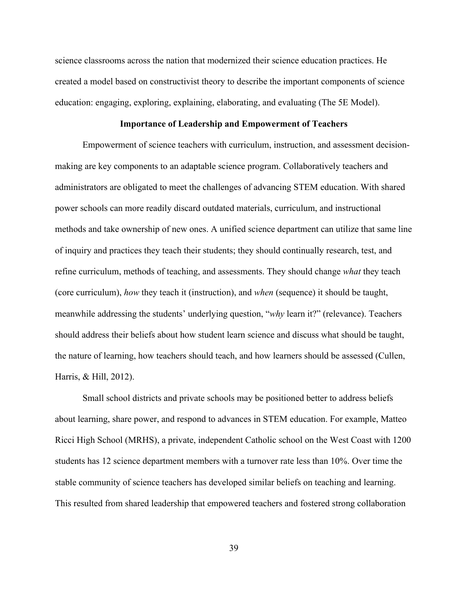science classrooms across the nation that modernized their science education practices. He created a model based on constructivist theory to describe the important components of science education: engaging, exploring, explaining, elaborating, and evaluating (The 5E Model).

## **Importance of Leadership and Empowerment of Teachers**

Empowerment of science teachers with curriculum, instruction, and assessment decisionmaking are key components to an adaptable science program. Collaboratively teachers and administrators are obligated to meet the challenges of advancing STEM education. With shared power schools can more readily discard outdated materials, curriculum, and instructional methods and take ownership of new ones. A unified science department can utilize that same line of inquiry and practices they teach their students; they should continually research, test, and refine curriculum, methods of teaching, and assessments. They should change *what* they teach (core curriculum), *how* they teach it (instruction), and *when* (sequence) it should be taught, meanwhile addressing the students' underlying question, "*why* learn it?" (relevance). Teachers should address their beliefs about how student learn science and discuss what should be taught, the nature of learning, how teachers should teach, and how learners should be assessed (Cullen, Harris, & Hill, 2012).

Small school districts and private schools may be positioned better to address beliefs about learning, share power, and respond to advances in STEM education. For example, Matteo Ricci High School (MRHS), a private, independent Catholic school on the West Coast with 1200 students has 12 science department members with a turnover rate less than 10%. Over time the stable community of science teachers has developed similar beliefs on teaching and learning. This resulted from shared leadership that empowered teachers and fostered strong collaboration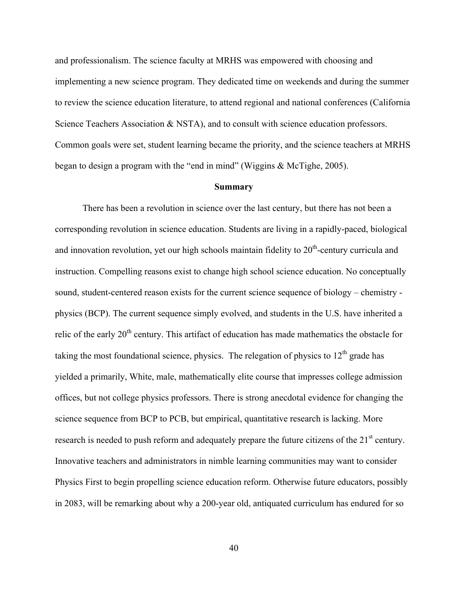and professionalism. The science faculty at MRHS was empowered with choosing and implementing a new science program. They dedicated time on weekends and during the summer to review the science education literature, to attend regional and national conferences (California Science Teachers Association & NSTA), and to consult with science education professors. Common goals were set, student learning became the priority, and the science teachers at MRHS began to design a program with the "end in mind" (Wiggins & McTighe, 2005).

#### **Summary**

There has been a revolution in science over the last century, but there has not been a corresponding revolution in science education. Students are living in a rapidly-paced, biological and innovation revolution, yet our high schools maintain fidelity to  $20<sup>th</sup>$ -century curricula and instruction. Compelling reasons exist to change high school science education. No conceptually sound, student-centered reason exists for the current science sequence of biology – chemistry physics (BCP). The current sequence simply evolved, and students in the U.S. have inherited a relic of the early 20<sup>th</sup> century. This artifact of education has made mathematics the obstacle for taking the most foundational science, physics. The relegation of physics to  $12<sup>th</sup>$  grade has yielded a primarily, White, male, mathematically elite course that impresses college admission offices, but not college physics professors. There is strong anecdotal evidence for changing the science sequence from BCP to PCB, but empirical, quantitative research is lacking. More research is needed to push reform and adequately prepare the future citizens of the 21<sup>st</sup> century. Innovative teachers and administrators in nimble learning communities may want to consider Physics First to begin propelling science education reform. Otherwise future educators, possibly in 2083, will be remarking about why a 200-year old, antiquated curriculum has endured for so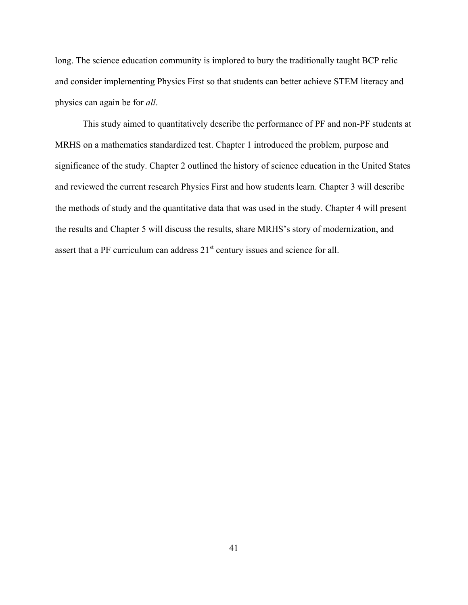long. The science education community is implored to bury the traditionally taught BCP relic and consider implementing Physics First so that students can better achieve STEM literacy and physics can again be for *all*.

This study aimed to quantitatively describe the performance of PF and non-PF students at MRHS on a mathematics standardized test. Chapter 1 introduced the problem, purpose and significance of the study. Chapter 2 outlined the history of science education in the United States and reviewed the current research Physics First and how students learn. Chapter 3 will describe the methods of study and the quantitative data that was used in the study. Chapter 4 will present the results and Chapter 5 will discuss the results, share MRHS's story of modernization, and assert that a PF curriculum can address  $21<sup>st</sup>$  century issues and science for all.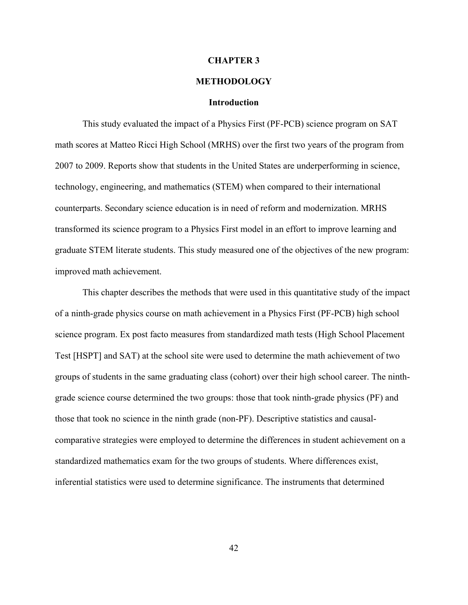### **CHAPTER 3**

# **METHODOLOGY**

### **Introduction**

This study evaluated the impact of a Physics First (PF-PCB) science program on SAT math scores at Matteo Ricci High School (MRHS) over the first two years of the program from 2007 to 2009. Reports show that students in the United States are underperforming in science, technology, engineering, and mathematics (STEM) when compared to their international counterparts. Secondary science education is in need of reform and modernization. MRHS transformed its science program to a Physics First model in an effort to improve learning and graduate STEM literate students. This study measured one of the objectives of the new program: improved math achievement.

This chapter describes the methods that were used in this quantitative study of the impact of a ninth-grade physics course on math achievement in a Physics First (PF-PCB) high school science program. Ex post facto measures from standardized math tests (High School Placement Test [HSPT] and SAT) at the school site were used to determine the math achievement of two groups of students in the same graduating class (cohort) over their high school career. The ninthgrade science course determined the two groups: those that took ninth-grade physics (PF) and those that took no science in the ninth grade (non-PF). Descriptive statistics and causalcomparative strategies were employed to determine the differences in student achievement on a standardized mathematics exam for the two groups of students. Where differences exist, inferential statistics were used to determine significance. The instruments that determined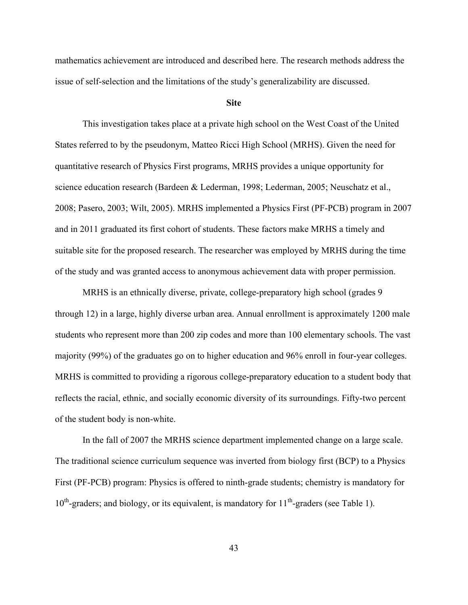mathematics achievement are introduced and described here. The research methods address the issue of self-selection and the limitations of the study's generalizability are discussed.

### **Site**

This investigation takes place at a private high school on the West Coast of the United States referred to by the pseudonym, Matteo Ricci High School (MRHS). Given the need for quantitative research of Physics First programs, MRHS provides a unique opportunity for science education research (Bardeen & Lederman, 1998; Lederman, 2005; Neuschatz et al., 2008; Pasero, 2003; Wilt, 2005). MRHS implemented a Physics First (PF-PCB) program in 2007 and in 2011 graduated its first cohort of students. These factors make MRHS a timely and suitable site for the proposed research. The researcher was employed by MRHS during the time of the study and was granted access to anonymous achievement data with proper permission.

MRHS is an ethnically diverse, private, college-preparatory high school (grades 9 through 12) in a large, highly diverse urban area. Annual enrollment is approximately 1200 male students who represent more than 200 zip codes and more than 100 elementary schools. The vast majority (99%) of the graduates go on to higher education and 96% enroll in four-year colleges. MRHS is committed to providing a rigorous college-preparatory education to a student body that reflects the racial, ethnic, and socially economic diversity of its surroundings. Fifty-two percent of the student body is non-white.

In the fall of 2007 the MRHS science department implemented change on a large scale. The traditional science curriculum sequence was inverted from biology first (BCP) to a Physics First (PF-PCB) program: Physics is offered to ninth-grade students; chemistry is mandatory for  $10^{th}$ -graders; and biology, or its equivalent, is mandatory for  $11^{th}$ -graders (see Table 1).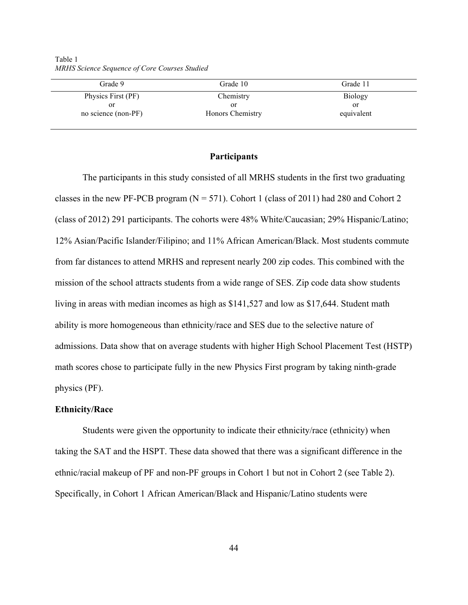| Grade 9             | Grade 10         | Grade 11       |
|---------------------|------------------|----------------|
|                     |                  |                |
| Physics First (PF)  | Chemistry        | <b>Biology</b> |
| or                  | or               | or             |
| no science (non-PF) | Honors Chemistry | equivalent     |
|                     |                  |                |

Table 1 *MRHS Science Sequence of Core Courses Studied*

### **Participants**

The participants in this study consisted of all MRHS students in the first two graduating classes in the new PF-PCB program ( $N = 571$ ). Cohort 1 (class of 2011) had 280 and Cohort 2 (class of 2012) 291 participants. The cohorts were 48% White/Caucasian; 29% Hispanic/Latino; 12% Asian/Pacific Islander/Filipino; and 11% African American/Black. Most students commute from far distances to attend MRHS and represent nearly 200 zip codes. This combined with the mission of the school attracts students from a wide range of SES. Zip code data show students living in areas with median incomes as high as \$141,527 and low as \$17,644. Student math ability is more homogeneous than ethnicity/race and SES due to the selective nature of admissions. Data show that on average students with higher High School Placement Test (HSTP) math scores chose to participate fully in the new Physics First program by taking ninth-grade physics (PF).

## **Ethnicity/Race**

Students were given the opportunity to indicate their ethnicity/race (ethnicity) when taking the SAT and the HSPT. These data showed that there was a significant difference in the ethnic/racial makeup of PF and non-PF groups in Cohort 1 but not in Cohort 2 (see Table 2). Specifically, in Cohort 1 African American/Black and Hispanic/Latino students were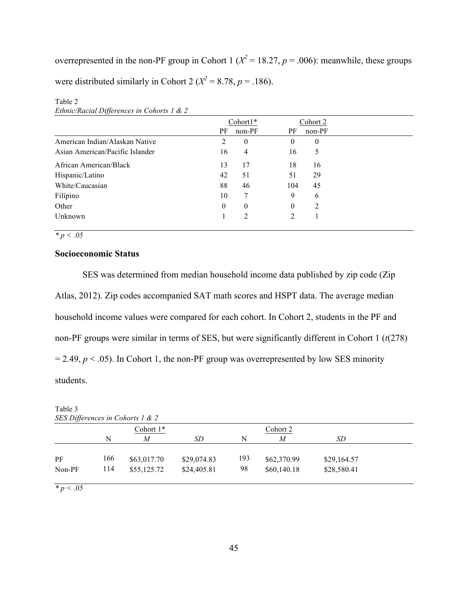overrepresented in the non-PF group in Cohort 1 ( $X^2 = 18.27$ ,  $p = .006$ ): meanwhile, these groups were distributed similarly in Cohort 2 ( $X^2 = 8.78$ ,  $p = .186$ ).

|                                 |              | $Cohort1*$   |          | Cohort 2 |
|---------------------------------|--------------|--------------|----------|----------|
|                                 | PF           | $non-PF$     | PF       | $non-PF$ |
| American Indian/Alaskan Native  | 2            | $\mathbf{0}$ | 0        | $\theta$ |
| Asian American/Pacific Islander | 16           | 4            | 16       | 5        |
| African American/Black          | 13           | 17           | 18       | 16       |
| Hispanic/Latino                 | 42           | 51           | 51       | 29       |
| White/Caucasian                 | 88           | 46           | 104      | 45       |
| Filipino                        | 10           | 7            | 9        | 6        |
| Other                           | $\mathbf{0}$ | $\mathbf{0}$ | $\theta$ | 2        |
| Unknown                         |              | 2            | 2        |          |
|                                 |              |              |          |          |

Table 2 *Ethnic/Racial Differences in Cohorts 1 & 2*

*\* p < .05*

# **Socioeconomic Status**

SES was determined from median household income data published by zip code (Zip Atlas, 2012). Zip codes accompanied SAT math scores and HSPT data. The average median household income values were compared for each cohort. In Cohort 2, students in the PF and non-PF groups were similar in terms of SES, but were significantly different in Cohort 1 (*t*(278)  $= 2.49, p < .05$ ). In Cohort 1, the non-PF group was overrepresented by low SES minority students.

|             |     | SES Differences in Cohorts 1 & 2<br>Cohort 1* |             |     | Cohort 2    |             |  |
|-------------|-----|-----------------------------------------------|-------------|-----|-------------|-------------|--|
|             | N   | M                                             | SD.         | N   | M           | SD          |  |
| PF          | 166 | \$63,017.70                                   | \$29,074.83 | 193 | \$62,370.99 | \$29,164.57 |  |
| Non-PF      | 114 | \$55,125.72                                   | \$24,405.81 | 98  | \$60,140.18 | \$28,580.41 |  |
| $* n < 0.5$ |     |                                               |             |     |             |             |  |

Table 3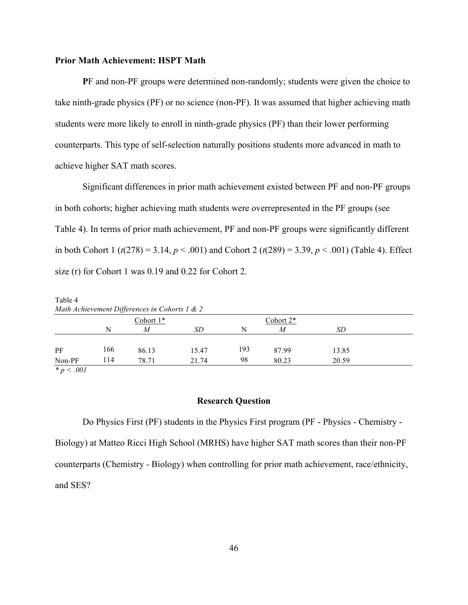## **Prior Math Achievement: HSPT Math**

**P**F and non-PF groups were determined non-randomly; students were given the choice to take ninth-grade physics (PF) or no science (non-PF). It was assumed that higher achieving math students were more likely to enroll in ninth-grade physics (PF) than their lower performing counterparts. This type of self-selection naturally positions students more advanced in math to achieve higher SAT math scores.

Significant differences in prior math achievement existed between PF and non-PF groups in both cohorts; higher achieving math students were overrepresented in the PF groups (see Table 4). In terms of prior math achievement, PF and non-PF groups were significantly different in both Cohort 1 ( $t(278) = 3.14$ ,  $p < .001$ ) and Cohort 2 ( $t(289) = 3.39$ ,  $p < .001$ ) (Table 4). Effect size (r) for Cohort 1 was 0.19 and 0.22 for Cohort 2.

|     | Cohort 1* |       |                                               | Cohort 2* |       |  |
|-----|-----------|-------|-----------------------------------------------|-----------|-------|--|
| N   | M         | SD    | N                                             | M         | SD    |  |
| 166 | 86.13     | 15.47 | 193                                           | 87.99     | 13.85 |  |
| 114 | 78.71     | 21.74 | 98                                            | 80.23     | 20.59 |  |
|     |           |       | Math Achievement Differences in Cohorts 1 & 2 |           |       |  |

*\* p < .001*

# **Research Question**

Do Physics First (PF) students in the Physics First program (PF - Physics - Chemistry - Biology) at Matteo Ricci High School (MRHS) have higher SAT math scores than their non-PF counterparts (Chemistry - Biology) when controlling for prior math achievement, race/ethnicity, and SES?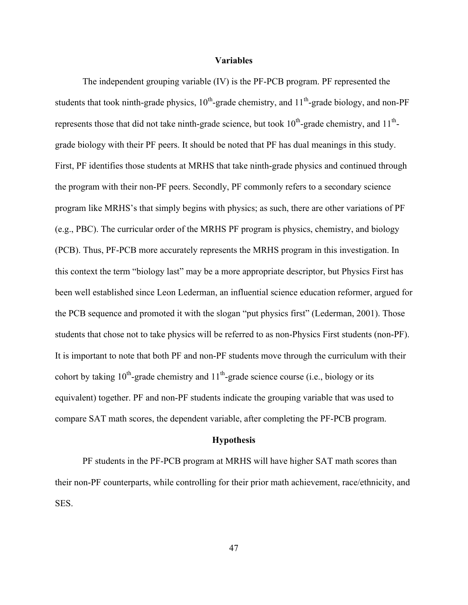### **Variables**

The independent grouping variable (IV) is the PF-PCB program. PF represented the students that took ninth-grade physics,  $10^{th}$ -grade chemistry, and  $11^{th}$ -grade biology, and non-PF represents those that did not take ninth-grade science, but took  $10^{th}$ -grade chemistry, and  $11^{th}$ grade biology with their PF peers. It should be noted that PF has dual meanings in this study. First, PF identifies those students at MRHS that take ninth-grade physics and continued through the program with their non-PF peers. Secondly, PF commonly refers to a secondary science program like MRHS's that simply begins with physics; as such, there are other variations of PF (e.g., PBC). The curricular order of the MRHS PF program is physics, chemistry, and biology (PCB). Thus, PF-PCB more accurately represents the MRHS program in this investigation. In this context the term "biology last" may be a more appropriate descriptor, but Physics First has been well established since Leon Lederman, an influential science education reformer, argued for the PCB sequence and promoted it with the slogan "put physics first" (Lederman, 2001). Those students that chose not to take physics will be referred to as non-Physics First students (non-PF). It is important to note that both PF and non-PF students move through the curriculum with their cohort by taking  $10^{th}$ -grade chemistry and  $11^{th}$ -grade science course (i.e., biology or its equivalent) together. PF and non-PF students indicate the grouping variable that was used to compare SAT math scores, the dependent variable, after completing the PF-PCB program.

#### **Hypothesis**

PF students in the PF-PCB program at MRHS will have higher SAT math scores than their non-PF counterparts, while controlling for their prior math achievement, race/ethnicity, and SES.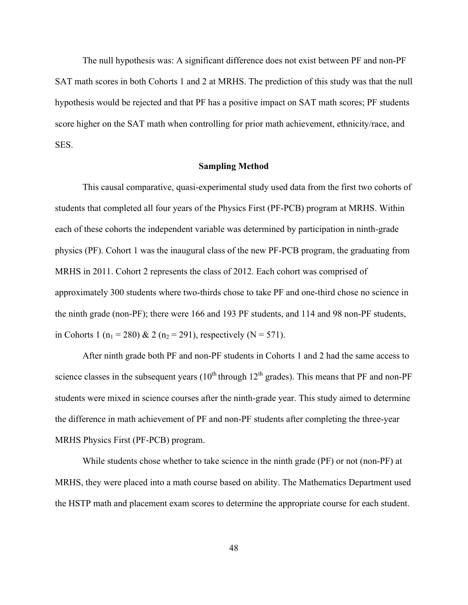The null hypothesis was: A significant difference does not exist between PF and non-PF SAT math scores in both Cohorts 1 and 2 at MRHS. The prediction of this study was that the null hypothesis would be rejected and that PF has a positive impact on SAT math scores; PF students score higher on the SAT math when controlling for prior math achievement, ethnicity/race, and SES.

## **Sampling Method**

This causal comparative, quasi-experimental study used data from the first two cohorts of students that completed all four years of the Physics First (PF-PCB) program at MRHS. Within each of these cohorts the independent variable was determined by participation in ninth-grade physics (PF). Cohort 1 was the inaugural class of the new PF-PCB program, the graduating from MRHS in 2011. Cohort 2 represents the class of 2012. Each cohort was comprised of approximately 300 students where two-thirds chose to take PF and one-third chose no science in the ninth grade (non-PF); there were 166 and 193 PF students, and 114 and 98 non-PF students, in Cohorts 1 ( $n_1 = 280$ ) & 2 ( $n_2 = 291$ ), respectively (N = 571).

After ninth grade both PF and non-PF students in Cohorts 1 and 2 had the same access to science classes in the subsequent years  $(10<sup>th</sup>$  through  $12<sup>th</sup>$  grades). This means that PF and non-PF students were mixed in science courses after the ninth-grade year. This study aimed to determine the difference in math achievement of PF and non-PF students after completing the three-year MRHS Physics First (PF-PCB) program.

While students chose whether to take science in the ninth grade (PF) or not (non-PF) at MRHS, they were placed into a math course based on ability. The Mathematics Department used the HSTP math and placement exam scores to determine the appropriate course for each student.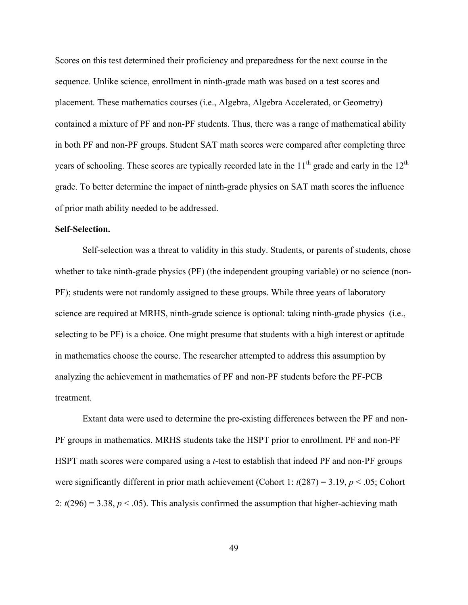Scores on this test determined their proficiency and preparedness for the next course in the sequence. Unlike science, enrollment in ninth-grade math was based on a test scores and placement. These mathematics courses (i.e., Algebra, Algebra Accelerated, or Geometry) contained a mixture of PF and non-PF students. Thus, there was a range of mathematical ability in both PF and non-PF groups. Student SAT math scores were compared after completing three years of schooling. These scores are typically recorded late in the  $11<sup>th</sup>$  grade and early in the  $12<sup>th</sup>$ grade. To better determine the impact of ninth-grade physics on SAT math scores the influence of prior math ability needed to be addressed.

### **Self-Selection.**

Self-selection was a threat to validity in this study. Students, or parents of students, chose whether to take ninth-grade physics (PF) (the independent grouping variable) or no science (non-PF); students were not randomly assigned to these groups. While three years of laboratory science are required at MRHS, ninth-grade science is optional: taking ninth-grade physics (i.e., selecting to be PF) is a choice. One might presume that students with a high interest or aptitude in mathematics choose the course. The researcher attempted to address this assumption by analyzing the achievement in mathematics of PF and non-PF students before the PF-PCB treatment.

Extant data were used to determine the pre-existing differences between the PF and non-PF groups in mathematics. MRHS students take the HSPT prior to enrollment. PF and non-PF HSPT math scores were compared using a *t*-test to establish that indeed PF and non-PF groups were significantly different in prior math achievement (Cohort 1:  $t(287) = 3.19$ ,  $p < .05$ ; Cohort 2:  $t(296) = 3.38$ ,  $p < .05$ ). This analysis confirmed the assumption that higher-achieving math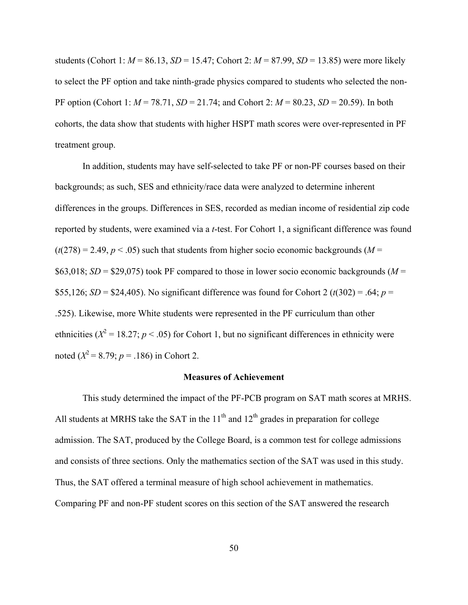students (Cohort 1:  $M = 86.13$ ,  $SD = 15.47$ ; Cohort 2:  $M = 87.99$ ,  $SD = 13.85$ ) were more likely to select the PF option and take ninth-grade physics compared to students who selected the non-PF option (Cohort 1: *M* = 78.71, *SD* = 21.74; and Cohort 2: *M* = 80.23, *SD* = 20.59). In both cohorts, the data show that students with higher HSPT math scores were over-represented in PF treatment group.

In addition, students may have self-selected to take PF or non-PF courses based on their backgrounds; as such, SES and ethnicity/race data were analyzed to determine inherent differences in the groups. Differences in SES, recorded as median income of residential zip code reported by students, were examined via a *t*-test. For Cohort 1, a significant difference was found  $(t(278) = 2.49, p < .05)$  such that students from higher socio economic backgrounds ( $M =$ \$63,018;  $SD =$  \$29,075) took PF compared to those in lower socio economic backgrounds ( $M =$ \$55,126; *SD* = \$24,405). No significant difference was found for Cohort 2 ( $t(302)$  = .64;  $p =$ .525). Likewise, more White students were represented in the PF curriculum than other ethnicities ( $X^2 = 18.27$ ;  $p < .05$ ) for Cohort 1, but no significant differences in ethnicity were noted  $(X^2 = 8.79; p = .186)$  in Cohort 2.

### **Measures of Achievement**

This study determined the impact of the PF-PCB program on SAT math scores at MRHS. All students at MRHS take the SAT in the  $11<sup>th</sup>$  and  $12<sup>th</sup>$  grades in preparation for college admission. The SAT, produced by the College Board, is a common test for college admissions and consists of three sections. Only the mathematics section of the SAT was used in this study. Thus, the SAT offered a terminal measure of high school achievement in mathematics. Comparing PF and non-PF student scores on this section of the SAT answered the research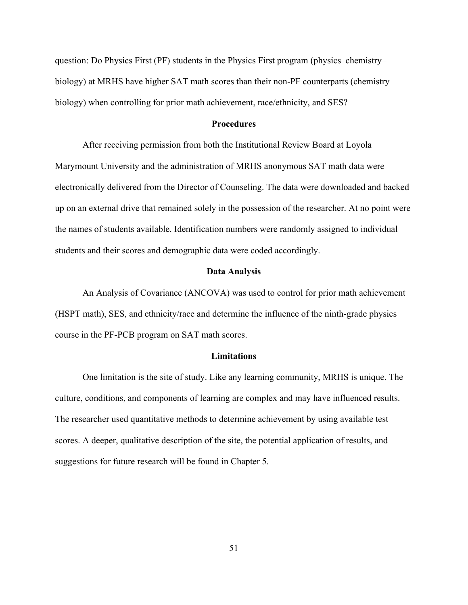question: Do Physics First (PF) students in the Physics First program (physics–chemistry– biology) at MRHS have higher SAT math scores than their non-PF counterparts (chemistry– biology) when controlling for prior math achievement, race/ethnicity, and SES?

## **Procedures**

After receiving permission from both the Institutional Review Board at Loyola Marymount University and the administration of MRHS anonymous SAT math data were electronically delivered from the Director of Counseling. The data were downloaded and backed up on an external drive that remained solely in the possession of the researcher. At no point were the names of students available. Identification numbers were randomly assigned to individual students and their scores and demographic data were coded accordingly.

### **Data Analysis**

An Analysis of Covariance (ANCOVA) was used to control for prior math achievement (HSPT math), SES, and ethnicity/race and determine the influence of the ninth-grade physics course in the PF-PCB program on SAT math scores.

## **Limitations**

One limitation is the site of study. Like any learning community, MRHS is unique. The culture, conditions, and components of learning are complex and may have influenced results. The researcher used quantitative methods to determine achievement by using available test scores. A deeper, qualitative description of the site, the potential application of results, and suggestions for future research will be found in Chapter 5.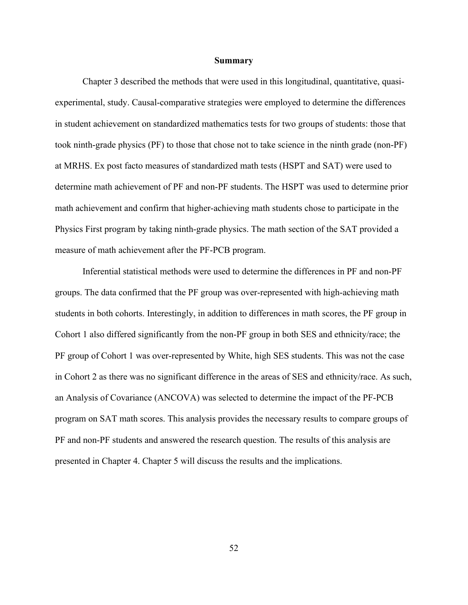#### **Summary**

Chapter 3 described the methods that were used in this longitudinal, quantitative, quasiexperimental, study. Causal-comparative strategies were employed to determine the differences in student achievement on standardized mathematics tests for two groups of students: those that took ninth-grade physics (PF) to those that chose not to take science in the ninth grade (non-PF) at MRHS. Ex post facto measures of standardized math tests (HSPT and SAT) were used to determine math achievement of PF and non-PF students. The HSPT was used to determine prior math achievement and confirm that higher-achieving math students chose to participate in the Physics First program by taking ninth-grade physics. The math section of the SAT provided a measure of math achievement after the PF-PCB program.

Inferential statistical methods were used to determine the differences in PF and non-PF groups. The data confirmed that the PF group was over-represented with high-achieving math students in both cohorts. Interestingly, in addition to differences in math scores, the PF group in Cohort 1 also differed significantly from the non-PF group in both SES and ethnicity/race; the PF group of Cohort 1 was over-represented by White, high SES students. This was not the case in Cohort 2 as there was no significant difference in the areas of SES and ethnicity/race. As such, an Analysis of Covariance (ANCOVA) was selected to determine the impact of the PF-PCB program on SAT math scores. This analysis provides the necessary results to compare groups of PF and non-PF students and answered the research question. The results of this analysis are presented in Chapter 4. Chapter 5 will discuss the results and the implications.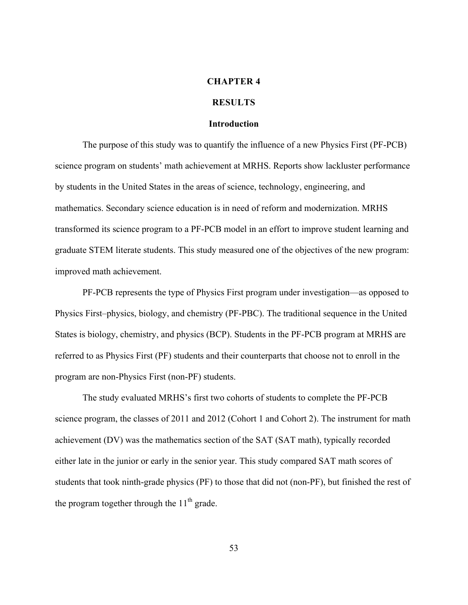### **CHAPTER 4**

## **RESULTS**

### **Introduction**

The purpose of this study was to quantify the influence of a new Physics First (PF-PCB) science program on students' math achievement at MRHS. Reports show lackluster performance by students in the United States in the areas of science, technology, engineering, and mathematics. Secondary science education is in need of reform and modernization. MRHS transformed its science program to a PF-PCB model in an effort to improve student learning and graduate STEM literate students. This study measured one of the objectives of the new program: improved math achievement.

PF-PCB represents the type of Physics First program under investigation—as opposed to Physics First–physics, biology, and chemistry (PF-PBC). The traditional sequence in the United States is biology, chemistry, and physics (BCP). Students in the PF-PCB program at MRHS are referred to as Physics First (PF) students and their counterparts that choose not to enroll in the program are non-Physics First (non-PF) students.

The study evaluated MRHS's first two cohorts of students to complete the PF-PCB science program, the classes of 2011 and 2012 (Cohort 1 and Cohort 2). The instrument for math achievement (DV) was the mathematics section of the SAT (SAT math), typically recorded either late in the junior or early in the senior year. This study compared SAT math scores of students that took ninth-grade physics (PF) to those that did not (non-PF), but finished the rest of the program together through the  $11<sup>th</sup>$  grade.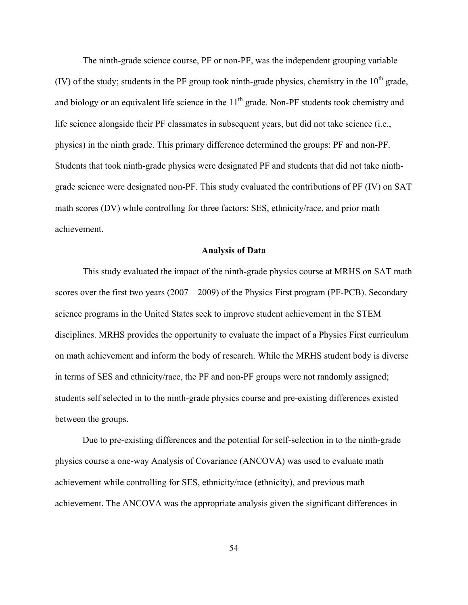The ninth-grade science course, PF or non-PF, was the independent grouping variable (IV) of the study; students in the PF group took ninth-grade physics, chemistry in the  $10<sup>th</sup>$  grade, and biology or an equivalent life science in the  $11<sup>th</sup>$  grade. Non-PF students took chemistry and life science alongside their PF classmates in subsequent years, but did not take science (i.e., physics) in the ninth grade. This primary difference determined the groups: PF and non-PF. Students that took ninth-grade physics were designated PF and students that did not take ninthgrade science were designated non-PF. This study evaluated the contributions of PF (IV) on SAT math scores (DV) while controlling for three factors: SES, ethnicity/race, and prior math achievement.

### **Analysis of Data**

This study evaluated the impact of the ninth-grade physics course at MRHS on SAT math scores over the first two years (2007 – 2009) of the Physics First program (PF-PCB). Secondary science programs in the United States seek to improve student achievement in the STEM disciplines. MRHS provides the opportunity to evaluate the impact of a Physics First curriculum on math achievement and inform the body of research. While the MRHS student body is diverse in terms of SES and ethnicity/race, the PF and non-PF groups were not randomly assigned; students self selected in to the ninth-grade physics course and pre-existing differences existed between the groups.

Due to pre-existing differences and the potential for self-selection in to the ninth-grade physics course a one-way Analysis of Covariance (ANCOVA) was used to evaluate math achievement while controlling for SES, ethnicity/race (ethnicity), and previous math achievement. The ANCOVA was the appropriate analysis given the significant differences in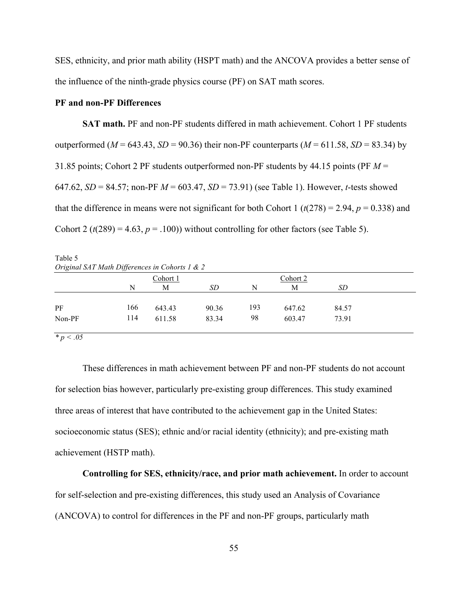SES, ethnicity, and prior math ability (HSPT math) and the ANCOVA provides a better sense of the influence of the ninth-grade physics course (PF) on SAT math scores.

# **PF and non-PF Differences**

**SAT math.** PF and non-PF students differed in math achievement. Cohort 1 PF students outperformed ( $M = 643.43$ ,  $SD = 90.36$ ) their non-PF counterparts ( $M = 611.58$ ,  $SD = 83.34$ ) by 31.85 points; Cohort 2 PF students outperformed non-PF students by 44.15 points (PF *M* = 647.62, *SD* = 84.57; non-PF *M* = 603.47, *SD* = 73.91) (see Table 1). However, *t*-tests showed that the difference in means were not significant for both Cohort 1 ( $t(278) = 2.94$ ,  $p = 0.338$ ) and Cohort 2 ( $t(289) = 4.63$ ,  $p = .100$ )) without controlling for other factors (see Table 5).

Table 5 *Original SAT Math Differences in Cohorts 1 & 2*

|        |     | Cohort 1 |       |     | Cohort 2 |           |  |
|--------|-----|----------|-------|-----|----------|-----------|--|
|        | N   | М        | SD    | N   | M        | <b>SD</b> |  |
|        |     |          |       |     |          |           |  |
| PF     | 166 | 643.43   | 90.36 | 193 | 647.62   | 84.57     |  |
| Non-PF | 114 | 611.58   | 83.34 | 98  | 603.47   | 73.91     |  |
|        |     |          |       |     |          |           |  |

*\* p < .05*

These differences in math achievement between PF and non-PF students do not account for selection bias however, particularly pre-existing group differences. This study examined three areas of interest that have contributed to the achievement gap in the United States: socioeconomic status (SES); ethnic and/or racial identity (ethnicity); and pre-existing math achievement (HSTP math).

**Controlling for SES, ethnicity/race, and prior math achievement.** In order to account for self-selection and pre-existing differences, this study used an Analysis of Covariance (ANCOVA) to control for differences in the PF and non-PF groups, particularly math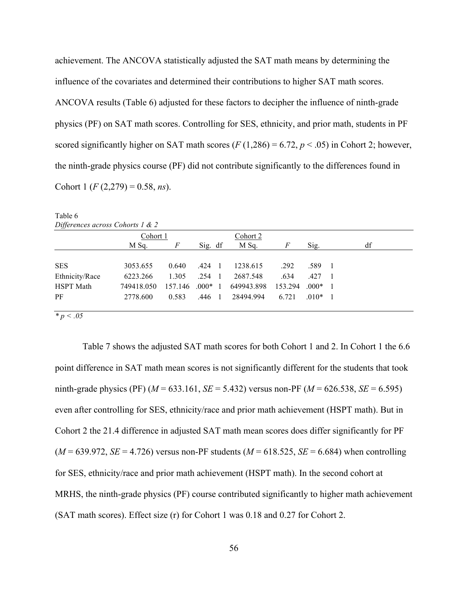achievement. The ANCOVA statistically adjusted the SAT math means by determining the influence of the covariates and determined their contributions to higher SAT math scores. ANCOVA results (Table 6) adjusted for these factors to decipher the influence of ninth-grade physics (PF) on SAT math scores. Controlling for SES, ethnicity, and prior math, students in PF scored significantly higher on SAT math scores  $(F (1,286) = 6.72, p < .05)$  in Cohort 2; however, the ninth-grade physics course (PF) did not contribute significantly to the differences found in Cohort 1 (*F* (2,279) = 0.58, *ns*).

| Differences across Cohorts 1 & 2 |            |         |           |          |            |         |         |                |    |  |
|----------------------------------|------------|---------|-----------|----------|------------|---------|---------|----------------|----|--|
|                                  | Cohort 1   |         |           | Cohort 2 |            |         |         |                |    |  |
|                                  | M Sq.      | F       | Sig. df   |          | M Sq.      | F       | Sig.    |                | df |  |
|                                  |            |         |           |          |            |         |         |                |    |  |
| <b>SES</b>                       | 3053.655   | 0.640   | .424      | - 1      | 1238.615   | .292    | .589    | $\blacksquare$ |    |  |
| Ethnicity/Race                   | 6223.266   | 1.305   | .254      | - 1      | 2687.548   | .634    | .427    |                |    |  |
| <b>HSPT</b> Math                 | 749418.050 | 157.146 | $.000*$ 1 |          | 649943.898 | 153.294 | $.000*$ |                |    |  |
| PF                               | 2778.600   | 0.583   | .446      | - 1      | 28494.994  | 6.721   | $.010*$ |                |    |  |
|                                  |            |         |           |          |            |         |         |                |    |  |

Table 6

*\* p < .05*

Table 7 shows the adjusted SAT math scores for both Cohort 1 and 2. In Cohort 1 the 6.6 point difference in SAT math mean scores is not significantly different for the students that took ninth-grade physics (PF) ( $M = 633.161$ ,  $SE = 5.432$ ) versus non-PF ( $M = 626.538$ ,  $SE = 6.595$ ) even after controlling for SES, ethnicity/race and prior math achievement (HSPT math). But in Cohort 2 the 21.4 difference in adjusted SAT math mean scores does differ significantly for PF  $(M = 639.972, SE = 4.726)$  versus non-PF students  $(M = 618.525, SE = 6.684)$  when controlling for SES, ethnicity/race and prior math achievement (HSPT math). In the second cohort at MRHS, the ninth-grade physics (PF) course contributed significantly to higher math achievement (SAT math scores). Effect size (r) for Cohort 1 was 0.18 and 0.27 for Cohort 2.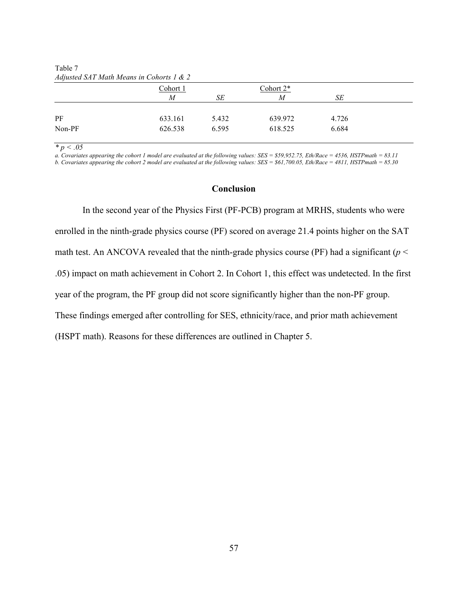|        | Cohort 1       |       | Cohort 2* |       |  |
|--------|----------------|-------|-----------|-------|--|
|        | $\overline{M}$ | SE    | M         | SE    |  |
|        |                |       |           |       |  |
| PF     | 633.161        | 5.432 | 639.972   | 4.726 |  |
| Non-PF | 626.538        | 6.595 | 618.525   | 6.684 |  |
|        |                |       |           |       |  |

Table 7 *Adjusted SAT Math Means in Cohorts 1 & 2*

*\* p < .05*

*a. Covariates appearing the cohort 1 model are evaluated at the following values: SES = \$59,952.75, Eth/Race = 4536, HSTPmath = 83.11 b. Covariates appearing the cohort 2 model are evaluated at the following values: SES = \$61,700.05, Eth/Race = 4811, HSTPmath = 85.30*

### **Conclusion**

In the second year of the Physics First (PF-PCB) program at MRHS, students who were enrolled in the ninth-grade physics course (PF) scored on average 21.4 points higher on the SAT math test. An ANCOVA revealed that the ninth-grade physics course (PF) had a significant ( $p <$ .05) impact on math achievement in Cohort 2. In Cohort 1, this effect was undetected. In the first year of the program, the PF group did not score significantly higher than the non-PF group. These findings emerged after controlling for SES, ethnicity/race, and prior math achievement (HSPT math). Reasons for these differences are outlined in Chapter 5.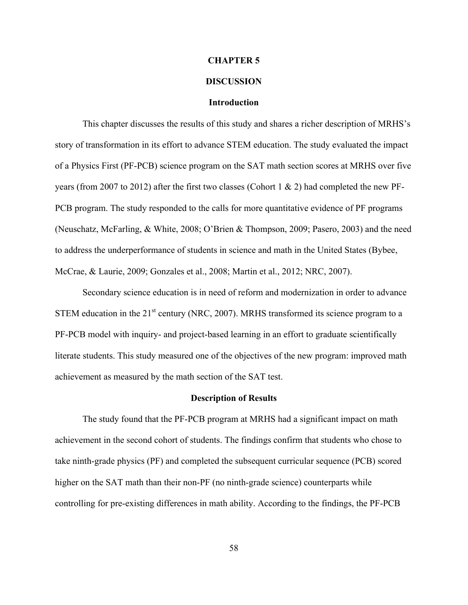### **CHAPTER 5**

# **DISCUSSION**

### **Introduction**

This chapter discusses the results of this study and shares a richer description of MRHS's story of transformation in its effort to advance STEM education. The study evaluated the impact of a Physics First (PF-PCB) science program on the SAT math section scores at MRHS over five years (from 2007 to 2012) after the first two classes (Cohort 1 & 2) had completed the new PF-PCB program. The study responded to the calls for more quantitative evidence of PF programs (Neuschatz, McFarling, & White, 2008; O'Brien & Thompson, 2009; Pasero, 2003) and the need to address the underperformance of students in science and math in the United States (Bybee, McCrae, & Laurie, 2009; Gonzales et al., 2008; Martin et al., 2012; NRC, 2007).

Secondary science education is in need of reform and modernization in order to advance STEM education in the  $21<sup>st</sup>$  century (NRC, 2007). MRHS transformed its science program to a PF-PCB model with inquiry- and project-based learning in an effort to graduate scientifically literate students. This study measured one of the objectives of the new program: improved math achievement as measured by the math section of the SAT test.

#### **Description of Results**

The study found that the PF-PCB program at MRHS had a significant impact on math achievement in the second cohort of students. The findings confirm that students who chose to take ninth-grade physics (PF) and completed the subsequent curricular sequence (PCB) scored higher on the SAT math than their non-PF (no ninth-grade science) counterparts while controlling for pre-existing differences in math ability. According to the findings, the PF-PCB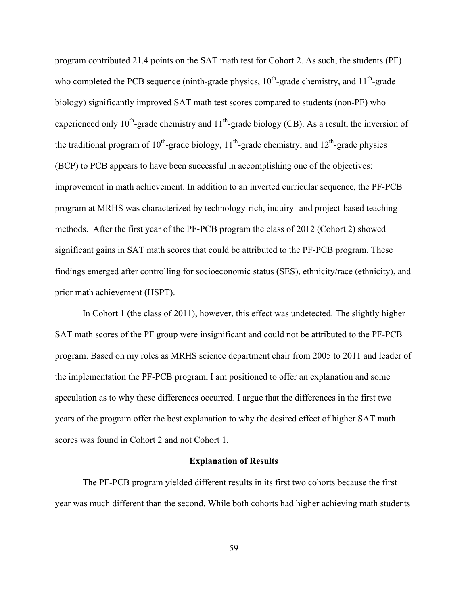program contributed 21.4 points on the SAT math test for Cohort 2. As such, the students (PF) who completed the PCB sequence (ninth-grade physics,  $10^{th}$ -grade chemistry, and  $11^{th}$ -grade biology) significantly improved SAT math test scores compared to students (non-PF) who experienced only  $10^{th}$ -grade chemistry and  $11^{th}$ -grade biology (CB). As a result, the inversion of the traditional program of  $10^{th}$ -grade biology,  $11^{th}$ -grade chemistry, and  $12^{th}$ -grade physics (BCP) to PCB appears to have been successful in accomplishing one of the objectives: improvement in math achievement. In addition to an inverted curricular sequence, the PF-PCB program at MRHS was characterized by technology-rich, inquiry- and project-based teaching methods. After the first year of the PF-PCB program the class of 2012 (Cohort 2) showed significant gains in SAT math scores that could be attributed to the PF-PCB program. These findings emerged after controlling for socioeconomic status (SES), ethnicity/race (ethnicity), and prior math achievement (HSPT).

In Cohort 1 (the class of 2011), however, this effect was undetected. The slightly higher SAT math scores of the PF group were insignificant and could not be attributed to the PF-PCB program. Based on my roles as MRHS science department chair from 2005 to 2011 and leader of the implementation the PF-PCB program, I am positioned to offer an explanation and some speculation as to why these differences occurred. I argue that the differences in the first two years of the program offer the best explanation to why the desired effect of higher SAT math scores was found in Cohort 2 and not Cohort 1.

### **Explanation of Results**

The PF-PCB program yielded different results in its first two cohorts because the first year was much different than the second. While both cohorts had higher achieving math students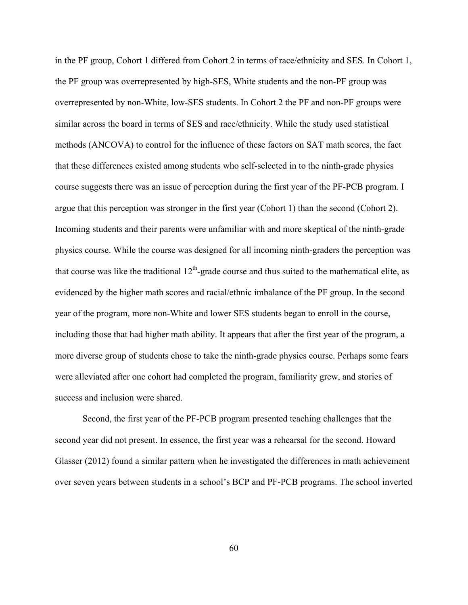in the PF group, Cohort 1 differed from Cohort 2 in terms of race/ethnicity and SES. In Cohort 1, the PF group was overrepresented by high-SES, White students and the non-PF group was overrepresented by non-White, low-SES students. In Cohort 2 the PF and non-PF groups were similar across the board in terms of SES and race/ethnicity. While the study used statistical methods (ANCOVA) to control for the influence of these factors on SAT math scores, the fact that these differences existed among students who self-selected in to the ninth-grade physics course suggests there was an issue of perception during the first year of the PF-PCB program. I argue that this perception was stronger in the first year (Cohort 1) than the second (Cohort 2). Incoming students and their parents were unfamiliar with and more skeptical of the ninth-grade physics course. While the course was designed for all incoming ninth-graders the perception was that course was like the traditional  $12<sup>th</sup>$ -grade course and thus suited to the mathematical elite, as evidenced by the higher math scores and racial/ethnic imbalance of the PF group. In the second year of the program, more non-White and lower SES students began to enroll in the course, including those that had higher math ability. It appears that after the first year of the program, a more diverse group of students chose to take the ninth-grade physics course. Perhaps some fears were alleviated after one cohort had completed the program, familiarity grew, and stories of success and inclusion were shared.

Second, the first year of the PF-PCB program presented teaching challenges that the second year did not present. In essence, the first year was a rehearsal for the second. Howard Glasser (2012) found a similar pattern when he investigated the differences in math achievement over seven years between students in a school's BCP and PF-PCB programs. The school inverted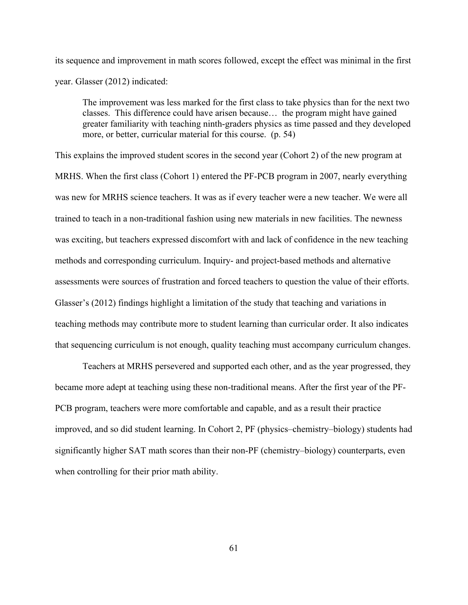its sequence and improvement in math scores followed, except the effect was minimal in the first year. Glasser (2012) indicated:

The improvement was less marked for the first class to take physics than for the next two classes. This difference could have arisen because… the program might have gained greater familiarity with teaching ninth-graders physics as time passed and they developed more, or better, curricular material for this course. (p. 54)

This explains the improved student scores in the second year (Cohort 2) of the new program at MRHS. When the first class (Cohort 1) entered the PF-PCB program in 2007, nearly everything was new for MRHS science teachers. It was as if every teacher were a new teacher. We were all trained to teach in a non-traditional fashion using new materials in new facilities. The newness was exciting, but teachers expressed discomfort with and lack of confidence in the new teaching methods and corresponding curriculum. Inquiry- and project-based methods and alternative assessments were sources of frustration and forced teachers to question the value of their efforts. Glasser's (2012) findings highlight a limitation of the study that teaching and variations in teaching methods may contribute more to student learning than curricular order. It also indicates that sequencing curriculum is not enough, quality teaching must accompany curriculum changes.

Teachers at MRHS persevered and supported each other, and as the year progressed, they became more adept at teaching using these non-traditional means. After the first year of the PF-PCB program, teachers were more comfortable and capable, and as a result their practice improved, and so did student learning. In Cohort 2, PF (physics–chemistry–biology) students had significantly higher SAT math scores than their non-PF (chemistry–biology) counterparts, even when controlling for their prior math ability.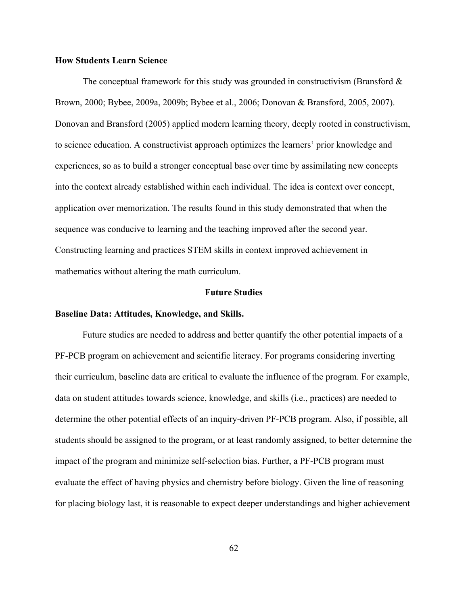## **How Students Learn Science**

The conceptual framework for this study was grounded in constructivism (Bransford  $\&$ Brown, 2000; Bybee, 2009a, 2009b; Bybee et al., 2006; Donovan & Bransford, 2005, 2007). Donovan and Bransford (2005) applied modern learning theory, deeply rooted in constructivism, to science education. A constructivist approach optimizes the learners' prior knowledge and experiences, so as to build a stronger conceptual base over time by assimilating new concepts into the context already established within each individual. The idea is context over concept, application over memorization. The results found in this study demonstrated that when the sequence was conducive to learning and the teaching improved after the second year. Constructing learning and practices STEM skills in context improved achievement in mathematics without altering the math curriculum.

#### **Future Studies**

#### **Baseline Data: Attitudes, Knowledge, and Skills.**

Future studies are needed to address and better quantify the other potential impacts of a PF-PCB program on achievement and scientific literacy. For programs considering inverting their curriculum, baseline data are critical to evaluate the influence of the program. For example, data on student attitudes towards science, knowledge, and skills (i.e., practices) are needed to determine the other potential effects of an inquiry-driven PF-PCB program. Also, if possible, all students should be assigned to the program, or at least randomly assigned, to better determine the impact of the program and minimize self-selection bias. Further, a PF-PCB program must evaluate the effect of having physics and chemistry before biology. Given the line of reasoning for placing biology last, it is reasonable to expect deeper understandings and higher achievement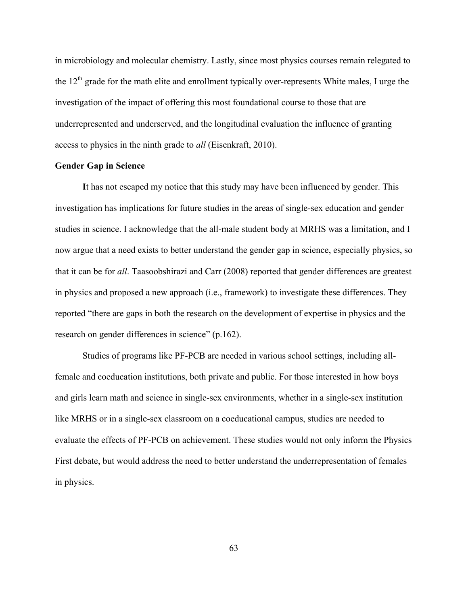in microbiology and molecular chemistry. Lastly, since most physics courses remain relegated to the  $12<sup>th</sup>$  grade for the math elite and enrollment typically over-represents White males, I urge the investigation of the impact of offering this most foundational course to those that are underrepresented and underserved, and the longitudinal evaluation the influence of granting access to physics in the ninth grade to *all* (Eisenkraft, 2010).

#### **Gender Gap in Science**

**I**t has not escaped my notice that this study may have been influenced by gender. This investigation has implications for future studies in the areas of single-sex education and gender studies in science. I acknowledge that the all-male student body at MRHS was a limitation, and I now argue that a need exists to better understand the gender gap in science, especially physics, so that it can be for *all*. Taasoobshirazi and Carr (2008) reported that gender differences are greatest in physics and proposed a new approach (i.e., framework) to investigate these differences. They reported "there are gaps in both the research on the development of expertise in physics and the research on gender differences in science" (p.162).

Studies of programs like PF-PCB are needed in various school settings, including allfemale and coeducation institutions, both private and public. For those interested in how boys and girls learn math and science in single-sex environments, whether in a single-sex institution like MRHS or in a single-sex classroom on a coeducational campus, studies are needed to evaluate the effects of PF-PCB on achievement. These studies would not only inform the Physics First debate, but would address the need to better understand the underrepresentation of females in physics.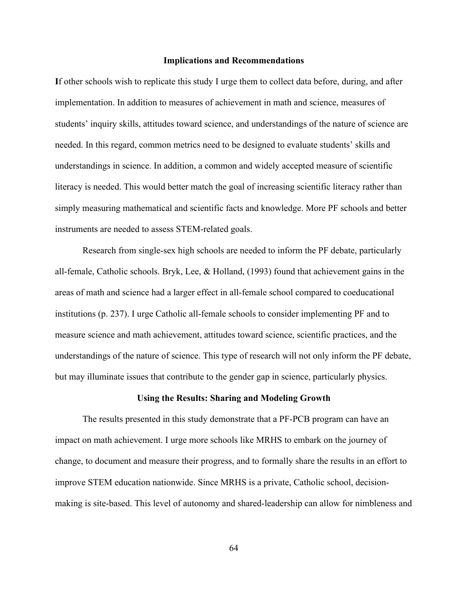#### **Implications and Recommendations**

**I**f other schools wish to replicate this study I urge them to collect data before, during, and after implementation. In addition to measures of achievement in math and science, measures of students' inquiry skills, attitudes toward science, and understandings of the nature of science are needed. In this regard, common metrics need to be designed to evaluate students' skills and understandings in science. In addition, a common and widely accepted measure of scientific literacy is needed. This would better match the goal of increasing scientific literacy rather than simply measuring mathematical and scientific facts and knowledge. More PF schools and better instruments are needed to assess STEM-related goals.

Research from single-sex high schools are needed to inform the PF debate, particularly all-female, Catholic schools. Bryk, Lee, & Holland, (1993) found that achievement gains in the areas of math and science had a larger effect in all-female school compared to coeducational institutions (p. 237). I urge Catholic all-female schools to consider implementing PF and to measure science and math achievement, attitudes toward science, scientific practices, and the understandings of the nature of science. This type of research will not only inform the PF debate, but may illuminate issues that contribute to the gender gap in science, particularly physics.

#### **Using the Results: Sharing and Modeling Growth**

The results presented in this study demonstrate that a PF-PCB program can have an impact on math achievement. I urge more schools like MRHS to embark on the journey of change, to document and measure their progress, and to formally share the results in an effort to improve STEM education nationwide. Since MRHS is a private, Catholic school, decisionmaking is site-based. This level of autonomy and shared-leadership can allow for nimbleness and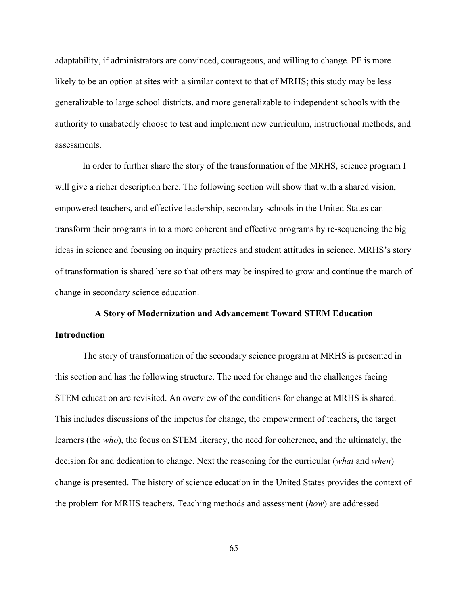adaptability, if administrators are convinced, courageous, and willing to change. PF is more likely to be an option at sites with a similar context to that of MRHS; this study may be less generalizable to large school districts, and more generalizable to independent schools with the authority to unabatedly choose to test and implement new curriculum, instructional methods, and assessments.

In order to further share the story of the transformation of the MRHS, science program I will give a richer description here. The following section will show that with a shared vision, empowered teachers, and effective leadership, secondary schools in the United States can transform their programs in to a more coherent and effective programs by re-sequencing the big ideas in science and focusing on inquiry practices and student attitudes in science. MRHS's story of transformation is shared here so that others may be inspired to grow and continue the march of change in secondary science education.

# **A Story of Modernization and Advancement Toward STEM Education Introduction**

The story of transformation of the secondary science program at MRHS is presented in this section and has the following structure. The need for change and the challenges facing STEM education are revisited. An overview of the conditions for change at MRHS is shared. This includes discussions of the impetus for change, the empowerment of teachers, the target learners (the *who*), the focus on STEM literacy, the need for coherence, and the ultimately, the decision for and dedication to change. Next the reasoning for the curricular (*what* and *when*) change is presented. The history of science education in the United States provides the context of the problem for MRHS teachers. Teaching methods and assessment (*how*) are addressed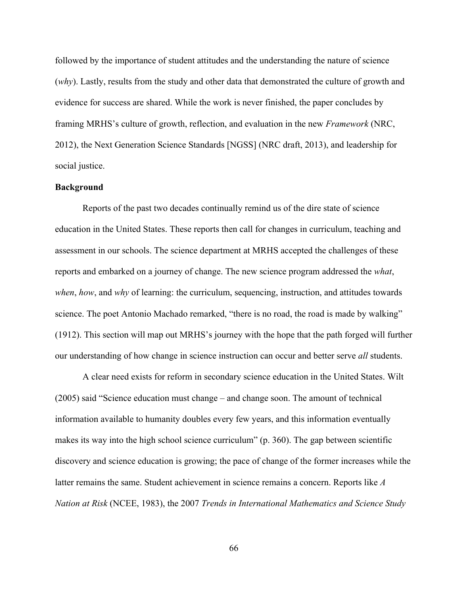followed by the importance of student attitudes and the understanding the nature of science (*why*). Lastly, results from the study and other data that demonstrated the culture of growth and evidence for success are shared. While the work is never finished, the paper concludes by framing MRHS's culture of growth, reflection, and evaluation in the new *Framework* (NRC, 2012), the Next Generation Science Standards [NGSS] (NRC draft, 2013), and leadership for social justice.

## **Background**

Reports of the past two decades continually remind us of the dire state of science education in the United States. These reports then call for changes in curriculum, teaching and assessment in our schools. The science department at MRHS accepted the challenges of these reports and embarked on a journey of change. The new science program addressed the *what*, *when*, *how*, and *why* of learning: the curriculum, sequencing, instruction, and attitudes towards science. The poet Antonio Machado remarked, "there is no road, the road is made by walking" (1912). This section will map out MRHS's journey with the hope that the path forged will further our understanding of how change in science instruction can occur and better serve *all* students.

A clear need exists for reform in secondary science education in the United States. Wilt (2005) said "Science education must change – and change soon. The amount of technical information available to humanity doubles every few years, and this information eventually makes its way into the high school science curriculum" (p. 360). The gap between scientific discovery and science education is growing; the pace of change of the former increases while the latter remains the same. Student achievement in science remains a concern. Reports like *A Nation at Risk* (NCEE, 1983), the 2007 *Trends in International Mathematics and Science Study*

66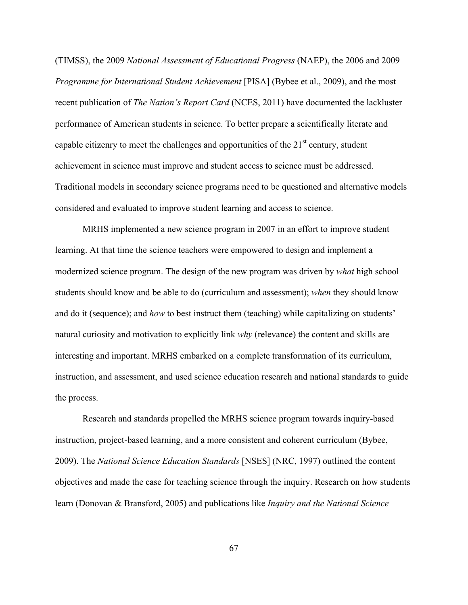(TIMSS), the 2009 *National Assessment of Educational Progress* (NAEP), the 2006 and 2009 *Programme for International Student Achievement* [PISA] (Bybee et al., 2009), and the most recent publication of *The Nation's Report Card* (NCES, 2011) have documented the lackluster performance of American students in science. To better prepare a scientifically literate and capable citizenry to meet the challenges and opportunities of the  $21<sup>st</sup>$  century, student achievement in science must improve and student access to science must be addressed. Traditional models in secondary science programs need to be questioned and alternative models considered and evaluated to improve student learning and access to science.

MRHS implemented a new science program in 2007 in an effort to improve student learning. At that time the science teachers were empowered to design and implement a modernized science program. The design of the new program was driven by *what* high school students should know and be able to do (curriculum and assessment); *when* they should know and do it (sequence); and *how* to best instruct them (teaching) while capitalizing on students' natural curiosity and motivation to explicitly link *why* (relevance) the content and skills are interesting and important. MRHS embarked on a complete transformation of its curriculum, instruction, and assessment, and used science education research and national standards to guide the process.

Research and standards propelled the MRHS science program towards inquiry-based instruction, project-based learning, and a more consistent and coherent curriculum (Bybee, 2009). The *National Science Education Standards* [NSES] (NRC, 1997) outlined the content objectives and made the case for teaching science through the inquiry. Research on how students learn (Donovan & Bransford, 2005) and publications like *Inquiry and the National Science*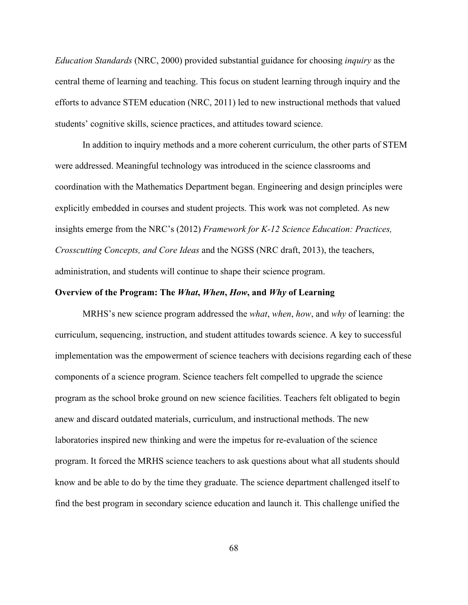*Education Standards* (NRC, 2000) provided substantial guidance for choosing *inquiry* as the central theme of learning and teaching. This focus on student learning through inquiry and the efforts to advance STEM education (NRC, 2011) led to new instructional methods that valued students' cognitive skills, science practices, and attitudes toward science.

In addition to inquiry methods and a more coherent curriculum, the other parts of STEM were addressed. Meaningful technology was introduced in the science classrooms and coordination with the Mathematics Department began. Engineering and design principles were explicitly embedded in courses and student projects. This work was not completed. As new insights emerge from the NRC's (2012) *Framework for K-12 Science Education: Practices, Crosscutting Concepts, and Core Ideas* and the NGSS (NRC draft, 2013), the teachers, administration, and students will continue to shape their science program.

## **Overview of the Program: The** *What***,** *When***,** *How***, and** *Why* **of Learning**

MRHS's new science program addressed the *what*, *when*, *how*, and *why* of learning: the curriculum, sequencing, instruction, and student attitudes towards science. A key to successful implementation was the empowerment of science teachers with decisions regarding each of these components of a science program. Science teachers felt compelled to upgrade the science program as the school broke ground on new science facilities. Teachers felt obligated to begin anew and discard outdated materials, curriculum, and instructional methods. The new laboratories inspired new thinking and were the impetus for re-evaluation of the science program. It forced the MRHS science teachers to ask questions about what all students should know and be able to do by the time they graduate. The science department challenged itself to find the best program in secondary science education and launch it. This challenge unified the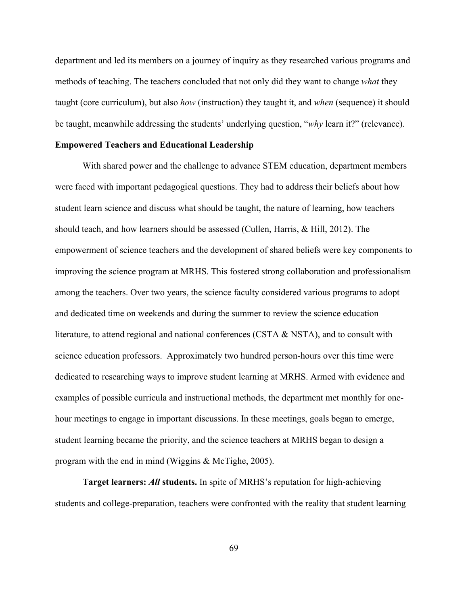department and led its members on a journey of inquiry as they researched various programs and methods of teaching. The teachers concluded that not only did they want to change *what* they taught (core curriculum), but also *how* (instruction) they taught it, and *when* (sequence) it should be taught, meanwhile addressing the students' underlying question, "*why* learn it?" (relevance).

## **Empowered Teachers and Educational Leadership**

With shared power and the challenge to advance STEM education, department members were faced with important pedagogical questions. They had to address their beliefs about how student learn science and discuss what should be taught, the nature of learning, how teachers should teach, and how learners should be assessed (Cullen, Harris, & Hill, 2012). The empowerment of science teachers and the development of shared beliefs were key components to improving the science program at MRHS. This fostered strong collaboration and professionalism among the teachers. Over two years, the science faculty considered various programs to adopt and dedicated time on weekends and during the summer to review the science education literature, to attend regional and national conferences (CSTA & NSTA), and to consult with science education professors. Approximately two hundred person-hours over this time were dedicated to researching ways to improve student learning at MRHS. Armed with evidence and examples of possible curricula and instructional methods, the department met monthly for onehour meetings to engage in important discussions. In these meetings, goals began to emerge, student learning became the priority, and the science teachers at MRHS began to design a program with the end in mind (Wiggins & McTighe, 2005).

**Target learners:** *All* **students.** In spite of MRHS's reputation for high-achieving students and college-preparation, teachers were confronted with the reality that student learning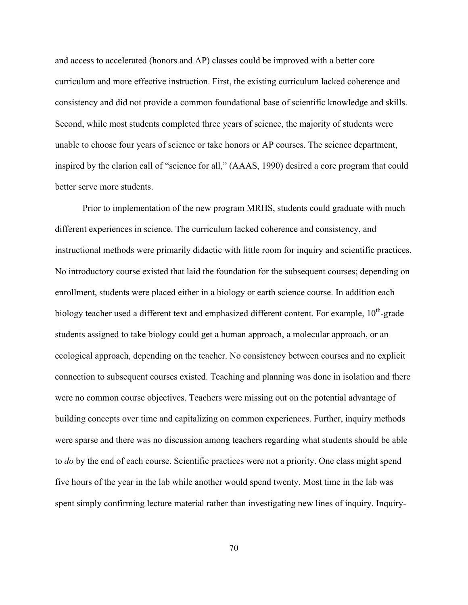and access to accelerated (honors and AP) classes could be improved with a better core curriculum and more effective instruction. First, the existing curriculum lacked coherence and consistency and did not provide a common foundational base of scientific knowledge and skills. Second, while most students completed three years of science, the majority of students were unable to choose four years of science or take honors or AP courses. The science department, inspired by the clarion call of "science for all," (AAAS, 1990) desired a core program that could better serve more students.

Prior to implementation of the new program MRHS, students could graduate with much different experiences in science. The curriculum lacked coherence and consistency, and instructional methods were primarily didactic with little room for inquiry and scientific practices. No introductory course existed that laid the foundation for the subsequent courses; depending on enrollment, students were placed either in a biology or earth science course. In addition each biology teacher used a different text and emphasized different content. For example,  $10<sup>th</sup>$ -grade students assigned to take biology could get a human approach, a molecular approach, or an ecological approach, depending on the teacher. No consistency between courses and no explicit connection to subsequent courses existed. Teaching and planning was done in isolation and there were no common course objectives. Teachers were missing out on the potential advantage of building concepts over time and capitalizing on common experiences. Further, inquiry methods were sparse and there was no discussion among teachers regarding what students should be able to *do* by the end of each course. Scientific practices were not a priority. One class might spend five hours of the year in the lab while another would spend twenty. Most time in the lab was spent simply confirming lecture material rather than investigating new lines of inquiry. Inquiry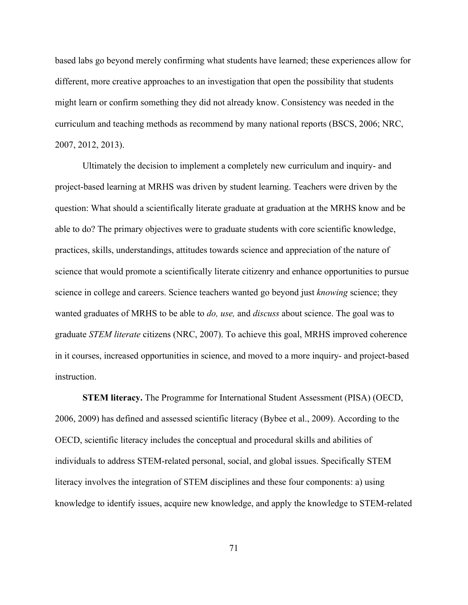based labs go beyond merely confirming what students have learned; these experiences allow for different, more creative approaches to an investigation that open the possibility that students might learn or confirm something they did not already know. Consistency was needed in the curriculum and teaching methods as recommend by many national reports (BSCS, 2006; NRC, 2007, 2012, 2013).

Ultimately the decision to implement a completely new curriculum and inquiry- and project-based learning at MRHS was driven by student learning. Teachers were driven by the question: What should a scientifically literate graduate at graduation at the MRHS know and be able to do? The primary objectives were to graduate students with core scientific knowledge, practices, skills, understandings, attitudes towards science and appreciation of the nature of science that would promote a scientifically literate citizenry and enhance opportunities to pursue science in college and careers. Science teachers wanted go beyond just *knowing* science; they wanted graduates of MRHS to be able to *do, use,* and *discuss* about science. The goal was to graduate *STEM literate* citizens (NRC, 2007). To achieve this goal, MRHS improved coherence in it courses, increased opportunities in science, and moved to a more inquiry- and project-based instruction.

**STEM literacy.** The Programme for International Student Assessment (PISA) (OECD, 2006, 2009) has defined and assessed scientific literacy (Bybee et al., 2009). According to the OECD, scientific literacy includes the conceptual and procedural skills and abilities of individuals to address STEM-related personal, social, and global issues. Specifically STEM literacy involves the integration of STEM disciplines and these four components: a) using knowledge to identify issues, acquire new knowledge, and apply the knowledge to STEM-related

71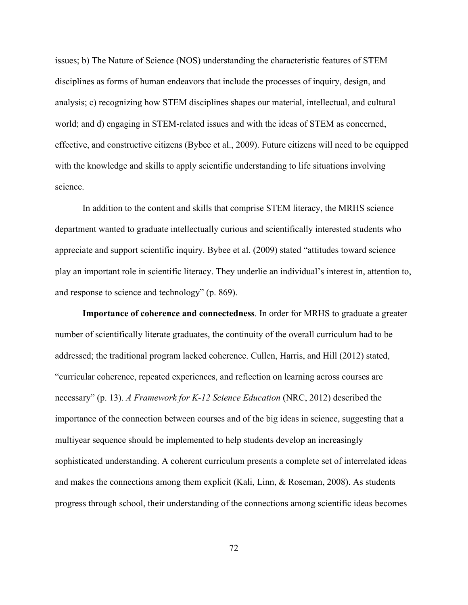issues; b) The Nature of Science (NOS) understanding the characteristic features of STEM disciplines as forms of human endeavors that include the processes of inquiry, design, and analysis; c) recognizing how STEM disciplines shapes our material, intellectual, and cultural world; and d) engaging in STEM-related issues and with the ideas of STEM as concerned, effective, and constructive citizens (Bybee et al., 2009). Future citizens will need to be equipped with the knowledge and skills to apply scientific understanding to life situations involving science.

In addition to the content and skills that comprise STEM literacy, the MRHS science department wanted to graduate intellectually curious and scientifically interested students who appreciate and support scientific inquiry. Bybee et al. (2009) stated "attitudes toward science play an important role in scientific literacy. They underlie an individual's interest in, attention to, and response to science and technology" (p. 869).

**Importance of coherence and connectedness**. In order for MRHS to graduate a greater number of scientifically literate graduates, the continuity of the overall curriculum had to be addressed; the traditional program lacked coherence. Cullen, Harris, and Hill (2012) stated, "curricular coherence, repeated experiences, and reflection on learning across courses are necessary" (p. 13). *A Framework for K-12 Science Education* (NRC, 2012) described the importance of the connection between courses and of the big ideas in science, suggesting that a multiyear sequence should be implemented to help students develop an increasingly sophisticated understanding. A coherent curriculum presents a complete set of interrelated ideas and makes the connections among them explicit (Kali, Linn, & Roseman, 2008). As students progress through school, their understanding of the connections among scientific ideas becomes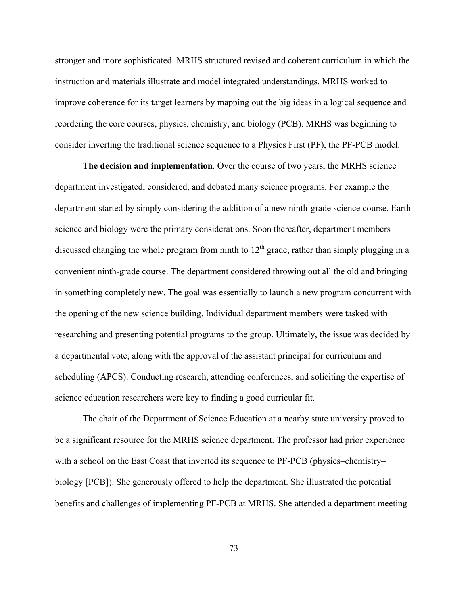stronger and more sophisticated. MRHS structured revised and coherent curriculum in which the instruction and materials illustrate and model integrated understandings. MRHS worked to improve coherence for its target learners by mapping out the big ideas in a logical sequence and reordering the core courses, physics, chemistry, and biology (PCB). MRHS was beginning to consider inverting the traditional science sequence to a Physics First (PF), the PF-PCB model.

**The decision and implementation**. Over the course of two years, the MRHS science department investigated, considered, and debated many science programs. For example the department started by simply considering the addition of a new ninth-grade science course. Earth science and biology were the primary considerations. Soon thereafter, department members discussed changing the whole program from ninth to  $12<sup>th</sup>$  grade, rather than simply plugging in a convenient ninth-grade course. The department considered throwing out all the old and bringing in something completely new. The goal was essentially to launch a new program concurrent with the opening of the new science building. Individual department members were tasked with researching and presenting potential programs to the group. Ultimately, the issue was decided by a departmental vote, along with the approval of the assistant principal for curriculum and scheduling (APCS). Conducting research, attending conferences, and soliciting the expertise of science education researchers were key to finding a good curricular fit.

The chair of the Department of Science Education at a nearby state university proved to be a significant resource for the MRHS science department. The professor had prior experience with a school on the East Coast that inverted its sequence to PF-PCB (physics–chemistry– biology [PCB]). She generously offered to help the department. She illustrated the potential benefits and challenges of implementing PF-PCB at MRHS. She attended a department meeting

73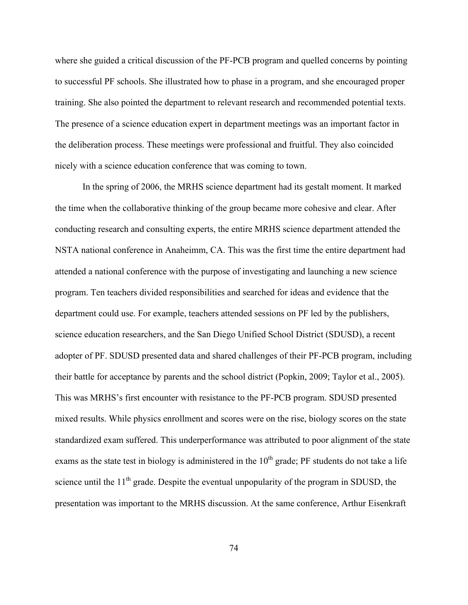where she guided a critical discussion of the PF-PCB program and quelled concerns by pointing to successful PF schools. She illustrated how to phase in a program, and she encouraged proper training. She also pointed the department to relevant research and recommended potential texts. The presence of a science education expert in department meetings was an important factor in the deliberation process. These meetings were professional and fruitful. They also coincided nicely with a science education conference that was coming to town.

In the spring of 2006, the MRHS science department had its gestalt moment. It marked the time when the collaborative thinking of the group became more cohesive and clear. After conducting research and consulting experts, the entire MRHS science department attended the NSTA national conference in Anaheimm, CA. This was the first time the entire department had attended a national conference with the purpose of investigating and launching a new science program. Ten teachers divided responsibilities and searched for ideas and evidence that the department could use. For example, teachers attended sessions on PF led by the publishers, science education researchers, and the San Diego Unified School District (SDUSD), a recent adopter of PF. SDUSD presented data and shared challenges of their PF-PCB program, including their battle for acceptance by parents and the school district (Popkin, 2009; Taylor et al., 2005). This was MRHS's first encounter with resistance to the PF-PCB program. SDUSD presented mixed results. While physics enrollment and scores were on the rise, biology scores on the state standardized exam suffered. This underperformance was attributed to poor alignment of the state exams as the state test in biology is administered in the  $10<sup>th</sup>$  grade; PF students do not take a life science until the  $11<sup>th</sup>$  grade. Despite the eventual unpopularity of the program in SDUSD, the presentation was important to the MRHS discussion. At the same conference, Arthur Eisenkraft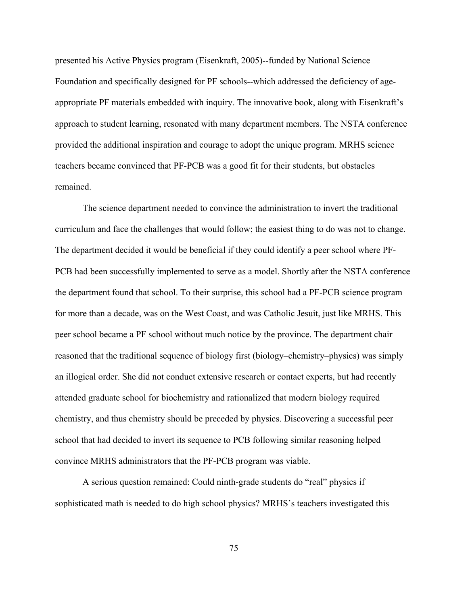presented his Active Physics program (Eisenkraft, 2005)--funded by National Science Foundation and specifically designed for PF schools--which addressed the deficiency of ageappropriate PF materials embedded with inquiry. The innovative book, along with Eisenkraft's approach to student learning, resonated with many department members. The NSTA conference provided the additional inspiration and courage to adopt the unique program. MRHS science teachers became convinced that PF-PCB was a good fit for their students, but obstacles remained.

The science department needed to convince the administration to invert the traditional curriculum and face the challenges that would follow; the easiest thing to do was not to change. The department decided it would be beneficial if they could identify a peer school where PF-PCB had been successfully implemented to serve as a model. Shortly after the NSTA conference the department found that school. To their surprise, this school had a PF-PCB science program for more than a decade, was on the West Coast, and was Catholic Jesuit, just like MRHS. This peer school became a PF school without much notice by the province. The department chair reasoned that the traditional sequence of biology first (biology–chemistry–physics) was simply an illogical order. She did not conduct extensive research or contact experts, but had recently attended graduate school for biochemistry and rationalized that modern biology required chemistry, and thus chemistry should be preceded by physics. Discovering a successful peer school that had decided to invert its sequence to PCB following similar reasoning helped convince MRHS administrators that the PF-PCB program was viable.

A serious question remained: Could ninth-grade students do "real" physics if sophisticated math is needed to do high school physics? MRHS's teachers investigated this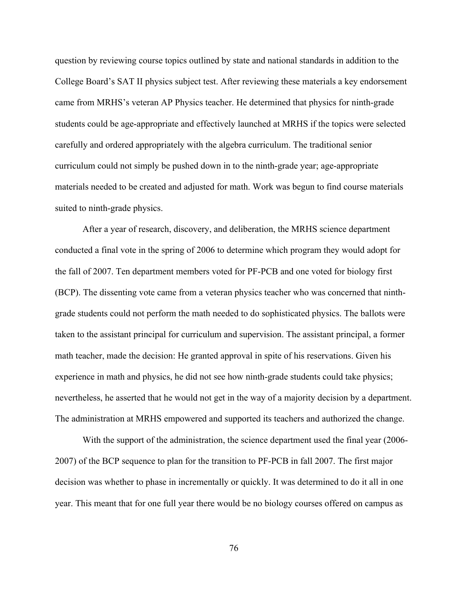question by reviewing course topics outlined by state and national standards in addition to the College Board's SAT II physics subject test. After reviewing these materials a key endorsement came from MRHS's veteran AP Physics teacher. He determined that physics for ninth-grade students could be age-appropriate and effectively launched at MRHS if the topics were selected carefully and ordered appropriately with the algebra curriculum. The traditional senior curriculum could not simply be pushed down in to the ninth-grade year; age-appropriate materials needed to be created and adjusted for math. Work was begun to find course materials suited to ninth-grade physics.

After a year of research, discovery, and deliberation, the MRHS science department conducted a final vote in the spring of 2006 to determine which program they would adopt for the fall of 2007. Ten department members voted for PF-PCB and one voted for biology first (BCP). The dissenting vote came from a veteran physics teacher who was concerned that ninthgrade students could not perform the math needed to do sophisticated physics. The ballots were taken to the assistant principal for curriculum and supervision. The assistant principal, a former math teacher, made the decision: He granted approval in spite of his reservations. Given his experience in math and physics, he did not see how ninth-grade students could take physics; nevertheless, he asserted that he would not get in the way of a majority decision by a department. The administration at MRHS empowered and supported its teachers and authorized the change.

With the support of the administration, the science department used the final year (2006- 2007) of the BCP sequence to plan for the transition to PF-PCB in fall 2007. The first major decision was whether to phase in incrementally or quickly. It was determined to do it all in one year. This meant that for one full year there would be no biology courses offered on campus as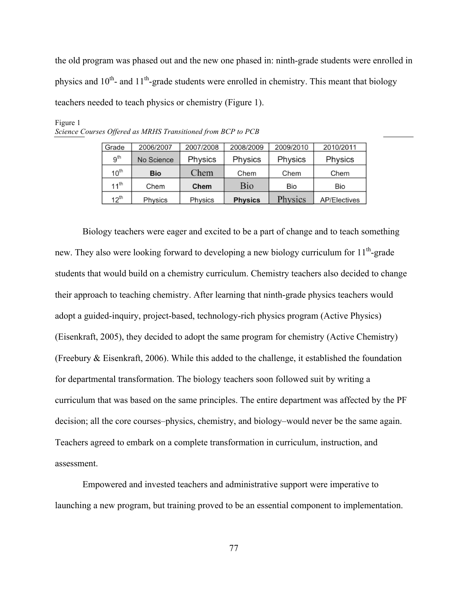the old program was phased out and the new one phased in: ninth-grade students were enrolled in physics and  $10^{th}$ - and  $11^{th}$ -grade students were enrolled in chemistry. This meant that biology teachers needed to teach physics or chemistry (Figure 1).

| Grade            | 2006/2007  | 2007/2008 | 2008/2009      | 2009/2010 | 2010/2011    |
|------------------|------------|-----------|----------------|-----------|--------------|
| 9 <sup>th</sup>  | No Science | Physics   | Physics        | Physics   | Physics      |
| $10^{th}$        | <b>Bio</b> | Chem      | Chem           | Chem      | Chem         |
| $11^{\text{th}}$ | Chem       | Chem      | Bio            | Bio       | Bio          |
| $12^{\text{th}}$ | Physics    | Physics   | <b>Physics</b> | Physics   | AP/Electives |

Figure 1 *Science Courses Offered as MRHS Transitioned from BCP to PCB*

Biology teachers were eager and excited to be a part of change and to teach something new. They also were looking forward to developing a new biology curriculum for  $11<sup>th</sup>$ -grade students that would build on a chemistry curriculum. Chemistry teachers also decided to change their approach to teaching chemistry. After learning that ninth-grade physics teachers would adopt a guided-inquiry, project-based, technology-rich physics program (Active Physics) (Eisenkraft, 2005), they decided to adopt the same program for chemistry (Active Chemistry) (Freebury & Eisenkraft, 2006). While this added to the challenge, it established the foundation for departmental transformation. The biology teachers soon followed suit by writing a curriculum that was based on the same principles. The entire department was affected by the PF decision; all the core courses–physics, chemistry, and biology–would never be the same again. Teachers agreed to embark on a complete transformation in curriculum, instruction, and assessment.

Empowered and invested teachers and administrative support were imperative to launching a new program, but training proved to be an essential component to implementation.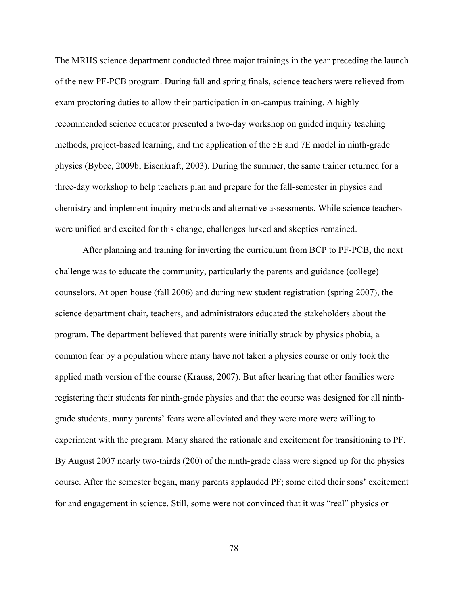The MRHS science department conducted three major trainings in the year preceding the launch of the new PF-PCB program. During fall and spring finals, science teachers were relieved from exam proctoring duties to allow their participation in on-campus training. A highly recommended science educator presented a two-day workshop on guided inquiry teaching methods, project-based learning, and the application of the 5E and 7E model in ninth-grade physics (Bybee, 2009b; Eisenkraft, 2003). During the summer, the same trainer returned for a three-day workshop to help teachers plan and prepare for the fall-semester in physics and chemistry and implement inquiry methods and alternative assessments. While science teachers were unified and excited for this change, challenges lurked and skeptics remained.

After planning and training for inverting the curriculum from BCP to PF-PCB, the next challenge was to educate the community, particularly the parents and guidance (college) counselors. At open house (fall 2006) and during new student registration (spring 2007), the science department chair, teachers, and administrators educated the stakeholders about the program. The department believed that parents were initially struck by physics phobia, a common fear by a population where many have not taken a physics course or only took the applied math version of the course (Krauss, 2007). But after hearing that other families were registering their students for ninth-grade physics and that the course was designed for all ninthgrade students, many parents' fears were alleviated and they were more were willing to experiment with the program. Many shared the rationale and excitement for transitioning to PF. By August 2007 nearly two-thirds (200) of the ninth-grade class were signed up for the physics course. After the semester began, many parents applauded PF; some cited their sons' excitement for and engagement in science. Still, some were not convinced that it was "real" physics or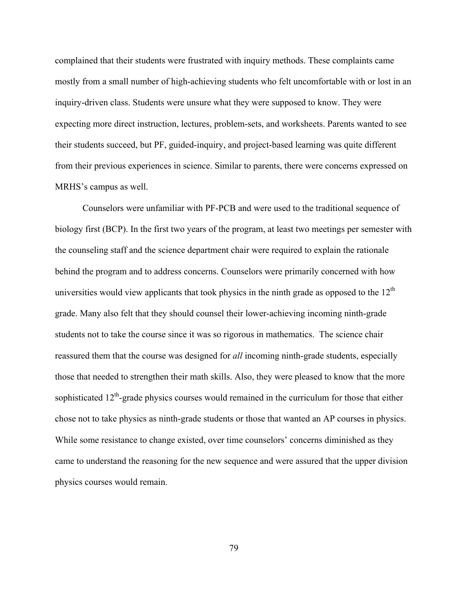complained that their students were frustrated with inquiry methods. These complaints came mostly from a small number of high-achieving students who felt uncomfortable with or lost in an inquiry-driven class. Students were unsure what they were supposed to know. They were expecting more direct instruction, lectures, problem-sets, and worksheets. Parents wanted to see their students succeed, but PF, guided-inquiry, and project-based learning was quite different from their previous experiences in science. Similar to parents, there were concerns expressed on MRHS's campus as well.

Counselors were unfamiliar with PF-PCB and were used to the traditional sequence of biology first (BCP). In the first two years of the program, at least two meetings per semester with the counseling staff and the science department chair were required to explain the rationale behind the program and to address concerns. Counselors were primarily concerned with how universities would view applicants that took physics in the ninth grade as opposed to the  $12<sup>th</sup>$ grade. Many also felt that they should counsel their lower-achieving incoming ninth-grade students not to take the course since it was so rigorous in mathematics. The science chair reassured them that the course was designed for *all* incoming ninth-grade students, especially those that needed to strengthen their math skills. Also, they were pleased to know that the more sophisticated  $12<sup>th</sup>$ -grade physics courses would remained in the curriculum for those that either chose not to take physics as ninth-grade students or those that wanted an AP courses in physics. While some resistance to change existed, over time counselors' concerns diminished as they came to understand the reasoning for the new sequence and were assured that the upper division physics courses would remain.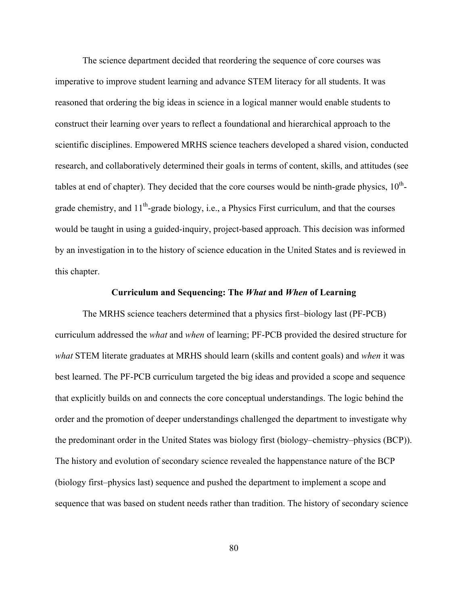The science department decided that reordering the sequence of core courses was imperative to improve student learning and advance STEM literacy for all students. It was reasoned that ordering the big ideas in science in a logical manner would enable students to construct their learning over years to reflect a foundational and hierarchical approach to the scientific disciplines. Empowered MRHS science teachers developed a shared vision, conducted research, and collaboratively determined their goals in terms of content, skills, and attitudes (see tables at end of chapter). They decided that the core courses would be ninth-grade physics,  $10^{th}$ grade chemistry, and  $11<sup>th</sup>$ -grade biology, i.e., a Physics First curriculum, and that the courses would be taught in using a guided-inquiry, project-based approach. This decision was informed by an investigation in to the history of science education in the United States and is reviewed in this chapter.

#### **Curriculum and Sequencing: The** *What* **and** *When* **of Learning**

The MRHS science teachers determined that a physics first–biology last (PF-PCB) curriculum addressed the *what* and *when* of learning; PF-PCB provided the desired structure for *what* STEM literate graduates at MRHS should learn (skills and content goals) and *when* it was best learned. The PF-PCB curriculum targeted the big ideas and provided a scope and sequence that explicitly builds on and connects the core conceptual understandings. The logic behind the order and the promotion of deeper understandings challenged the department to investigate why the predominant order in the United States was biology first (biology–chemistry–physics (BCP)). The history and evolution of secondary science revealed the happenstance nature of the BCP (biology first–physics last) sequence and pushed the department to implement a scope and sequence that was based on student needs rather than tradition. The history of secondary science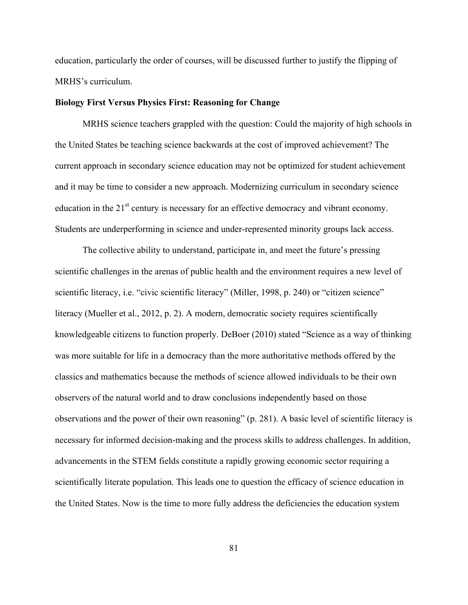education, particularly the order of courses, will be discussed further to justify the flipping of MRHS's curriculum.

## **Biology First Versus Physics First: Reasoning for Change**

MRHS science teachers grappled with the question: Could the majority of high schools in the United States be teaching science backwards at the cost of improved achievement? The current approach in secondary science education may not be optimized for student achievement and it may be time to consider a new approach. Modernizing curriculum in secondary science education in the  $21<sup>st</sup>$  century is necessary for an effective democracy and vibrant economy. Students are underperforming in science and under-represented minority groups lack access.

The collective ability to understand, participate in, and meet the future's pressing scientific challenges in the arenas of public health and the environment requires a new level of scientific literacy, i.e. "civic scientific literacy" (Miller, 1998, p. 240) or "citizen science" literacy (Mueller et al., 2012, p. 2). A modern, democratic society requires scientifically knowledgeable citizens to function properly. DeBoer (2010) stated "Science as a way of thinking was more suitable for life in a democracy than the more authoritative methods offered by the classics and mathematics because the methods of science allowed individuals to be their own observers of the natural world and to draw conclusions independently based on those observations and the power of their own reasoning" (p. 281). A basic level of scientific literacy is necessary for informed decision-making and the process skills to address challenges. In addition, advancements in the STEM fields constitute a rapidly growing economic sector requiring a scientifically literate population. This leads one to question the efficacy of science education in the United States. Now is the time to more fully address the deficiencies the education system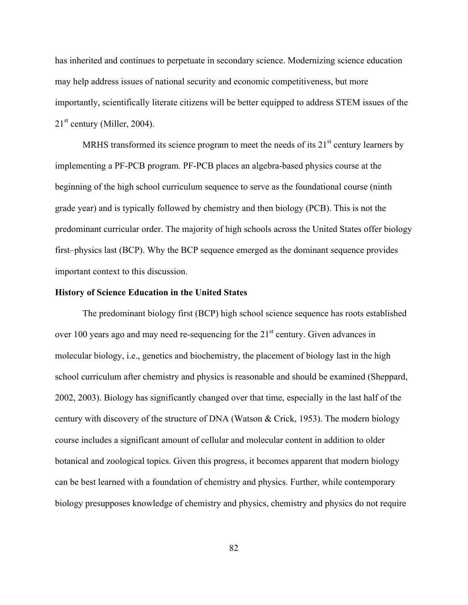has inherited and continues to perpetuate in secondary science. Modernizing science education may help address issues of national security and economic competitiveness, but more importantly, scientifically literate citizens will be better equipped to address STEM issues of the  $21<sup>st</sup>$  century (Miller, 2004).

MRHS transformed its science program to meet the needs of its  $21<sup>st</sup>$  century learners by implementing a PF-PCB program. PF-PCB places an algebra-based physics course at the beginning of the high school curriculum sequence to serve as the foundational course (ninth grade year) and is typically followed by chemistry and then biology (PCB). This is not the predominant curricular order. The majority of high schools across the United States offer biology first–physics last (BCP). Why the BCP sequence emerged as the dominant sequence provides important context to this discussion.

#### **History of Science Education in the United States**

The predominant biology first (BCP) high school science sequence has roots established over 100 years ago and may need re-sequencing for the 21<sup>st</sup> century. Given advances in molecular biology, i.e., genetics and biochemistry, the placement of biology last in the high school curriculum after chemistry and physics is reasonable and should be examined (Sheppard, 2002, 2003). Biology has significantly changed over that time, especially in the last half of the century with discovery of the structure of DNA (Watson & Crick, 1953). The modern biology course includes a significant amount of cellular and molecular content in addition to older botanical and zoological topics. Given this progress, it becomes apparent that modern biology can be best learned with a foundation of chemistry and physics. Further, while contemporary biology presupposes knowledge of chemistry and physics, chemistry and physics do not require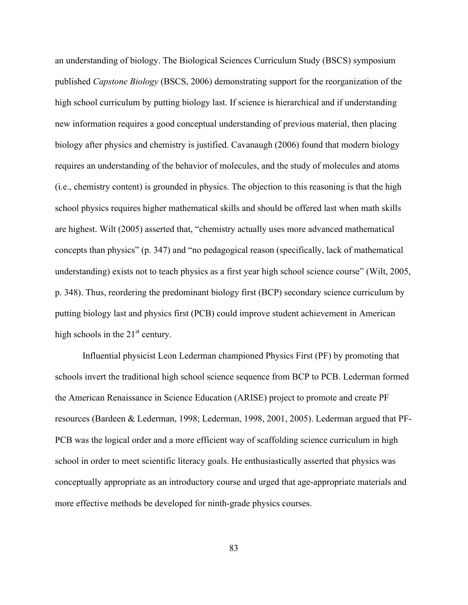an understanding of biology. The Biological Sciences Curriculum Study (BSCS) symposium published *Capstone Biology* (BSCS, 2006) demonstrating support for the reorganization of the high school curriculum by putting biology last. If science is hierarchical and if understanding new information requires a good conceptual understanding of previous material, then placing biology after physics and chemistry is justified. Cavanaugh (2006) found that modern biology requires an understanding of the behavior of molecules, and the study of molecules and atoms (i.e., chemistry content) is grounded in physics. The objection to this reasoning is that the high school physics requires higher mathematical skills and should be offered last when math skills are highest. Wilt (2005) asserted that, "chemistry actually uses more advanced mathematical concepts than physics" (p. 347) and "no pedagogical reason (specifically, lack of mathematical understanding) exists not to teach physics as a first year high school science course" (Wilt, 2005, p. 348). Thus, reordering the predominant biology first (BCP) secondary science curriculum by putting biology last and physics first (PCB) could improve student achievement in American high schools in the  $21<sup>st</sup>$  century.

Influential physicist Leon Lederman championed Physics First (PF) by promoting that schools invert the traditional high school science sequence from BCP to PCB. Lederman formed the American Renaissance in Science Education (ARISE) project to promote and create PF resources (Bardeen & Lederman, 1998; Lederman, 1998, 2001, 2005). Lederman argued that PF-PCB was the logical order and a more efficient way of scaffolding science curriculum in high school in order to meet scientific literacy goals. He enthusiastically asserted that physics was conceptually appropriate as an introductory course and urged that age-appropriate materials and more effective methods be developed for ninth-grade physics courses.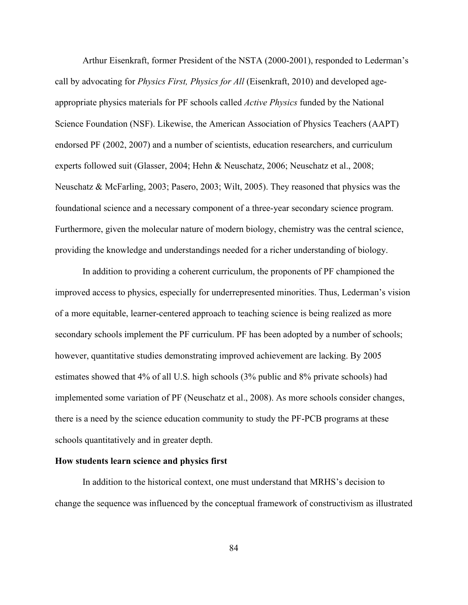Arthur Eisenkraft, former President of the NSTA (2000-2001), responded to Lederman's call by advocating for *Physics First, Physics for All* (Eisenkraft, 2010) and developed ageappropriate physics materials for PF schools called *Active Physics* funded by the National Science Foundation (NSF). Likewise, the American Association of Physics Teachers (AAPT) endorsed PF (2002, 2007) and a number of scientists, education researchers, and curriculum experts followed suit (Glasser, 2004; Hehn & Neuschatz, 2006; Neuschatz et al., 2008; Neuschatz & McFarling, 2003; Pasero, 2003; Wilt, 2005). They reasoned that physics was the foundational science and a necessary component of a three-year secondary science program. Furthermore, given the molecular nature of modern biology, chemistry was the central science, providing the knowledge and understandings needed for a richer understanding of biology.

In addition to providing a coherent curriculum, the proponents of PF championed the improved access to physics, especially for underrepresented minorities. Thus, Lederman's vision of a more equitable, learner-centered approach to teaching science is being realized as more secondary schools implement the PF curriculum. PF has been adopted by a number of schools; however, quantitative studies demonstrating improved achievement are lacking. By 2005 estimates showed that 4% of all U.S. high schools (3% public and 8% private schools) had implemented some variation of PF (Neuschatz et al., 2008). As more schools consider changes, there is a need by the science education community to study the PF-PCB programs at these schools quantitatively and in greater depth.

## **How students learn science and physics first**

In addition to the historical context, one must understand that MRHS's decision to change the sequence was influenced by the conceptual framework of constructivism as illustrated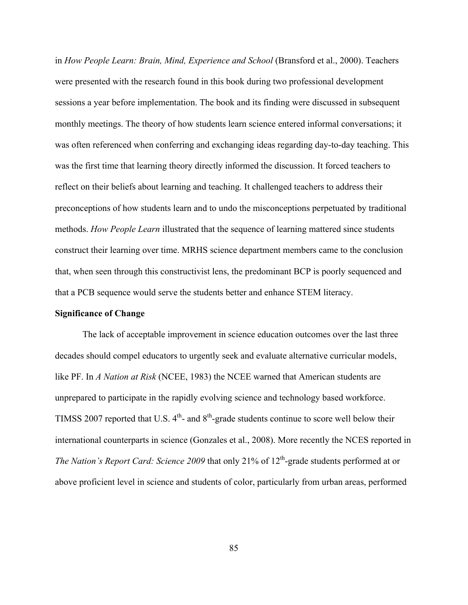in *How People Learn: Brain, Mind, Experience and School* (Bransford et al., 2000). Teachers were presented with the research found in this book during two professional development sessions a year before implementation. The book and its finding were discussed in subsequent monthly meetings. The theory of how students learn science entered informal conversations; it was often referenced when conferring and exchanging ideas regarding day-to-day teaching. This was the first time that learning theory directly informed the discussion. It forced teachers to reflect on their beliefs about learning and teaching. It challenged teachers to address their preconceptions of how students learn and to undo the misconceptions perpetuated by traditional methods. *How People Learn* illustrated that the sequence of learning mattered since students construct their learning over time. MRHS science department members came to the conclusion that, when seen through this constructivist lens, the predominant BCP is poorly sequenced and that a PCB sequence would serve the students better and enhance STEM literacy.

## **Significance of Change**

The lack of acceptable improvement in science education outcomes over the last three decades should compel educators to urgently seek and evaluate alternative curricular models, like PF. In *A Nation at Risk* (NCEE, 1983) the NCEE warned that American students are unprepared to participate in the rapidly evolving science and technology based workforce. TIMSS 2007 reported that U.S.  $4<sup>th</sup>$ - and  $8<sup>th</sup>$ -grade students continue to score well below their international counterparts in science (Gonzales et al., 2008). More recently the NCES reported in *The Nation's Report Card: Science 2009* that only 21% of 12<sup>th</sup>-grade students performed at or above proficient level in science and students of color, particularly from urban areas, performed

85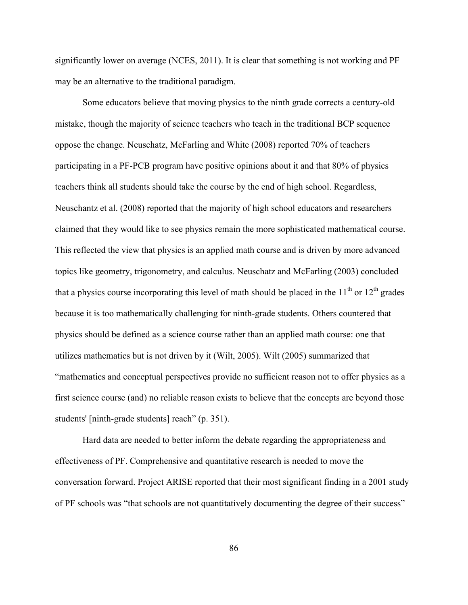significantly lower on average (NCES, 2011). It is clear that something is not working and PF may be an alternative to the traditional paradigm.

Some educators believe that moving physics to the ninth grade corrects a century-old mistake, though the majority of science teachers who teach in the traditional BCP sequence oppose the change. Neuschatz, McFarling and White (2008) reported 70% of teachers participating in a PF-PCB program have positive opinions about it and that 80% of physics teachers think all students should take the course by the end of high school. Regardless, Neuschantz et al. (2008) reported that the majority of high school educators and researchers claimed that they would like to see physics remain the more sophisticated mathematical course. This reflected the view that physics is an applied math course and is driven by more advanced topics like geometry, trigonometry, and calculus. Neuschatz and McFarling (2003) concluded that a physics course incorporating this level of math should be placed in the  $11<sup>th</sup>$  or  $12<sup>th</sup>$  grades because it is too mathematically challenging for ninth-grade students. Others countered that physics should be defined as a science course rather than an applied math course: one that utilizes mathematics but is not driven by it (Wilt, 2005). Wilt (2005) summarized that "mathematics and conceptual perspectives provide no sufficient reason not to offer physics as a first science course (and) no reliable reason exists to believe that the concepts are beyond those students' [ninth-grade students] reach" (p. 351).

Hard data are needed to better inform the debate regarding the appropriateness and effectiveness of PF. Comprehensive and quantitative research is needed to move the conversation forward. Project ARISE reported that their most significant finding in a 2001 study of PF schools was "that schools are not quantitatively documenting the degree of their success"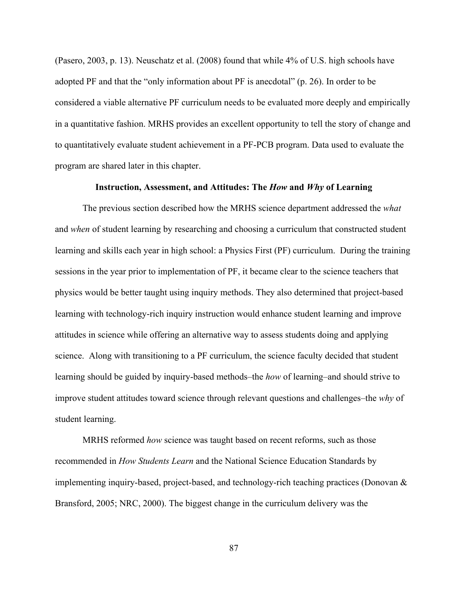(Pasero, 2003, p. 13). Neuschatz et al. (2008) found that while 4% of U.S. high schools have adopted PF and that the "only information about PF is anecdotal" (p. 26). In order to be considered a viable alternative PF curriculum needs to be evaluated more deeply and empirically in a quantitative fashion. MRHS provides an excellent opportunity to tell the story of change and to quantitatively evaluate student achievement in a PF-PCB program. Data used to evaluate the program are shared later in this chapter.

## **Instruction, Assessment, and Attitudes: The** *How* **and** *Why* **of Learning**

The previous section described how the MRHS science department addressed the *what* and *when* of student learning by researching and choosing a curriculum that constructed student learning and skills each year in high school: a Physics First (PF) curriculum. During the training sessions in the year prior to implementation of PF, it became clear to the science teachers that physics would be better taught using inquiry methods. They also determined that project-based learning with technology-rich inquiry instruction would enhance student learning and improve attitudes in science while offering an alternative way to assess students doing and applying science. Along with transitioning to a PF curriculum, the science faculty decided that student learning should be guided by inquiry-based methods–the *how* of learning–and should strive to improve student attitudes toward science through relevant questions and challenges–the *why* of student learning.

MRHS reformed *how* science was taught based on recent reforms, such as those recommended in *How Students Learn* and the National Science Education Standards by implementing inquiry-based, project-based, and technology-rich teaching practices (Donovan & Bransford, 2005; NRC, 2000). The biggest change in the curriculum delivery was the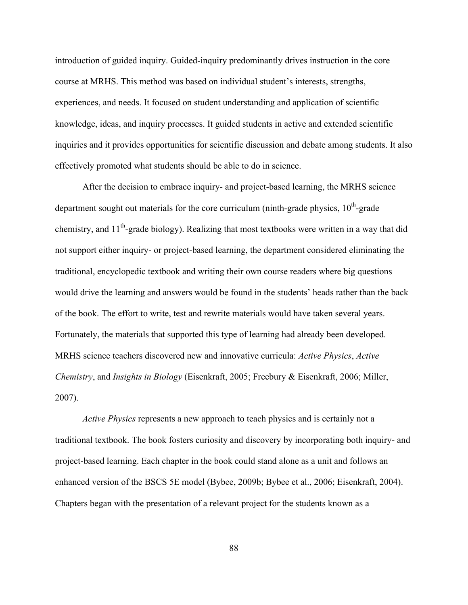introduction of guided inquiry. Guided-inquiry predominantly drives instruction in the core course at MRHS. This method was based on individual student's interests, strengths, experiences, and needs. It focused on student understanding and application of scientific knowledge, ideas, and inquiry processes. It guided students in active and extended scientific inquiries and it provides opportunities for scientific discussion and debate among students. It also effectively promoted what students should be able to do in science.

After the decision to embrace inquiry- and project-based learning, the MRHS science department sought out materials for the core curriculum (ninth-grade physics,  $10<sup>th</sup>$ -grade chemistry, and  $11<sup>th</sup>$ -grade biology). Realizing that most textbooks were written in a way that did not support either inquiry- or project-based learning, the department considered eliminating the traditional, encyclopedic textbook and writing their own course readers where big questions would drive the learning and answers would be found in the students' heads rather than the back of the book. The effort to write, test and rewrite materials would have taken several years. Fortunately, the materials that supported this type of learning had already been developed. MRHS science teachers discovered new and innovative curricula: *Active Physics*, *Active Chemistry*, and *Insights in Biology* (Eisenkraft, 2005; Freebury & Eisenkraft, 2006; Miller, 2007).

*Active Physics* represents a new approach to teach physics and is certainly not a traditional textbook. The book fosters curiosity and discovery by incorporating both inquiry- and project-based learning. Each chapter in the book could stand alone as a unit and follows an enhanced version of the BSCS 5E model (Bybee, 2009b; Bybee et al., 2006; Eisenkraft, 2004). Chapters began with the presentation of a relevant project for the students known as a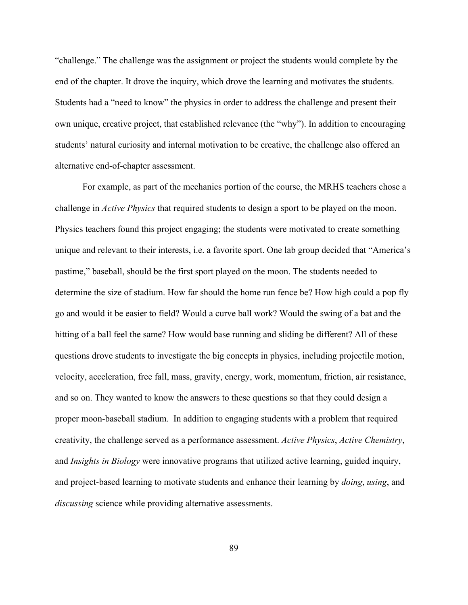"challenge." The challenge was the assignment or project the students would complete by the end of the chapter. It drove the inquiry, which drove the learning and motivates the students. Students had a "need to know" the physics in order to address the challenge and present their own unique, creative project, that established relevance (the "why"). In addition to encouraging students' natural curiosity and internal motivation to be creative, the challenge also offered an alternative end-of-chapter assessment.

For example, as part of the mechanics portion of the course, the MRHS teachers chose a challenge in *Active Physics* that required students to design a sport to be played on the moon. Physics teachers found this project engaging; the students were motivated to create something unique and relevant to their interests, i.e. a favorite sport. One lab group decided that "America's pastime," baseball, should be the first sport played on the moon. The students needed to determine the size of stadium. How far should the home run fence be? How high could a pop fly go and would it be easier to field? Would a curve ball work? Would the swing of a bat and the hitting of a ball feel the same? How would base running and sliding be different? All of these questions drove students to investigate the big concepts in physics, including projectile motion, velocity, acceleration, free fall, mass, gravity, energy, work, momentum, friction, air resistance, and so on. They wanted to know the answers to these questions so that they could design a proper moon-baseball stadium. In addition to engaging students with a problem that required creativity, the challenge served as a performance assessment. *Active Physics*, *Active Chemistry*, and *Insights in Biology* were innovative programs that utilized active learning, guided inquiry, and project-based learning to motivate students and enhance their learning by *doing*, *using*, and *discussing* science while providing alternative assessments.

89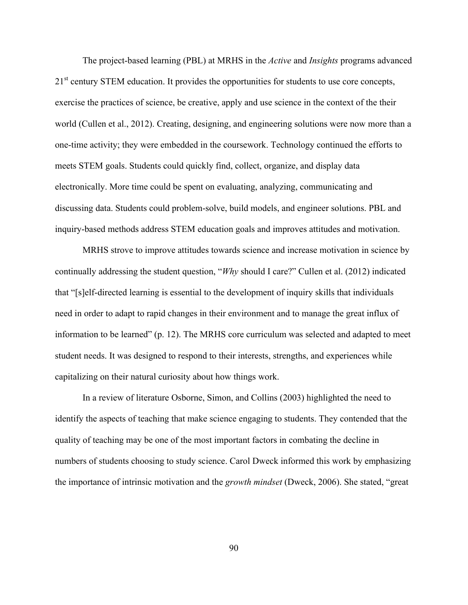The project-based learning (PBL) at MRHS in the *Active* and *Insights* programs advanced 21<sup>st</sup> century STEM education. It provides the opportunities for students to use core concepts, exercise the practices of science, be creative, apply and use science in the context of the their world (Cullen et al., 2012). Creating, designing, and engineering solutions were now more than a one-time activity; they were embedded in the coursework. Technology continued the efforts to meets STEM goals. Students could quickly find, collect, organize, and display data electronically. More time could be spent on evaluating, analyzing, communicating and discussing data. Students could problem-solve, build models, and engineer solutions. PBL and inquiry-based methods address STEM education goals and improves attitudes and motivation.

MRHS strove to improve attitudes towards science and increase motivation in science by continually addressing the student question, "*Why* should I care?" Cullen et al. (2012) indicated that "[s]elf-directed learning is essential to the development of inquiry skills that individuals need in order to adapt to rapid changes in their environment and to manage the great influx of information to be learned" (p. 12). The MRHS core curriculum was selected and adapted to meet student needs. It was designed to respond to their interests, strengths, and experiences while capitalizing on their natural curiosity about how things work.

In a review of literature Osborne, Simon, and Collins (2003) highlighted the need to identify the aspects of teaching that make science engaging to students. They contended that the quality of teaching may be one of the most important factors in combating the decline in numbers of students choosing to study science. Carol Dweck informed this work by emphasizing the importance of intrinsic motivation and the *growth mindset* (Dweck, 2006). She stated, "great

90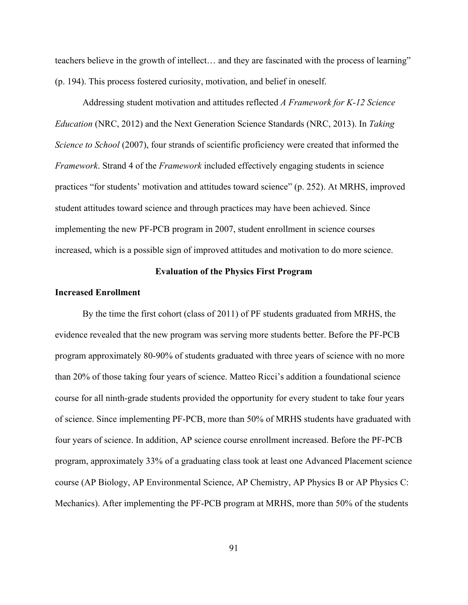teachers believe in the growth of intellect… and they are fascinated with the process of learning" (p. 194). This process fostered curiosity, motivation, and belief in oneself.

Addressing student motivation and attitudes reflected *A Framework for K-12 Science Education* (NRC, 2012) and the Next Generation Science Standards (NRC, 2013). In *Taking Science to School* (2007), four strands of scientific proficiency were created that informed the *Framework*. Strand 4 of the *Framework* included effectively engaging students in science practices "for students' motivation and attitudes toward science" (p. 252). At MRHS, improved student attitudes toward science and through practices may have been achieved. Since implementing the new PF-PCB program in 2007, student enrollment in science courses increased, which is a possible sign of improved attitudes and motivation to do more science.

## **Evaluation of the Physics First Program**

#### **Increased Enrollment**

By the time the first cohort (class of 2011) of PF students graduated from MRHS, the evidence revealed that the new program was serving more students better. Before the PF-PCB program approximately 80-90% of students graduated with three years of science with no more than 20% of those taking four years of science. Matteo Ricci's addition a foundational science course for all ninth-grade students provided the opportunity for every student to take four years of science. Since implementing PF-PCB, more than 50% of MRHS students have graduated with four years of science. In addition, AP science course enrollment increased. Before the PF-PCB program, approximately 33% of a graduating class took at least one Advanced Placement science course (AP Biology, AP Environmental Science, AP Chemistry, AP Physics B or AP Physics C: Mechanics). After implementing the PF-PCB program at MRHS, more than 50% of the students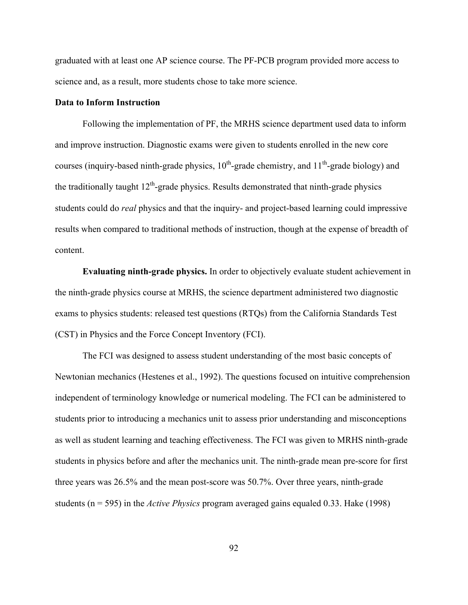graduated with at least one AP science course. The PF-PCB program provided more access to science and, as a result, more students chose to take more science.

## **Data to Inform Instruction**

Following the implementation of PF, the MRHS science department used data to inform and improve instruction. Diagnostic exams were given to students enrolled in the new core courses (inquiry-based ninth-grade physics,  $10^{th}$ -grade chemistry, and  $11^{th}$ -grade biology) and the traditionally taught  $12<sup>th</sup>$ -grade physics. Results demonstrated that ninth-grade physics students could do *real* physics and that the inquiry- and project-based learning could impressive results when compared to traditional methods of instruction, though at the expense of breadth of content.

**Evaluating ninth-grade physics.** In order to objectively evaluate student achievement in the ninth-grade physics course at MRHS, the science department administered two diagnostic exams to physics students: released test questions (RTQs) from the California Standards Test (CST) in Physics and the Force Concept Inventory (FCI).

The FCI was designed to assess student understanding of the most basic concepts of Newtonian mechanics (Hestenes et al., 1992). The questions focused on intuitive comprehension independent of terminology knowledge or numerical modeling. The FCI can be administered to students prior to introducing a mechanics unit to assess prior understanding and misconceptions as well as student learning and teaching effectiveness. The FCI was given to MRHS ninth-grade students in physics before and after the mechanics unit. The ninth-grade mean pre-score for first three years was 26.5% and the mean post-score was 50.7%. Over three years, ninth-grade students (n = 595) in the *Active Physics* program averaged gains equaled 0.33. Hake (1998)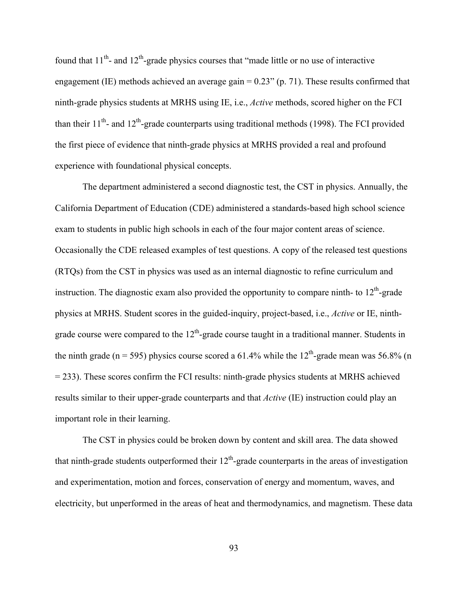found that  $11^{th}$ - and  $12^{th}$ -grade physics courses that "made little or no use of interactive engagement (IE) methods achieved an average gain = 0.23" (p. 71). These results confirmed that ninth-grade physics students at MRHS using IE, i.e., *Active* methods, scored higher on the FCI than their  $11<sup>th</sup>$ - and  $12<sup>th</sup>$ -grade counterparts using traditional methods (1998). The FCI provided the first piece of evidence that ninth-grade physics at MRHS provided a real and profound experience with foundational physical concepts.

The department administered a second diagnostic test, the CST in physics. Annually, the California Department of Education (CDE) administered a standards-based high school science exam to students in public high schools in each of the four major content areas of science. Occasionally the CDE released examples of test questions. A copy of the released test questions (RTQs) from the CST in physics was used as an internal diagnostic to refine curriculum and instruction. The diagnostic exam also provided the opportunity to compare ninth- to  $12<sup>th</sup>$ -grade physics at MRHS. Student scores in the guided-inquiry, project-based, i.e., *Active* or IE, ninthgrade course were compared to the  $12<sup>th</sup>$ -grade course taught in a traditional manner. Students in the ninth grade (n = 595) physics course scored a 61.4% while the  $12<sup>th</sup>$ -grade mean was 56.8% (n = 233). These scores confirm the FCI results: ninth-grade physics students at MRHS achieved results similar to their upper-grade counterparts and that *Active* (IE) instruction could play an important role in their learning.

The CST in physics could be broken down by content and skill area. The data showed that ninth-grade students outperformed their  $12<sup>th</sup>$ -grade counterparts in the areas of investigation and experimentation, motion and forces, conservation of energy and momentum, waves, and electricity, but unperformed in the areas of heat and thermodynamics, and magnetism. These data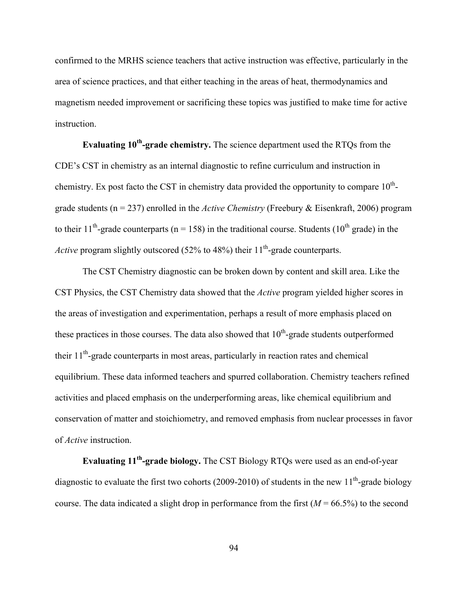confirmed to the MRHS science teachers that active instruction was effective, particularly in the area of science practices, and that either teaching in the areas of heat, thermodynamics and magnetism needed improvement or sacrificing these topics was justified to make time for active instruction.

**Evaluating 10<sup>th</sup>-grade chemistry.** The science department used the RTQs from the CDE's CST in chemistry as an internal diagnostic to refine curriculum and instruction in chemistry. Ex post facto the CST in chemistry data provided the opportunity to compare  $10^{th}$ grade students (n = 237) enrolled in the *Active Chemistry* (Freebury & Eisenkraft, 2006) program to their 11<sup>th</sup>-grade counterparts ( $n = 158$ ) in the traditional course. Students (10<sup>th</sup> grade) in the *Active* program slightly outscored (52% to 48%) their  $11<sup>th</sup>$ -grade counterparts.

The CST Chemistry diagnostic can be broken down by content and skill area. Like the CST Physics, the CST Chemistry data showed that the *Active* program yielded higher scores in the areas of investigation and experimentation, perhaps a result of more emphasis placed on these practices in those courses. The data also showed that  $10<sup>th</sup>$ -grade students outperformed their  $11<sup>th</sup>$ -grade counterparts in most areas, particularly in reaction rates and chemical equilibrium. These data informed teachers and spurred collaboration. Chemistry teachers refined activities and placed emphasis on the underperforming areas, like chemical equilibrium and conservation of matter and stoichiometry, and removed emphasis from nuclear processes in favor of *Active* instruction.

**Evaluating 11<sup>th</sup>-grade biology.** The CST Biology RTQs were used as an end-of-year diagnostic to evaluate the first two cohorts (2009-2010) of students in the new  $11<sup>th</sup>$ -grade biology course. The data indicated a slight drop in performance from the first  $(M = 66.5\%)$  to the second

94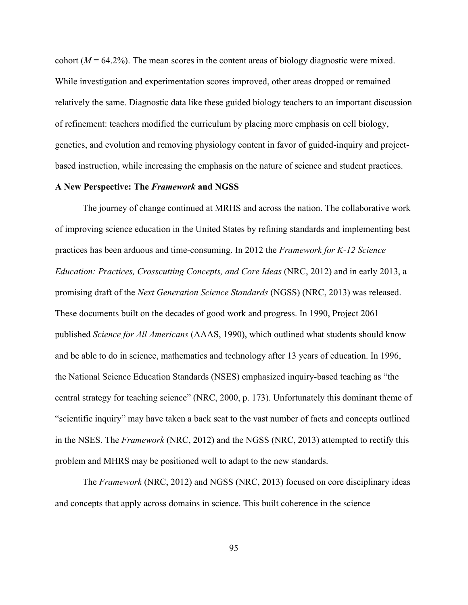cohort  $(M = 64.2\%)$ . The mean scores in the content areas of biology diagnostic were mixed. While investigation and experimentation scores improved, other areas dropped or remained relatively the same. Diagnostic data like these guided biology teachers to an important discussion of refinement: teachers modified the curriculum by placing more emphasis on cell biology, genetics, and evolution and removing physiology content in favor of guided-inquiry and projectbased instruction, while increasing the emphasis on the nature of science and student practices.

# **A New Perspective: The** *Framework* **and NGSS**

The journey of change continued at MRHS and across the nation. The collaborative work of improving science education in the United States by refining standards and implementing best practices has been arduous and time-consuming. In 2012 the *Framework for K-12 Science Education: Practices, Crosscutting Concepts, and Core Ideas* (NRC, 2012) and in early 2013, a promising draft of the *Next Generation Science Standards* (NGSS) (NRC, 2013) was released. These documents built on the decades of good work and progress. In 1990, Project 2061 published *Science for All Americans* (AAAS, 1990), which outlined what students should know and be able to do in science, mathematics and technology after 13 years of education. In 1996, the National Science Education Standards (NSES) emphasized inquiry-based teaching as "the central strategy for teaching science" (NRC, 2000, p. 173). Unfortunately this dominant theme of "scientific inquiry" may have taken a back seat to the vast number of facts and concepts outlined in the NSES. The *Framework* (NRC, 2012) and the NGSS (NRC, 2013) attempted to rectify this problem and MHRS may be positioned well to adapt to the new standards.

The *Framework* (NRC, 2012) and NGSS (NRC, 2013) focused on core disciplinary ideas and concepts that apply across domains in science. This built coherence in the science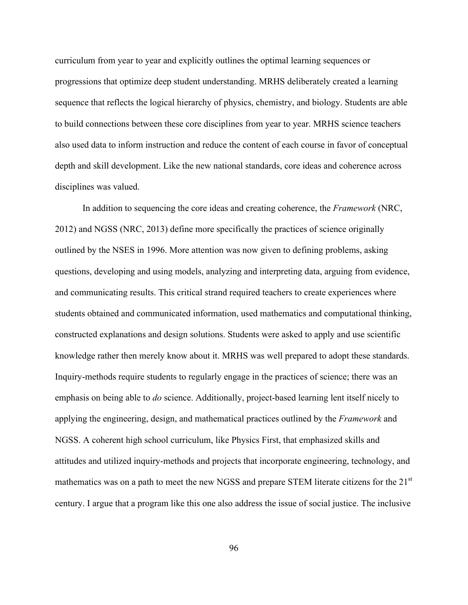curriculum from year to year and explicitly outlines the optimal learning sequences or progressions that optimize deep student understanding. MRHS deliberately created a learning sequence that reflects the logical hierarchy of physics, chemistry, and biology. Students are able to build connections between these core disciplines from year to year. MRHS science teachers also used data to inform instruction and reduce the content of each course in favor of conceptual depth and skill development. Like the new national standards, core ideas and coherence across disciplines was valued.

In addition to sequencing the core ideas and creating coherence, the *Framework* (NRC, 2012) and NGSS (NRC, 2013) define more specifically the practices of science originally outlined by the NSES in 1996. More attention was now given to defining problems, asking questions, developing and using models, analyzing and interpreting data, arguing from evidence, and communicating results. This critical strand required teachers to create experiences where students obtained and communicated information, used mathematics and computational thinking, constructed explanations and design solutions. Students were asked to apply and use scientific knowledge rather then merely know about it. MRHS was well prepared to adopt these standards. Inquiry-methods require students to regularly engage in the practices of science; there was an emphasis on being able to *do* science. Additionally, project-based learning lent itself nicely to applying the engineering, design, and mathematical practices outlined by the *Framework* and NGSS. A coherent high school curriculum, like Physics First, that emphasized skills and attitudes and utilized inquiry-methods and projects that incorporate engineering, technology, and mathematics was on a path to meet the new NGSS and prepare STEM literate citizens for the 21<sup>st</sup> century. I argue that a program like this one also address the issue of social justice. The inclusive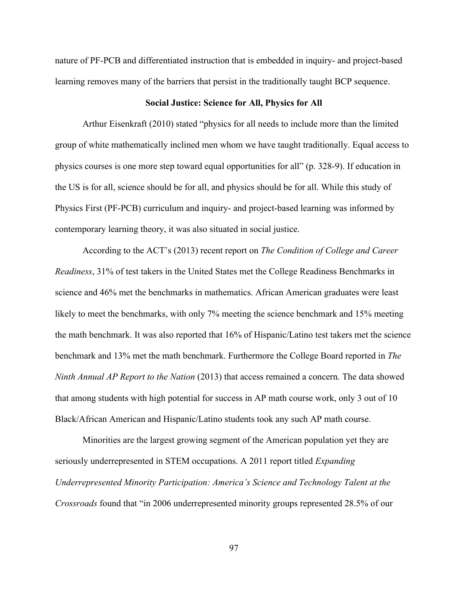nature of PF-PCB and differentiated instruction that is embedded in inquiry- and project-based learning removes many of the barriers that persist in the traditionally taught BCP sequence.

#### **Social Justice: Science for All, Physics for All**

Arthur Eisenkraft (2010) stated "physics for all needs to include more than the limited group of white mathematically inclined men whom we have taught traditionally. Equal access to physics courses is one more step toward equal opportunities for all" (p. 328-9). If education in the US is for all, science should be for all, and physics should be for all. While this study of Physics First (PF-PCB) curriculum and inquiry- and project-based learning was informed by contemporary learning theory, it was also situated in social justice.

According to the ACT's (2013) recent report on *The Condition of College and Career Readiness*, 31% of test takers in the United States met the College Readiness Benchmarks in science and 46% met the benchmarks in mathematics. African American graduates were least likely to meet the benchmarks, with only 7% meeting the science benchmark and 15% meeting the math benchmark. It was also reported that 16% of Hispanic/Latino test takers met the science benchmark and 13% met the math benchmark. Furthermore the College Board reported in *The Ninth Annual AP Report to the Nation* (2013) that access remained a concern. The data showed that among students with high potential for success in AP math course work, only 3 out of 10 Black/African American and Hispanic/Latino students took any such AP math course.

Minorities are the largest growing segment of the American population yet they are seriously underrepresented in STEM occupations. A 2011 report titled *Expanding Underrepresented Minority Participation: America's Science and Technology Talent at the Crossroads* found that "in 2006 underrepresented minority groups represented 28.5% of our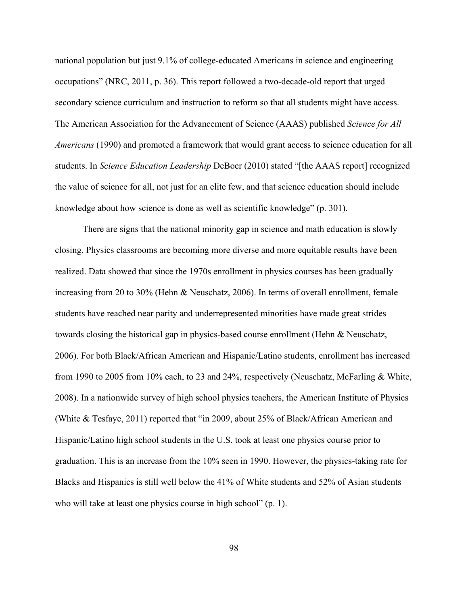national population but just 9.1% of college-educated Americans in science and engineering occupations" (NRC, 2011, p. 36). This report followed a two-decade-old report that urged secondary science curriculum and instruction to reform so that all students might have access. The American Association for the Advancement of Science (AAAS) published *Science for All Americans* (1990) and promoted a framework that would grant access to science education for all students. In *Science Education Leadership* DeBoer (2010) stated "[the AAAS report] recognized the value of science for all, not just for an elite few, and that science education should include knowledge about how science is done as well as scientific knowledge" (p. 301).

There are signs that the national minority gap in science and math education is slowly closing. Physics classrooms are becoming more diverse and more equitable results have been realized. Data showed that since the 1970s enrollment in physics courses has been gradually increasing from 20 to 30% (Hehn & Neuschatz, 2006). In terms of overall enrollment, female students have reached near parity and underrepresented minorities have made great strides towards closing the historical gap in physics-based course enrollment (Hehn & Neuschatz, 2006). For both Black/African American and Hispanic/Latino students, enrollment has increased from 1990 to 2005 from 10% each, to 23 and 24%, respectively (Neuschatz, McFarling & White, 2008). In a nationwide survey of high school physics teachers, the American Institute of Physics (White & Tesfaye, 2011) reported that "in 2009, about 25% of Black/African American and Hispanic/Latino high school students in the U.S. took at least one physics course prior to graduation. This is an increase from the 10% seen in 1990. However, the physics-taking rate for Blacks and Hispanics is still well below the 41% of White students and 52% of Asian students who will take at least one physics course in high school" (p. 1).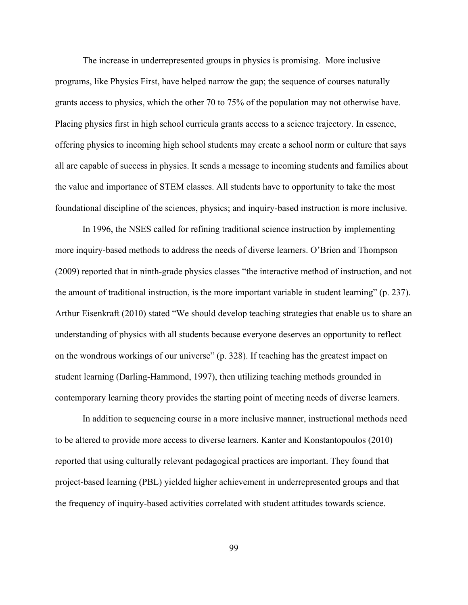The increase in underrepresented groups in physics is promising. More inclusive programs, like Physics First, have helped narrow the gap; the sequence of courses naturally grants access to physics, which the other 70 to 75% of the population may not otherwise have. Placing physics first in high school curricula grants access to a science trajectory. In essence, offering physics to incoming high school students may create a school norm or culture that says all are capable of success in physics. It sends a message to incoming students and families about the value and importance of STEM classes. All students have to opportunity to take the most foundational discipline of the sciences, physics; and inquiry-based instruction is more inclusive.

In 1996, the NSES called for refining traditional science instruction by implementing more inquiry-based methods to address the needs of diverse learners. O'Brien and Thompson (2009) reported that in ninth-grade physics classes "the interactive method of instruction, and not the amount of traditional instruction, is the more important variable in student learning" (p. 237). Arthur Eisenkraft (2010) stated "We should develop teaching strategies that enable us to share an understanding of physics with all students because everyone deserves an opportunity to reflect on the wondrous workings of our universe" (p. 328). If teaching has the greatest impact on student learning (Darling-Hammond, 1997), then utilizing teaching methods grounded in contemporary learning theory provides the starting point of meeting needs of diverse learners.

In addition to sequencing course in a more inclusive manner, instructional methods need to be altered to provide more access to diverse learners. Kanter and Konstantopoulos (2010) reported that using culturally relevant pedagogical practices are important. They found that project-based learning (PBL) yielded higher achievement in underrepresented groups and that the frequency of inquiry-based activities correlated with student attitudes towards science.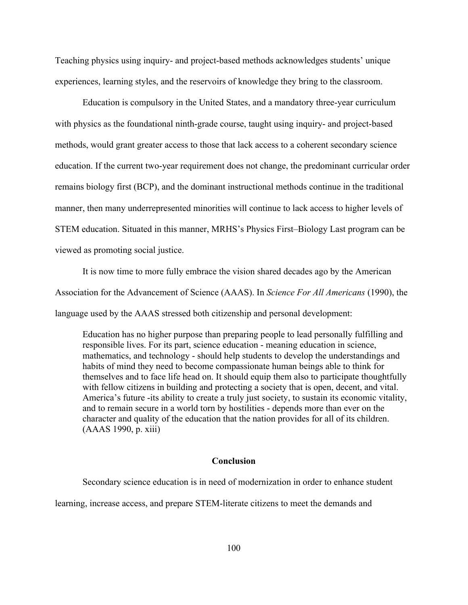Teaching physics using inquiry- and project-based methods acknowledges students' unique experiences, learning styles, and the reservoirs of knowledge they bring to the classroom.

Education is compulsory in the United States, and a mandatory three-year curriculum with physics as the foundational ninth-grade course, taught using inquiry- and project-based methods, would grant greater access to those that lack access to a coherent secondary science education. If the current two-year requirement does not change, the predominant curricular order remains biology first (BCP), and the dominant instructional methods continue in the traditional manner, then many underrepresented minorities will continue to lack access to higher levels of STEM education. Situated in this manner, MRHS's Physics First–Biology Last program can be viewed as promoting social justice.

It is now time to more fully embrace the vision shared decades ago by the American Association for the Advancement of Science (AAAS). In *Science For All Americans* (1990), the language used by the AAAS stressed both citizenship and personal development:

Education has no higher purpose than preparing people to lead personally fulfilling and responsible lives. For its part, science education - meaning education in science, mathematics, and technology - should help students to develop the understandings and habits of mind they need to become compassionate human beings able to think for themselves and to face life head on. It should equip them also to participate thoughtfully with fellow citizens in building and protecting a society that is open, decent, and vital. America's future -its ability to create a truly just society, to sustain its economic vitality, and to remain secure in a world torn by hostilities - depends more than ever on the character and quality of the education that the nation provides for all of its children. (AAAS 1990, p. xiii)

#### **Conclusion**

Secondary science education is in need of modernization in order to enhance student

learning, increase access, and prepare STEM-literate citizens to meet the demands and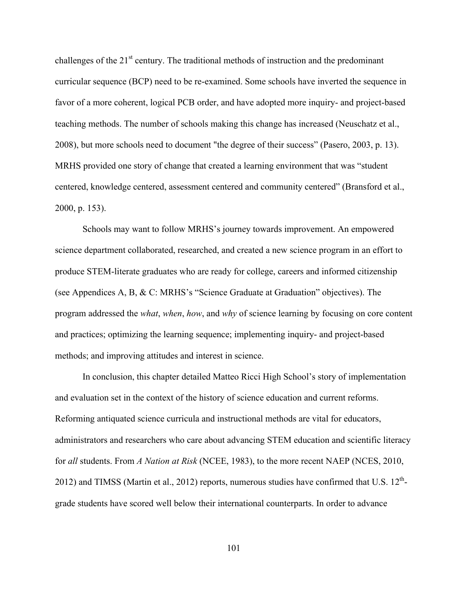challenges of the  $21<sup>st</sup>$  century. The traditional methods of instruction and the predominant curricular sequence (BCP) need to be re-examined. Some schools have inverted the sequence in favor of a more coherent, logical PCB order, and have adopted more inquiry- and project-based teaching methods. The number of schools making this change has increased (Neuschatz et al., 2008), but more schools need to document "the degree of their success" (Pasero, 2003, p. 13). MRHS provided one story of change that created a learning environment that was "student centered, knowledge centered, assessment centered and community centered" (Bransford et al., 2000, p. 153).

Schools may want to follow MRHS's journey towards improvement. An empowered science department collaborated, researched, and created a new science program in an effort to produce STEM-literate graduates who are ready for college, careers and informed citizenship (see Appendices A, B, & C: MRHS's "Science Graduate at Graduation" objectives). The program addressed the *what*, *when*, *how*, and *why* of science learning by focusing on core content and practices; optimizing the learning sequence; implementing inquiry- and project-based methods; and improving attitudes and interest in science.

In conclusion, this chapter detailed Matteo Ricci High School's story of implementation and evaluation set in the context of the history of science education and current reforms. Reforming antiquated science curricula and instructional methods are vital for educators, administrators and researchers who care about advancing STEM education and scientific literacy for *all* students. From *A Nation at Risk* (NCEE, 1983), to the more recent NAEP (NCES, 2010, 2012) and TIMSS (Martin et al., 2012) reports, numerous studies have confirmed that U.S.  $12^{th}$ grade students have scored well below their international counterparts. In order to advance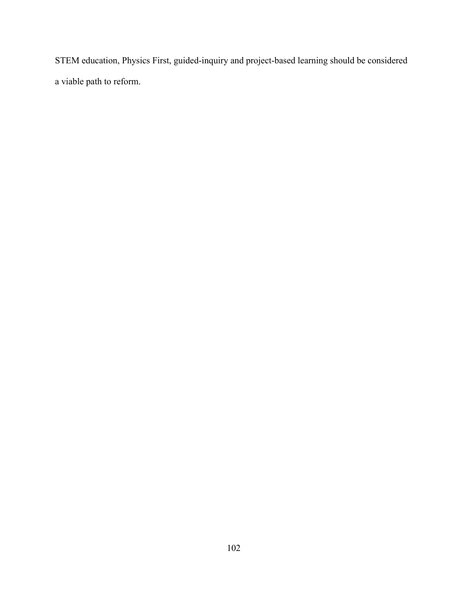STEM education, Physics First, guided-inquiry and project-based learning should be considered a viable path to reform.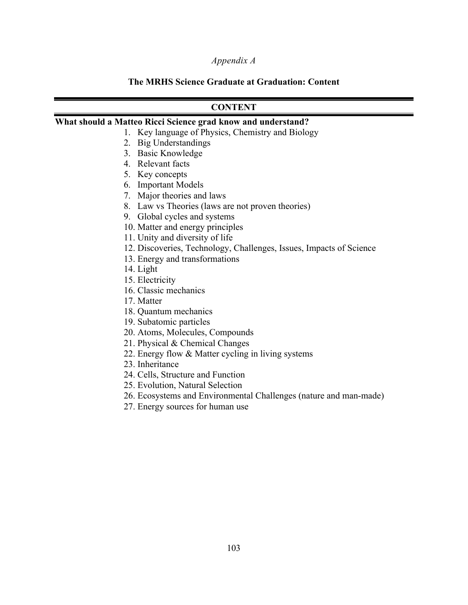#### *Appendix A*

## **The MRHS Science Graduate at Graduation: Content**

## **CONTENT**

#### **What should a Matteo Ricci Science grad know and understand?**

- 1. Key language of Physics, Chemistry and Biology
- 2. Big Understandings
- 3. Basic Knowledge
- 4. Relevant facts
- 5. Key concepts
- 6. Important Models
- 7. Major theories and laws
- 8. Law vs Theories (laws are not proven theories)
- 9. Global cycles and systems
- 10. Matter and energy principles
- 11. Unity and diversity of life
- 12. Discoveries, Technology, Challenges, Issues, Impacts of Science
- 13. Energy and transformations
- 14. Light
- 15. Electricity
- 16. Classic mechanics
- 17. Matter
- 18. Quantum mechanics
- 19. Subatomic particles
- 20. Atoms, Molecules, Compounds
- 21. Physical & Chemical Changes
- 22. Energy flow & Matter cycling in living systems
- 23. Inheritance
- 24. Cells, Structure and Function
- 25. Evolution, Natural Selection
- 26. Ecosystems and Environmental Challenges (nature and man-made)
- 27. Energy sources for human use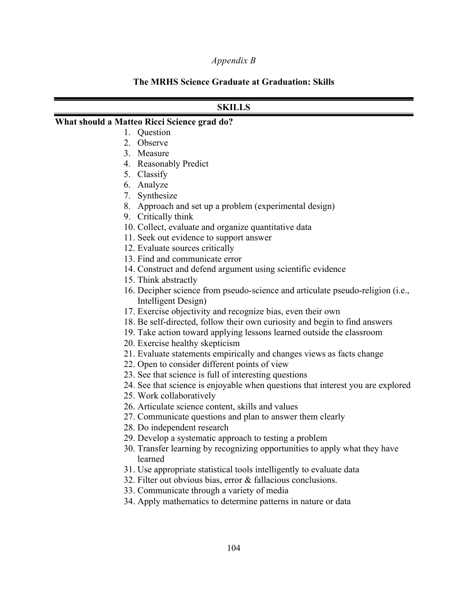#### *Appendix B*

#### **The MRHS Science Graduate at Graduation: Skills**

## **SKILLS**

#### **What should a Matteo Ricci Science grad do?**

- 1. Question
- 2. Observe
- 3. Measure
- 4. Reasonably Predict
- 5. Classify
- 6. Analyze
- 7. Synthesize
- 8. Approach and set up a problem (experimental design)
- 9. Critically think
- 10. Collect, evaluate and organize quantitative data
- 11. Seek out evidence to support answer
- 12. Evaluate sources critically
- 13. Find and communicate error
- 14. Construct and defend argument using scientific evidence
- 15. Think abstractly
- 16. Decipher science from pseudo-science and articulate pseudo-religion (i.e., Intelligent Design)
- 17. Exercise objectivity and recognize bias, even their own
- 18. Be self-directed, follow their own curiosity and begin to find answers
- 19. Take action toward applying lessons learned outside the classroom
- 20. Exercise healthy skepticism
- 21. Evaluate statements empirically and changes views as facts change
- 22. Open to consider different points of view
- 23. See that science is full of interesting questions
- 24. See that science is enjoyable when questions that interest you are explored
- 25. Work collaboratively
- 26. Articulate science content, skills and values
- 27. Communicate questions and plan to answer them clearly
- 28. Do independent research
- 29. Develop a systematic approach to testing a problem
- 30. Transfer learning by recognizing opportunities to apply what they have learned
- 31. Use appropriate statistical tools intelligently to evaluate data
- 32. Filter out obvious bias, error & fallacious conclusions.
- 33. Communicate through a variety of media
- 34. Apply mathematics to determine patterns in nature or data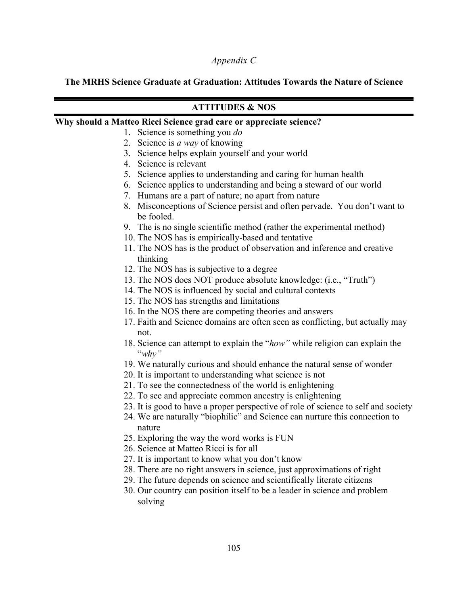## *Appendix C*

## **The MRHS Science Graduate at Graduation: Attitudes Towards the Nature of Science**

# **ATTITUDES & NOS**

#### **Why should a Matteo Ricci Science grad care or appreciate science?**

- 1. Science is something you *do*
- 2. Science is *a way* of knowing
- 3. Science helps explain yourself and your world
- 4. Science is relevant
- 5. Science applies to understanding and caring for human health
- 6. Science applies to understanding and being a steward of our world
- 7. Humans are a part of nature; no apart from nature
- 8. Misconceptions of Science persist and often pervade. You don't want to be fooled.
- 9. The is no single scientific method (rather the experimental method)
- 10. The NOS has is empirically-based and tentative
- 11. The NOS has is the product of observation and inference and creative thinking
- 12. The NOS has is subjective to a degree
- 13. The NOS does NOT produce absolute knowledge: (i.e., "Truth")
- 14. The NOS is influenced by social and cultural contexts
- 15. The NOS has strengths and limitations
- 16. In the NOS there are competing theories and answers
- 17. Faith and Science domains are often seen as conflicting, but actually may not.
- 18. Science can attempt to explain the "*how"* while religion can explain the "*why"*
- 19. We naturally curious and should enhance the natural sense of wonder
- 20. It is important to understanding what science is not
- 21. To see the connectedness of the world is enlightening
- 22. To see and appreciate common ancestry is enlightening
- 23. It is good to have a proper perspective of role of science to self and society
- 24. We are naturally "biophilic" and Science can nurture this connection to nature
- 25. Exploring the way the word works is FUN
- 26. Science at Matteo Ricci is for all
- 27. It is important to know what you don't know
- 28. There are no right answers in science, just approximations of right
- 29. The future depends on science and scientifically literate citizens
- 30. Our country can position itself to be a leader in science and problem solving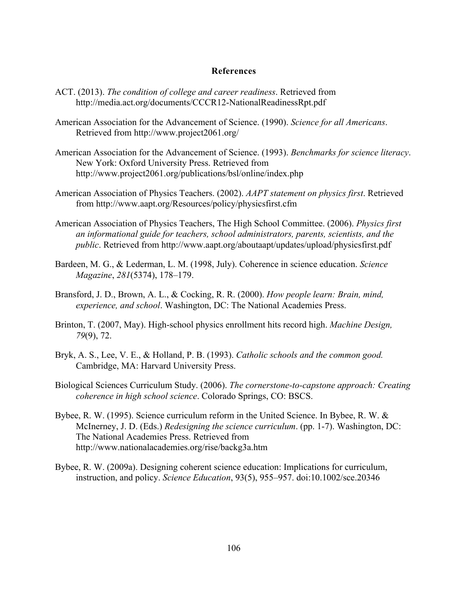#### **References**

- ACT. (2013). *The condition of college and career readiness*. Retrieved from http://media.act.org/documents/CCCR12-NationalReadinessRpt.pdf
- American Association for the Advancement of Science. (1990). *Science for all Americans*. Retrieved from http://www.project2061.org/
- American Association for the Advancement of Science. (1993). *Benchmarks for science literacy*. New York: Oxford University Press. Retrieved from http://www.project2061.org/publications/bsl/online/index.php
- American Association of Physics Teachers. (2002). *AAPT statement on physics first*. Retrieved from http://www.aapt.org/Resources/policy/physicsfirst.cfm
- American Association of Physics Teachers, The High School Committee. (2006). *Physics first an informational guide for teachers, school administrators, parents, scientists, and the public*. Retrieved from http://www.aapt.org/aboutaapt/updates/upload/physicsfirst.pdf
- Bardeen, M. G., & Lederman, L. M. (1998, July). Coherence in science education. *Science Magazine*, *281*(5374), 178–179.
- Bransford, J. D., Brown, A. L., & Cocking, R. R. (2000). *How people learn: Brain, mind, experience, and school*. Washington, DC: The National Academies Press.
- Brinton, T. (2007, May). High-school physics enrollment hits record high. *Machine Design, 79*(9), 72.
- Bryk, A. S., Lee, V. E., & Holland, P. B. (1993). *Catholic schools and the common good.*  Cambridge, MA: Harvard University Press.
- Biological Sciences Curriculum Study. (2006). *The cornerstone-to-capstone approach: Creating coherence in high school science*. Colorado Springs, CO: BSCS.
- Bybee, R. W. (1995). Science curriculum reform in the United Science. In Bybee, R. W. & McInerney, J. D. (Eds.) *Redesigning the science curriculum*. (pp. 1-7). Washington, DC: The National Academies Press. Retrieved from http://www.nationalacademies.org/rise/backg3a.htm
- Bybee, R. W. (2009a). Designing coherent science education: Implications for curriculum, instruction, and policy. *Science Education*, 93(5), 955–957. doi:10.1002/sce.20346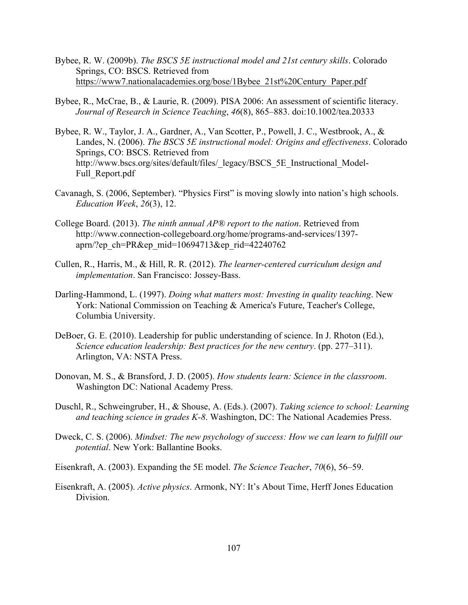- Bybee, R. W. (2009b). *The BSCS 5E instructional model and 21st century skills*. Colorado Springs, CO: BSCS. Retrieved from https://www7.nationalacademies.org/bose/1Bybee\_21st%20Century\_Paper.pdf
- Bybee, R., McCrae, B., & Laurie, R. (2009). PISA 2006: An assessment of scientific literacy. *Journal of Research in Science Teaching*, *46*(8), 865–883. doi:10.1002/tea.20333
- Bybee, R. W., Taylor, J. A., Gardner, A., Van Scotter, P., Powell, J. C., Westbrook, A., & Landes, N. (2006). *The BSCS 5E instructional model: Origins and effectiveness*. Colorado Springs, CO: BSCS. Retrieved from http://www.bscs.org/sites/default/files/\_legacy/BSCS\_5E\_Instructional\_Model-Full\_Report.pdf
- Cavanagh, S. (2006, September). "Physics First" is moving slowly into nation's high schools. *Education Week*, *26*(3), 12.
- College Board. (2013). *The ninth annual AP® report to the nation*. Retrieved from http://www.connection-collegeboard.org/home/programs-and-services/1397 aprn/?ep\_ch=PR&ep\_mid=10694713&ep\_rid=42240762
- Cullen, R., Harris, M., & Hill, R. R. (2012). *The learner-centered curriculum design and implementation*. San Francisco: Jossey-Bass.
- Darling-Hammond, L. (1997). *Doing what matters most: Investing in quality teaching*. New York: National Commission on Teaching & America's Future, Teacher's College, Columbia University.
- DeBoer, G. E. (2010). Leadership for public understanding of science. In J. Rhoton (Ed.), *Science education leadership: Best practices for the new century*. (pp. 277–311). Arlington, VA: NSTA Press.
- Donovan, M. S., & Bransford, J. D. (2005). *How students learn: Science in the classroom*. Washington DC: National Academy Press.
- Duschl, R., Schweingruber, H., & Shouse, A. (Eds.). (2007). *Taking science to school: Learning and teaching science in grades K-8*. Washington, DC: The National Academies Press.
- Dweck, C. S. (2006). *Mindset: The new psychology of success: How we can learn to fulfill our potential*. New York: Ballantine Books.
- Eisenkraft, A. (2003). Expanding the 5E model. *The Science Teacher*, *70*(6), 56–59.
- Eisenkraft, A. (2005). *Active physics*. Armonk, NY: It's About Time, Herff Jones Education Division.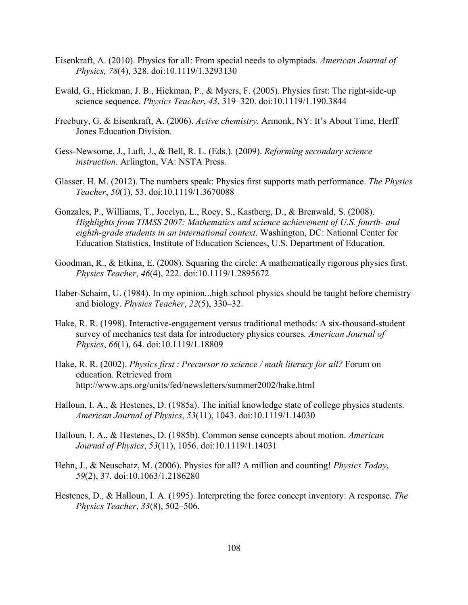- Eisenkraft, A. (2010). Physics for all: From special needs to olympiads. *American Journal of Physics, 78*(4), 328. doi:10.1119/1.3293130
- Ewald, G., Hickman, J. B., Hickman, P., & Myers, F. (2005). Physics first: The right-side-up science sequence. *Physics Teacher*, *43*, 319–320. doi:10.1119/1.190.3844
- Freebury, G. & Eisenkraft, A. (2006). *Active chemistry*. Armonk, NY: It's About Time, Herff Jones Education Division.
- Gess-Newsome, J., Luft, J., & Bell, R. L. (Eds.). (2009). *Reforming secondary science instruction*. Arlington, VA: NSTA Press.
- Glasser, H. M. (2012). The numbers speak: Physics first supports math performance. *The Physics Teacher*, *50*(1), 53. doi:10.1119/1.3670088
- Gonzales, P., Williams, T., Jocelyn, L., Roey, S., Kastberg, D., & Brenwald, S. (2008). *Highlights from TIMSS 2007: Mathematics and science achievement of U.S. fourth- and eighth-grade students in an international context*. Washington, DC: National Center for Education Statistics, Institute of Education Sciences, U.S. Department of Education.
- Goodman, R., & Etkina, E. (2008). Squaring the circle: A mathematically rigorous physics first. *Physics Teacher*, *46*(4), 222. doi:10.1119/1.2895672
- Haber-Schaim, U. (1984). In my opinion...high school physics should be taught before chemistry and biology. *Physics Teacher*, *22*(5), 330–32.
- Hake, R. R. (1998). Interactive-engagement versus traditional methods: A six-thousand-student survey of mechanics test data for introductory physics courses*. American Journal of Physics*, *66*(1), 64. doi:10.1119/1.18809
- Hake, R. R. (2002). *Physics first : Precursor to science / math literacy for all?* Forum on education. Retrieved from http://www.aps.org/units/fed/newsletters/summer2002/hake.html
- Halloun, I. A., & Hestenes, D. (1985a). The initial knowledge state of college physics students. *American Journal of Physics*, *53*(11), 1043. doi:10.1119/1.14030
- Halloun, I. A., & Hestenes, D. (1985b). Common sense concepts about motion. *American Journal of Physics*, *53*(11), 1056. doi:10.1119/1.14031
- Hehn, J., & Neuschatz, M. (2006). Physics for all? A million and counting! *Physics Today*, *59*(2), 37. doi:10.1063/1.2186280
- Hestenes, D., & Halloun, I. A. (1995). Interpreting the force concept inventory: A response. *The Physics Teacher*, *33*(8), 502–506.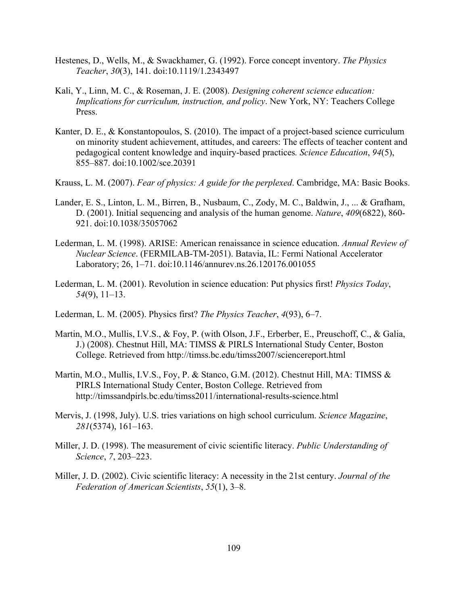- Hestenes, D., Wells, M., & Swackhamer, G. (1992). Force concept inventory. *The Physics Teacher*, *30*(3), 141. doi:10.1119/1.2343497
- Kali, Y., Linn, M. C., & Roseman, J. E. (2008). *Designing coherent science education: Implications for curriculum, instruction, and policy*. New York, NY: Teachers College Press.
- Kanter, D. E., & Konstantopoulos, S. (2010). The impact of a project-based science curriculum on minority student achievement, attitudes, and careers: The effects of teacher content and pedagogical content knowledge and inquiry-based practices*. Science Education*, *94*(5), 855–887. doi:10.1002/sce.20391
- Krauss, L. M. (2007). *Fear of physics: A guide for the perplexed*. Cambridge, MA: Basic Books.
- Lander, E. S., Linton, L. M., Birren, B., Nusbaum, C., Zody, M. C., Baldwin, J., ... & Grafham, D. (2001). Initial sequencing and analysis of the human genome. *Nature*, *409*(6822), 860- 921. doi:10.1038/35057062
- Lederman, L. M. (1998). ARISE: American renaissance in science education. *Annual Review of Nuclear Science*. (FERMILAB-TM-2051). Batavia, IL: Fermi National Accelerator Laboratory; 26, 1–71. doi:10.1146/annurev.ns.26.120176.001055
- Lederman, L. M. (2001). Revolution in science education: Put physics first! *Physics Today*, *54*(9), 11–13.
- Lederman, L. M. (2005). Physics first? *The Physics Teacher*, *4*(93), 6–7.
- Martin, M.O., Mullis, I.V.S., & Foy, P. (with Olson, J.F., Erberber, E., Preuschoff, C., & Galia, J.) (2008). Chestnut Hill, MA: TIMSS & PIRLS International Study Center, Boston College. Retrieved from http://timss.bc.edu/timss2007/sciencereport.html
- Martin, M.O., Mullis, I.V.S., Foy, P. & Stanco, G.M. (2012). Chestnut Hill, MA: TIMSS & PIRLS International Study Center, Boston College. Retrieved from http://timssandpirls.bc.edu/timss2011/international-results-science.html
- Mervis, J. (1998, July). U.S. tries variations on high school curriculum. *Science Magazine*, *281*(5374), 161–163.
- Miller, J. D. (1998). The measurement of civic scientific literacy. *Public Understanding of Science*, *7*, 203–223.
- Miller, J. D. (2002). Civic scientific literacy: A necessity in the 21st century. *Journal of the Federation of American Scientists*, *55*(1), 3–8.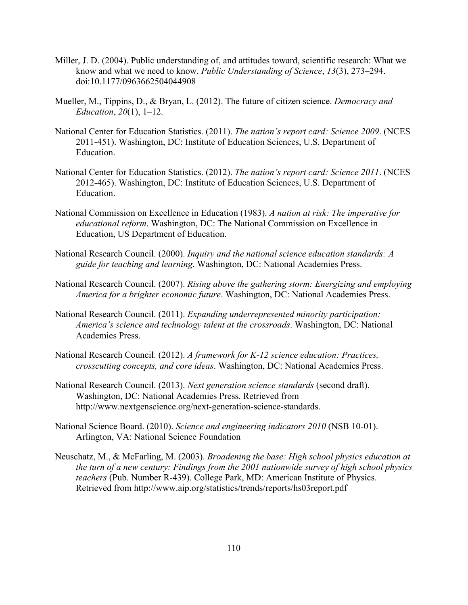- Miller, J. D. (2004). Public understanding of, and attitudes toward, scientific research: What we know and what we need to know. *Public Understanding of Science*, *13*(3), 273–294. doi:10.1177/0963662504044908
- Mueller, M., Tippins, D., & Bryan, L. (2012). The future of citizen science. *Democracy and Education*, *20*(1), 1–12.
- National Center for Education Statistics. (2011). *The nation's report card: Science 2009*. (NCES 2011-451). Washington, DC: Institute of Education Sciences, U.S. Department of Education.
- National Center for Education Statistics. (2012). *The nation's report card: Science 2011*. (NCES 2012-465). Washington, DC: Institute of Education Sciences, U.S. Department of Education.
- National Commission on Excellence in Education (1983). *A nation at risk: The imperative for educational reform*. Washington, DC: The National Commission on Excellence in Education, US Department of Education.
- National Research Council. (2000). *Inquiry and the national science education standards: A guide for teaching and learning*. Washington, DC: National Academies Press.
- National Research Council. (2007). *Rising above the gathering storm: Energizing and employing America for a brighter economic future*. Washington, DC: National Academies Press.
- National Research Council. (2011). *Expanding underrepresented minority participation: America's science and technology talent at the crossroads*. Washington, DC: National Academies Press.
- National Research Council. (2012). *A framework for K-12 science education: Practices, crosscutting concepts, and core ideas*. Washington, DC: National Academies Press.
- National Research Council. (2013). *Next generation science standards* (second draft). Washington, DC: National Academies Press. Retrieved from http://www.nextgenscience.org/next-generation-science-standards.
- National Science Board. (2010). *Science and engineering indicators 2010* (NSB 10-01). Arlington, VA: National Science Foundation
- Neuschatz, M., & McFarling, M. (2003). *Broadening the base: High school physics education at the turn of a new century: Findings from the 2001 nationwide survey of high school physics teachers* (Pub. Number R-439). College Park, MD: American Institute of Physics. Retrieved from http://www.aip.org/statistics/trends/reports/hs03report.pdf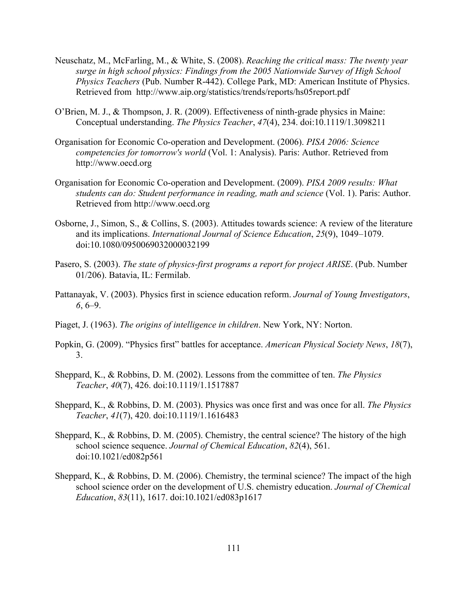- Neuschatz, M., McFarling, M., & White, S. (2008). *Reaching the critical mass: The twenty year surge in high school physics: Findings from the 2005 Nationwide Survey of High School Physics Teachers* (Pub. Number R-442). College Park, MD: American Institute of Physics. Retrieved from http://www.aip.org/statistics/trends/reports/hs05report.pdf
- O'Brien, M. J., & Thompson, J. R. (2009). Effectiveness of ninth-grade physics in Maine: Conceptual understanding. *The Physics Teacher*, *47*(4), 234. doi:10.1119/1.3098211
- Organisation for Economic Co-operation and Development. (2006). *PISA 2006: Science competencies for tomorrow's world* (Vol. 1: Analysis). Paris: Author. Retrieved from http://www.oecd.org
- Organisation for Economic Co-operation and Development. (2009). *PISA 2009 results: What students can do: Student performance in reading, math and science* (Vol. 1). Paris: Author. Retrieved from http://www.oecd.org
- Osborne, J., Simon, S., & Collins, S. (2003). Attitudes towards science: A review of the literature and its implications. *International Journal of Science Education*, *25*(9), 1049–1079. doi:10.1080/0950069032000032199
- Pasero, S. (2003). *The state of physics-first programs a report for project ARISE*. (Pub. Number 01/206). Batavia, IL: Fermilab.
- Pattanayak, V. (2003). Physics first in science education reform. *Journal of Young Investigators*, *6*, 6–9.
- Piaget, J. (1963). *The origins of intelligence in children*. New York, NY: Norton.
- Popkin, G. (2009). "Physics first" battles for acceptance. *American Physical Society News*, *18*(7), 3.
- Sheppard, K., & Robbins, D. M. (2002). Lessons from the committee of ten. *The Physics Teacher*, *40*(7), 426. doi:10.1119/1.1517887
- Sheppard, K., & Robbins, D. M. (2003). Physics was once first and was once for all. *The Physics Teacher*, *41*(7), 420. doi:10.1119/1.1616483
- Sheppard, K., & Robbins, D. M. (2005). Chemistry, the central science? The history of the high school science sequence. *Journal of Chemical Education*, *82*(4), 561. doi:10.1021/ed082p561
- Sheppard, K., & Robbins, D. M. (2006). Chemistry, the terminal science? The impact of the high school science order on the development of U.S. chemistry education. *Journal of Chemical Education*, *83*(11), 1617. doi:10.1021/ed083p1617